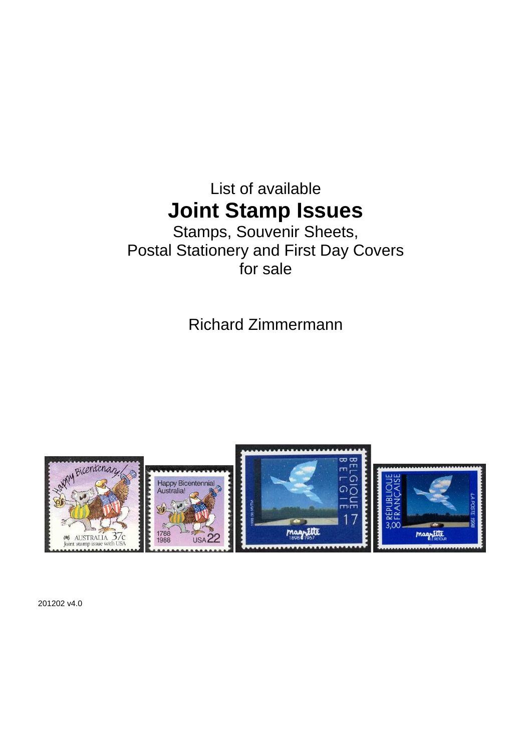# List of available **Joint Stamp Issues**

# Stamps, Souvenir Sheets, Postal Stationery and First Day Covers for sale

Richard Zimmermann



201202 v4.0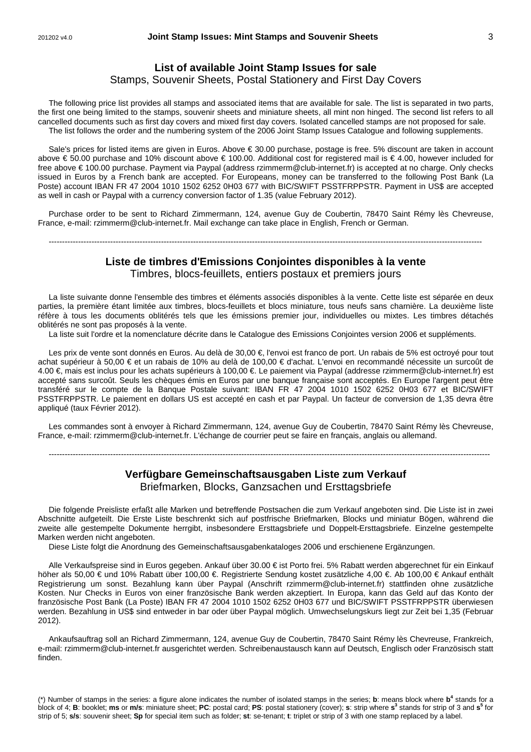### **List of available Joint Stamp Issues for sale**

#### Stamps, Souvenir Sheets, Postal Stationery and First Day Covers

The following price list provides all stamps and associated items that are available for sale. The list is separated in two parts, the first one being limited to the stamps, souvenir sheets and miniature sheets, all mint non hinged. The second list refers to all cancelled documents such as first day covers and mixed first day covers. Isolated cancelled stamps are not proposed for sale. The list follows the order and the numbering system of the 2006 Joint Stamp Issues Catalogue and following supplements.

Sale's prices for listed items are given in Euros. Above € 30.00 purchase, postage is free. 5% discount are taken in account above € 50.00 purchase and 10% discount above € 10000. Additional cost for registered mail is € 4.00, however included for free above € 100.00 purchase. Payment via Paypal (address rzimmerm@club-internet.fr) is accepted at no charge. Only checks issued in Euros by a French bank are accepted. For Europeans, money can be transferred to the following Post Bank (La Poste) account IBAN FR 47 2004 1010 1502 6252 0H03 677 with BIC/SWIFT PSSTFRPPSTR. Payment in US\$ are accepted as well in cash or Paypal with a currency conversion factor of 1.35 (value February 2012).

Purchase order to be sent to Richard Zimmermann, 124, avenue Guy de Coubertin, 78470 Saint Rémy lès Chevreuse, France, e-mail: rzimmerm@club-internet.fr. Mail exchange can take place in English, French or German.

------------------------------------------------------------------------------------------------------------------------------------------------------------------

# **Liste de timbres d'Emissions Conjointes disponibles à la vente**

Timbres, blocs-feuillets, entiers postaux et premiers jours

La liste suivante donne l'ensemble des timbres et éléments associés disponibles à la vente. Cette liste est séparée en deux parties, la première étant limitée aux timbres, blocs-feuillets et blocs miniature, tous neufs sans charnière. La deuxième liste réfère à tous les documents oblitérés tels que les émissions premier jour, individuelles ou mixtes. Les timbres détachés oblitérés ne sont pas proposés à la vente.

La liste suit l'ordre et la nomenclature décrite dans le Catalogue des Emissions Conjointes version 2006 et suppléments.

Les prix de vente sont donnés en Euros. Au delà de 30,00 €, l'envoi est franco de port. Un rabais de 5% est octroyé pour tout achat supérieur à 50,00 € et un rabais de 10% au delà de 100,00 € d'achat. L'envoi en recommandé nécessite un surcoût de 4.00 €, mais est inclus pour les achats supérieurs à 100,00 €. Le paiement via Paypal (addresse rzimmerm@club-internet.fr) est accepté sans surcoût. Seuls les chèques émis en Euros par une banque française sont acceptés. En Europe l'argent peut être transféré sur le compte de la Banque Postale suivant: IBAN FR 47 2004 1010 1502 6252 0H03 677 et BIC/SWIFT PSSTFRPPSTR. Le paiement en dollars US est accepté en cash et par Paypal. Un facteur de conversion de 1,35 devra être appliqué (taux Février 2012).

Les commandes sont à envoyer à Richard Zimmermann, 124, avenue Guy de Coubertin, 78470 Saint Rémy lès Chevreuse, France, e-mail: rzimmerm@club-internet.fr. L'échange de courrier peut se faire en français, anglais ou allemand.

---------------------------------------------------------------------------------------------------------------------------------------------------------------------

### **Verfügbare Gemeinschaftsausgaben Liste zum Verkauf**  Briefmarken, Blocks, Ganzsachen und Ersttagsbriefe

Die folgende Preisliste erfaßt alle Marken und betreffende Postsachen die zum Verkauf angeboten sind. Die Liste ist in zwei Abschnitte aufgeteilt. Die Erste Liste beschrenkt sich auf postfrische Briefmarken, Blocks und miniatur Bögen, während die zweite alle gestempelte Dokumente herrgibt, insbesondere Ersttagsbriefe und Doppelt-Ersttagsbriefe. Einzelne gestempelte Marken werden nicht angeboten.

Diese Liste folgt die Anordnung des Gemeinschaftsausgabenkataloges 2006 und erschienene Ergänzungen.

Alle Verkaufspreise sind in Euros gegeben. Ankauf über 30.00 € ist Porto frei. 5% Rabatt werden abgerechnet für ein Einkauf höher als 50,00 € und 10% Rabatt über 100,00 €. Registrierte Sendung kostet zusätzliche 4,00 €. Ab 100,00 € Ankauf enthält Registrierung um sonst. Bezahlung kann über Paypal (Anschrift rzimmerm@club-internet.fr) stattfinden ohne zusätzliche Kosten. Nur Checks in Euros von einer französische Bank werden akzeptiert. In Europa, kann das Geld auf das Konto der französische Post Bank (La Poste) IBAN FR 47 2004 1010 1502 6252 0H03 677 und BIC/SWIFT PSSTFRPPSTR überwiesen werden. Bezahlung in US\$ sind entweder in bar oder über Paypal möglich. Umwechselungskurs liegt zur Zeit bei 1,35 (Februar 2012).

Ankaufsauftrag soll an Richard Zimmermann, 124, avenue Guy de Coubertin, 78470 Saint Rémy lès Chevreuse, Frankreich, e-mail: rzimmerm@club-internet.fr ausgerichtet werden. Schreibenaustausch kann auf Deutsch, Englisch oder Französisch statt finden.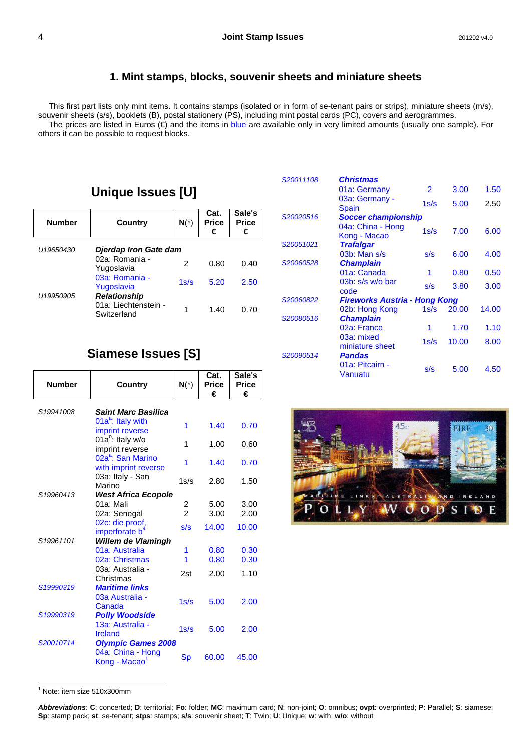### **1. Mint stamps, blocks, souvenir sheets and miniature sheets**

This first part lists only mint items. It contains stamps (isolated or in form of se-tenant pairs or strips), miniature sheets (m/s), souvenir sheets (s/s), booklets (B), postal stationery (PS), including mint postal cards (PC), covers and aerogrammes. The prices are listed in Euros (€) and the items in blue are available only in very limited amounts (usually one sample). For others it can be possible to request blocks.

# **Unique Issues [U]**

| <b>Number</b> | Country                                             | $N(*)$ | Cat.<br><b>Price</b><br>€ | Sale's<br><b>Price</b><br>€ |
|---------------|-----------------------------------------------------|--------|---------------------------|-----------------------------|
| U19650430     | Djerdap Iron Gate dam                               |        |                           |                             |
|               | 02a: Romania -<br>Yugoslavia                        | 2      | 0.80                      | 0.40                        |
| U19950905     | 03a: Romania -<br>Yugoslavia<br><b>Relationship</b> | 1s/s   | 5.20                      | 2.50                        |
|               | 01a: Liechtenstein -<br>Switzerland                 |        | 1.40                      | 0.70                        |

| S20011108 | <b>Christmas</b>                  |      |       |       |
|-----------|-----------------------------------|------|-------|-------|
|           | 01a: Germany                      | 2    | 3.00  | 1.50  |
|           | 03a: Germany -<br><b>Spain</b>    | 1s/s | 5.00  | 2.50  |
| S20020516 | <b>Soccer championship</b>        |      |       |       |
|           | 04a: China - Hong<br>Kong - Macao | 1s/s | 7.00  | 6.00  |
| S20051021 | <b>Trafalgar</b>                  |      |       |       |
|           | 03b: Man s/s                      | s/s  | 6.00  | 4.00  |
| S20060528 | <b>Champlain</b>                  |      |       |       |
|           | 01a: Canada                       | 1    | 0.80  | 0.50  |
|           | 03b: s/s w/o bar<br>code          | s/s  | 3.80  | 3.00  |
| S20060822 | Fireworks Austria - Hong Kong     |      |       |       |
|           | 02b: Hong Kong                    | 1s/s | 20.00 | 14.00 |
| S20080516 | <b>Champlain</b>                  |      |       |       |
|           | 02a: France                       | 1    | 1.70  | 1.10  |
|           | 03a: mixed<br>miniature sheet     | 1s/s | 10.00 | 8.00  |
| S20090514 | <b>Pandas</b>                     |      |       |       |
|           | 01a: Pitcairn -<br>Vanuatu        | s/s  | 5.00  | 4.50  |

# **Siamese Issues [S]**

| <b>Number</b> | Country                                                     | $N(*)$         | Cat.<br><b>Price</b><br>€ | Sale's<br><b>Price</b><br>€ |
|---------------|-------------------------------------------------------------|----------------|---------------------------|-----------------------------|
| S19941008     | <b>Saint Marc Basilica</b>                                  |                |                           |                             |
|               | 01a <sup>a</sup> : Italy with<br>imprint reverse            | 1              | 1.40                      | 0.70                        |
|               | $01a^b$ : Italy w/o<br>imprint reverse                      | 1              | 1.00                      | 0.60                        |
|               | 02a <sup>a</sup> : San Marino<br>with imprint reverse       | 1              | 1.40                      | 0.70                        |
|               | 03a: Italy - San<br>Marino                                  | 1s/s           | 2.80                      | 1.50                        |
| S19960413     | <b>West Africa Ecopole</b>                                  |                |                           |                             |
|               | 01a: Mali                                                   | 2              | 5.00                      | 3.00                        |
|               | 02a: Senegal                                                | $\overline{2}$ | 3.00                      | 2.00                        |
|               | 02c: die proof,<br>imperforate b <sup>4</sup>               | s/s            | 14.00                     | 10.00                       |
| S19961101     | Willem de Vlamingh                                          |                |                           |                             |
|               | 01a: Australia                                              | 1              | 0.80                      | 0.30                        |
|               | 02a: Christmas                                              | 1              | 0.80                      | 0.30                        |
|               | 03a: Australia -<br>Christmas                               | 2st            | 2.00                      | 1.10                        |
| S19990319     | <b>Maritime links</b><br>03a Australia -<br>Canada          | 1s/s           | 5.00                      | 2.00                        |
| S19990319     | <b>Polly Woodside</b><br>13a: Australia -<br><b>Ireland</b> | 1s/s           | 5.00                      | 2.00                        |
| S20010714     | <b>Olympic Games 2008</b>                                   |                |                           |                             |
|               | 04a: China - Hong<br>Kong - Macao <sup>1</sup>              | Sp             | 60.00                     | 45.00                       |



 $\overline{a}$ <sup>1</sup> Note: item size 510x300mm

**Abbreviations**: **C**: concerted; **D**: territorial; **Fo**: folder; **MC**: maximum card; **N**: non-joint; **O**: omnibus; **ovpt**: overprinted; **P**: Parallel; **S**: siamese; **Sp**: stamp pack; **st**: se-tenant; **stps**: stamps; **s/s**: souvenir sheet; **T**: Twin; **U**: Unique; **w**: with; **w/o**: without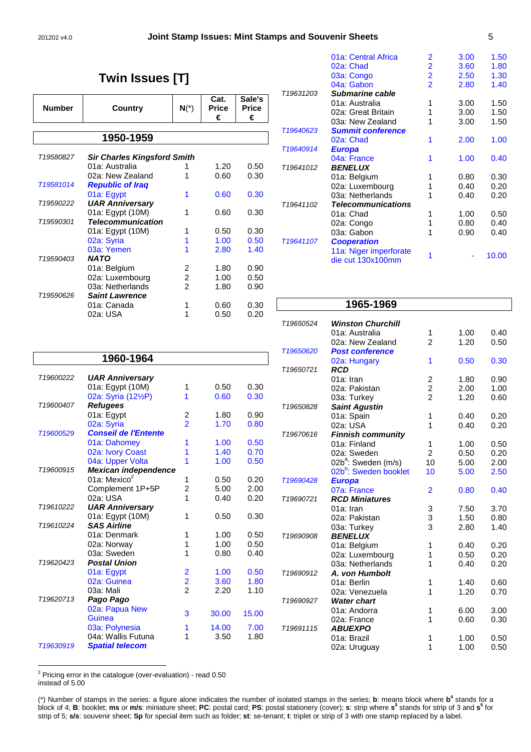#### 201202 v4.0 **Joint Stamp Issues: Mint Stamps and Souvenir Sheets** 5

# **Twin Issues [T]**

| <b>Number</b>                                   | Country                  | $N(*)$         | Cat.<br><b>Price</b><br>€ | Sale's<br><b>Price</b><br>€ |  |  |
|-------------------------------------------------|--------------------------|----------------|---------------------------|-----------------------------|--|--|
|                                                 | 1950-1959                |                |                           |                             |  |  |
| T19580827<br><b>Sir Charles Kingsford Smith</b> |                          |                |                           |                             |  |  |
|                                                 | 01a: Australia           | 1              | 1.20                      | 0.50                        |  |  |
|                                                 | 02a: New Zealand         | 1              | 0.60                      | 0.30                        |  |  |
| T19581014                                       | <b>Republic of Iraq</b>  |                |                           |                             |  |  |
|                                                 | 01a: Egypt               | 1              | 0.60                      | 0.30                        |  |  |
| T <sub>19590222</sub>                           | <b>UAR Anniversary</b>   |                |                           |                             |  |  |
|                                                 | 01a: Egypt (10M)         | 1              | 0.60                      | 0.30                        |  |  |
| T19590301                                       | <b>Telecommunication</b> |                |                           |                             |  |  |
|                                                 | 01a: Egypt (10M)         | 1              | 0.50                      | 0.30                        |  |  |
|                                                 | 02a: Syria               | 1              | 1.00                      | 0.50                        |  |  |
|                                                 | 03a: Yemen               | 1              | 2.80                      | 1.40                        |  |  |
| T <sub>19590403</sub>                           | <b>NATO</b>              |                |                           |                             |  |  |
|                                                 | 01a: Belgium             | 2              | 1.80                      | 0.90                        |  |  |
|                                                 | 02a: Luxembourg          | $\overline{c}$ | 1.00                      | 0.50                        |  |  |
|                                                 | 03a: Netherlands         | 2              | 1.80                      | 0.90                        |  |  |
| T <sub>19590626</sub>                           | <b>Saint Lawrence</b>    |                |                           |                             |  |  |
|                                                 | 01a: Canada              | 1              | 0.60                      | 0.30                        |  |  |
|                                                 | 02a: USA                 | 1              | 0.50                      | 0.20                        |  |  |

|                       | 01a: Central Africa       | 2                       | 3.00 | 1.50  |
|-----------------------|---------------------------|-------------------------|------|-------|
|                       | 02a: Chad                 | 2                       | 3.60 | 1.80  |
|                       | 03a: Congo                | $\overline{\mathbf{2}}$ | 2.50 | 1.30  |
|                       | 04a: Gabon                | $\overline{2}$          | 2.80 | 1.40  |
| T <sub>19631203</sub> | Submarine cable           |                         |      |       |
|                       | 01a: Australia            | 1                       | 3.00 | 1.50  |
|                       | 02a: Great Britain        | 1                       | 3.00 | 1.50  |
|                       | 03a: New Zealand          | 1                       | 3.00 | 1.50  |
| T19640623             | <b>Summit conference</b>  |                         |      |       |
|                       | 02a: Chad                 |                         | 2.00 | 1.00  |
| T19640914             | <b>Europa</b>             |                         |      |       |
|                       | 04a: France               | 1                       | 1.00 | 0.40  |
| T19641012             | <i><b>BENELUX</b></i>     |                         |      |       |
|                       | 01a: Belgium              | 1                       | 0.80 | 0.30  |
|                       | 02a: Luxembourg           | 1                       | 0.40 | 0.20  |
|                       | 03a: Netherlands          |                         | 0.40 | 0.20  |
| T19641102             | <b>Telecommunications</b> |                         |      |       |
|                       | 01a: Chad                 | 1                       | 1.00 | 0.50  |
|                       | 02a: Congo                | 1                       | 0.80 | 0.40  |
|                       | 03a: Gabon                |                         | 0.90 | 0.40  |
| T19641107             | <b>Cooperation</b>        |                         |      |       |
|                       | 11a: Niger imperforate    | 1                       |      |       |
|                       | die cut 130x100mm         |                         |      | 10.00 |
|                       |                           |                         |      |       |

|           | 1960-1964                        |                         |       |       |
|-----------|----------------------------------|-------------------------|-------|-------|
| T19600222 | <b>UAR Anniversary</b>           |                         |       |       |
|           | 01a: Egypt (10M)                 | 1                       | 0.50  | 0.30  |
|           | 02a: Syria (121/ <sub>2</sub> P) | 1                       | 0.60  | 0.30  |
| T19600407 | <b>Refugees</b>                  |                         |       |       |
|           | 01a: Egypt                       | 2                       | 1.80  | 0.90  |
|           | 02a: Syria                       | $\overline{2}$          | 1.70  | 0.80  |
| T19600529 | <b>Conseil de l'Entente</b>      |                         |       |       |
|           | 01a: Dahomey                     | 1                       | 1.00  | 0.50  |
|           | 02a: Ivory Coast                 | 1                       | 1.40  | 0.70  |
|           | 04a: Upper Volta                 | 1                       | 1.00  | 0.50  |
| T19600915 | Mexican independence             |                         |       |       |
|           | 01a: Mexico <sup>2</sup>         | 1                       | 0.50  | 0.20  |
|           | Complement 1P+5P                 | $\overline{c}$          | 5.00  | 2.00  |
|           | 02a: USA                         | 1                       | 0.40  | 0.20  |
| T19610222 | <b>UAR Anniversary</b>           |                         |       |       |
|           | 01a: Egypt (10M)                 | 1                       | 0.50  | 0.30  |
| T19610224 | <b>SAS Airline</b>               |                         |       |       |
|           | 01a: Denmark                     | 1                       | 1.00  | 0.50  |
|           | 02a: Norway                      | 1                       | 1.00  | 0.50  |
|           | 03a: Sweden                      | 1                       | 0.80  | 0.40  |
| T19620423 | <b>Postal Union</b>              |                         |       |       |
|           | 01a: Egypt                       | $\overline{\mathbf{c}}$ | 1.00  | 0.50  |
|           | 02a: Guinea                      | $\frac{2}{2}$           | 3.60  | 1.80  |
|           | 03a: Mali                        |                         | 2.20  | 1.10  |
| T19620713 | Pago Pago                        |                         |       |       |
|           | 02a: Papua New                   | 3                       | 30.00 | 15.00 |
|           | Guinea                           |                         |       |       |
|           | 03a: Polynesia                   | 1                       | 14.00 | 7.00  |
|           | 04a: Wallis Futuna               | 1                       | 3.50  | 1.80  |
| T19630919 | <b>Spatial telecom</b>           |                         |       |       |

|           | 1965-1969                         |                         |      |      |
|-----------|-----------------------------------|-------------------------|------|------|
| T19650524 | <b>Winston Churchill</b>          |                         |      |      |
|           | 01a: Australia                    | 1                       | 1.00 | 0.40 |
|           | 02a: New Zealand                  | $\overline{2}$          | 1.20 | 0.50 |
| T19650620 | <b>Post conference</b>            |                         |      |      |
|           | 02a: Hungary                      | 1                       | 0.50 | 0.30 |
| T19650721 | <b>RCD</b>                        |                         |      |      |
|           | 01a: Iran                         | $\overline{\mathbf{c}}$ | 1.80 | 0.90 |
|           | 02a: Pakistan                     | $\frac{2}{2}$           | 2.00 | 1.00 |
|           | 03a: Turkey                       |                         | 1.20 | 0.60 |
| T19650828 | <b>Saint Agustin</b>              |                         |      |      |
|           | 01a: Spain                        | 1                       | 0.40 | 0.20 |
|           | 02a: USA                          | 1                       | 0.40 | 0.20 |
| T19670616 | <b>Finnish community</b>          |                         |      |      |
|           | 01a: Finland                      | 1                       | 1.00 | 0.50 |
|           | 02a: Sweden                       | $\overline{2}$          | 0.50 | 0.20 |
|           | 02b <sup>a</sup> : Sweden (m/s)   | 10                      | 5.00 | 2.00 |
|           | 02b <sup>b</sup> : Sweden booklet | 10                      | 5.00 | 2.50 |
| T19690428 | <b>Europa</b>                     |                         |      |      |
|           | 07a: France                       | $\overline{2}$          | 0.80 | 0.40 |
| T19690721 | <b>RCD Miniatures</b>             |                         |      |      |
|           | 01a: Iran                         | 3                       | 7.50 | 3.70 |
|           | 02a: Pakistan                     | 3                       | 1.50 | 0.80 |
|           | 03a: Turkey                       | 3                       | 2.80 | 1.40 |
| T19690908 | <b>BENELUX</b>                    |                         |      |      |
|           | 01a: Belgium                      | 1                       | 0.40 | 0.20 |
|           | 02a: Luxembourg                   | 1                       | 0.50 | 0.20 |
|           | 03a: Netherlands                  | 1                       | 0.40 | 0.20 |
| T19690912 | A. von Humbolt                    |                         |      |      |
|           | 01a: Berlin                       | 1                       | 1.40 | 0.60 |
|           | 02a: Venezuela                    | 1                       | 1.20 | 0.70 |
| T19690927 | <b>Water chart</b>                |                         |      |      |
|           | 01a: Andorra                      | 1                       | 6.00 | 3.00 |
|           | 02a: France                       | 1                       | 0.60 | 0.30 |
| T19691115 | <b>ABUEXPO</b>                    |                         |      |      |
|           | 01a: Brazil                       | 1                       | 1.00 | 0.50 |
|           | 02a: Uruguay                      | 1                       | 1.00 | 0.50 |

 2 Pricing error in the catalogue (over-evaluation) - read 0.50 instead of 5.00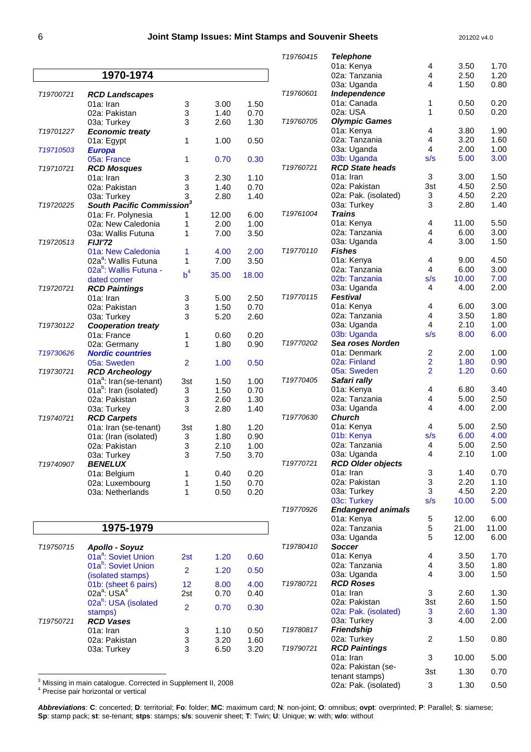|           |                                                              |                           |              |              | T19760415 | <b>Telephone</b>                  |                                                    |               |              |
|-----------|--------------------------------------------------------------|---------------------------|--------------|--------------|-----------|-----------------------------------|----------------------------------------------------|---------------|--------------|
|           |                                                              |                           |              |              |           | 01a: Kenya                        | 4                                                  | 3.50          | 1.70         |
|           | 1970-1974                                                    |                           |              |              |           | 02a: Tanzania                     | 4                                                  | 2.50          | 1.20         |
|           |                                                              |                           |              |              | T19760601 | 03a: Uganda<br>Independence       | 4                                                  | 1.50          | 0.80         |
| T19700721 | <b>RCD Landscapes</b><br>01a: Iran                           | 3                         | 3.00         | 1.50         |           | 01a: Canada                       | 1                                                  | 0.50          | 0.20         |
|           | 02a: Pakistan                                                | 3                         | 1.40         | 0.70         |           | 02a: USA                          | 1                                                  | 0.50          | 0.20         |
|           | 03a: Turkey                                                  | 3                         | 2.60         | 1.30         | T19760705 | <b>Olympic Games</b>              |                                                    |               |              |
| T19701227 | <b>Economic treaty</b>                                       |                           |              |              |           | 01a: Kenya                        | 4                                                  | 3.80          | 1.90         |
|           | 01a: Egypt                                                   | 1                         | 1.00         | 0.50         |           | 02a: Tanzania                     | 4                                                  | 3.20          | 1.60         |
| T19710503 | <b>Europa</b>                                                |                           |              |              |           | 03a: Uganda                       | 4                                                  | 2.00          | 1.00         |
|           | 05a: France                                                  | 1                         | 0.70         | 0.30         |           | 03b: Uganda                       | s/s                                                | 5.00          | 3.00         |
| T19710721 | <b>RCD Mosques</b>                                           |                           |              |              | T19760721 | <b>RCD State heads</b>            |                                                    |               |              |
|           | 01a: Iran                                                    | 3                         | 2.30         | 1.10         |           | 01a: Iran                         | 3                                                  | 3.00          | 1.50         |
|           | 02a: Pakistan                                                | 3                         | 1.40         | 0.70         |           | 02a: Pakistan                     | 3st                                                | 4.50          | 2.50         |
|           | 03a: Turkey                                                  | 3                         | 2.80         | 1.40         |           | 02a: Pak. (isolated)              | 3                                                  | 4.50          | 2.20         |
| T19720225 | South Pacific Commission <sup>3</sup>                        |                           |              |              | T19761004 | 03a: Turkey<br><b>Trains</b>      | 3                                                  | 2.80          | 1.40         |
|           | 01a: Fr. Polynesia                                           | 1<br>1                    | 12.00        | 6.00<br>1.00 |           | 01a: Kenya                        | 4                                                  | 11.00         | 5.50         |
|           | 02a: New Caledonia<br>03a: Wallis Futuna                     | 1                         | 2.00<br>7.00 | 3.50         |           | 02a: Tanzania                     | 4                                                  | 6.00          | 3.00         |
| T19720513 | <b>FIJI'72</b>                                               |                           |              |              |           | 03a: Uganda                       | 4                                                  | 3.00          | 1.50         |
|           | 01a: New Caledonia                                           | 1                         | 4.00         | 2.00         | T19770110 | <b>Fishes</b>                     |                                                    |               |              |
|           | 02a <sup>a</sup> : Wallis Futuna                             | 1                         | 7.00         | 3.50         |           | 01a: Kenya                        | 4                                                  | 9.00          | 4.50         |
|           | 02a <sup>b</sup> : Wallis Futuna -                           |                           |              |              |           | 02a: Tanzania                     | 4                                                  | 6.00          | 3.00         |
|           | dated corner                                                 | b <sup>4</sup>            | 35.00        | 18.00        |           | 02b: Tanzania                     | s/s                                                | 10.00         | 7.00         |
| T19720721 | <b>RCD Paintings</b>                                         |                           |              |              |           | 03a: Uganda                       | 4                                                  | 4.00          | 2.00         |
|           | 01a: Iran                                                    | 3                         | 5.00         | 2.50         | T19770115 | <b>Festival</b>                   |                                                    |               |              |
|           | 02a: Pakistan                                                | 3                         | 1.50         | 0.70         |           | 01a: Kenya                        | 4                                                  | 6.00          | 3.00         |
|           | 03a: Turkey                                                  | 3                         | 5.20         | 2.60         |           | 02a: Tanzania                     | 4                                                  | 3.50          | 1.80         |
| T19730122 | <b>Cooperation treaty</b>                                    |                           |              |              |           | 03a: Uganda                       | 4                                                  | 2.10          | 1.00         |
|           | 01a: France                                                  | 1                         | 0.60         | 0.20         |           | 03b: Uganda                       | s/s                                                | 8.00          | 6.00         |
|           | 02a: Germany                                                 | 1                         | 1.80         | 0.90         | T19770202 | Sea roses Norden                  |                                                    |               |              |
| T19730626 | <b>Nordic countries</b>                                      |                           |              |              |           | 01a: Denmark<br>02a: Finland      | $\overline{\mathbf{c}}$<br>$\overline{\mathbf{2}}$ | 2.00<br>1.80  | 1.00<br>0.90 |
| T19730721 | 05a: Sweden                                                  | $\overline{2}$            | 1.00         | 0.50         |           | 05a: Sweden                       | $\overline{2}$                                     | 1.20          | 0.60         |
|           | <b>RCD Archeology</b><br>01a <sup>a</sup> : Iran (se-tenant) | 3st                       | 1.50         | 1.00         | T19770405 | Safari rally                      |                                                    |               |              |
|           | 01a <sup>b</sup> : Iran (isolated)                           | 3                         | 1.50         | 0.70         |           | 01a: Kenya                        | 4                                                  | 6.80          | 3.40         |
|           | 02a: Pakistan                                                | 3                         | 2.60         | 1.30         |           | 02a: Tanzania                     | 4                                                  | 5.00          | 2.50         |
|           | 03a: Turkey                                                  | 3                         | 2.80         | 1.40         |           | 03a: Uganda                       | 4                                                  | 4.00          | 2.00         |
| T19740721 | <b>RCD Carpets</b>                                           |                           |              |              | T19770630 | <b>Church</b>                     |                                                    |               |              |
|           | 01a: Iran (se-tenant)                                        | 3st                       | 1.80         | 1.20         |           | 01a: Kenya                        | 4                                                  | 5.00          | 2.50         |
|           | 01a: (Iran (isolated)                                        | 3                         | 1.80         | 0.90         |           | 01b: Kenya                        | s/s                                                | 6.00          | 4.00         |
|           | 02a: Pakistan                                                | 3                         | 2.10         | 1.00         |           | 02a: Tanzania                     | 4                                                  | 5.00          | 2.50         |
|           | 03a: Turkey                                                  | 3                         | 7.50         | 3.70         |           | 03a: Uganda                       | 4                                                  | 2.10          | 1.00         |
| T19740907 | <b>BENELUX</b>                                               |                           |              |              | T19770721 | <b>RCD Older objects</b>          |                                                    |               |              |
|           | 01a: Belgium                                                 | 1                         | 0.40         | 0.20         |           | 01a: Iran                         | 3                                                  | 1.40          | 0.70         |
|           | 02a: Luxembourg                                              | 1                         | 1.50         | 0.70         |           | 02a: Pakistan                     | 3                                                  | 2.20          | 1.10         |
|           | 03a: Netherlands                                             | 1                         | 0.50         | 0.20         |           | 03a: Turkey<br>03c: Turkey        | 3<br>s/s                                           | 4.50<br>10.00 | 2.20<br>5.00 |
|           |                                                              |                           |              |              | T19770926 | <b>Endangered animals</b>         |                                                    |               |              |
|           |                                                              |                           |              |              |           | 01a: Kenya                        | $\,$ 5 $\,$                                        | 12.00         | 6.00         |
|           | 1975-1979                                                    |                           |              |              |           | 02a: Tanzania                     | 5                                                  | 21.00         | 11.00        |
|           |                                                              |                           |              |              |           | 03a: Uganda                       | 5                                                  | 12.00         | 6.00         |
| T19750715 | <b>Apollo - Soyuz</b>                                        |                           |              |              | T19780410 | <b>Soccer</b>                     |                                                    |               |              |
|           | 01a <sup>a</sup> : Soviet Union                              | 2st                       | 1.20         | 0.60         |           | 01a: Kenya                        | 4                                                  | 3.50          | 1.70         |
|           | 01a <sup>b</sup> : Soviet Union                              |                           |              |              |           | 02a: Tanzania                     | 4                                                  | 3.50          | 1.80         |
|           | (isolated stamps)                                            | $\overline{2}$            | 1.20         | 0.50         |           | 03a: Uganda                       | 4                                                  | 3.00          | 1.50         |
|           | 01b: (sheet 6 pairs)                                         | 12                        | 8.00         | 4.00         | T19780721 | <b>RCD Roses</b>                  |                                                    |               |              |
|           | $02a^a$ : USA $4$                                            | 2st                       | 0.70         | 0.40         |           | 01a: Iran                         | 3                                                  | 2.60          | 1.30         |
|           | 02a <sup>b</sup> : USA (isolated                             | $\overline{2}$            | 0.70         | 0.30         |           | 02a: Pakistan                     | 3st                                                | 2.60          | 1.50         |
|           | stamps)                                                      |                           |              |              |           | 02a: Pak. (isolated)              | 3                                                  | 2.60          | 1.30         |
| T19750721 | <b>RCD Vases</b>                                             |                           |              |              |           | 03a: Turkey                       | 3                                                  | 4.00          | 2.00         |
|           | 01a: Iran                                                    | 3                         | 1.10         | 0.50         | T19780817 | <b>Friendship</b>                 |                                                    |               |              |
|           | 02a: Pakistan                                                | $\ensuremath{\mathsf{3}}$ | 3.20         | 1.60         |           | 02a: Turkey                       | 2                                                  | 1.50          | 0.80         |
|           | 03a: Turkey                                                  | 3                         | 6.50         | 3.20         | T19790721 | <b>RCD Paintings</b><br>01a: Iran | 3                                                  | 10.00         | 5.00         |
|           |                                                              |                           |              |              |           | 02a: Pakistan (se-                |                                                    |               |              |
|           |                                                              |                           |              |              |           | tenant stamps)                    | 3st                                                | 1.30          | 0.70         |
|           |                                                              |                           |              |              |           |                                   |                                                    |               |              |

<sup>3</sup> Missing in main catalogue. Corrected in Supplement II, 2008

4 Precise pair horizontal or vertical

**Abbreviations**: **C**: concerted; **D**: territorial; **Fo**: folder; **MC**: maximum card; **N**: non-joint; **O**: omnibus; **ovpt**: overprinted; **P**: Parallel; **S**: siamese; **Sp**: stamp pack; **st**: se-tenant; **stps**: stamps; **s/s**: souvenir sheet; **T**: Twin; **U**: Unique; **w**: with; **w/o**: without

02a: Pak. (isolated) 3 1.30 0.50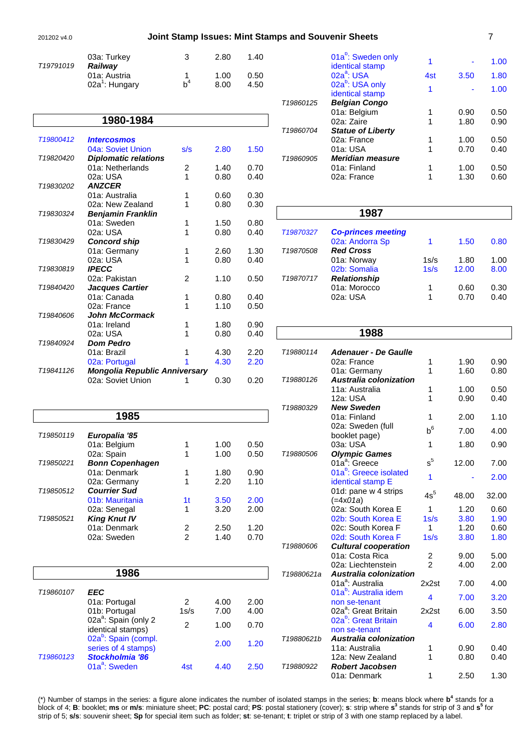#### 201202 v4.0 **Joint Stamp Issues: Mint Stamps and Souvenir Sheets** 7

| T <sub>19791019</sub> | 03a: Turkey<br><b>Railway</b>              | 3     | 2.80         | 1.40         |
|-----------------------|--------------------------------------------|-------|--------------|--------------|
|                       | 01a: Austria<br>02a <sup>1</sup> : Hungary | $b^4$ | 1.00<br>8.00 | 0.50<br>4.50 |

|           | 1980-1984                            |                |      |      |
|-----------|--------------------------------------|----------------|------|------|
| T19800412 | <i><u><b>Intercosmos</b></u></i>     |                |      |      |
|           | 04a: Soviet Union                    | s/s            | 2.80 | 1.50 |
| T19820420 | <b>Diplomatic relations</b>          |                |      |      |
|           | 01a: Netherlands                     | 2              | 1.40 | 0.70 |
|           | 02a: USA                             | 1              | 0.80 | 0.40 |
| T19830202 | <b>ANZCER</b>                        |                |      |      |
|           | 01a: Australia                       | 1              | 0.60 | 0.30 |
|           | 02a: New Zealand                     | 1              | 0.80 | 0.30 |
| T19830324 | <b>Benjamin Franklin</b>             |                |      |      |
|           | 01a: Sweden                          | 1              | 1.50 | 0.80 |
|           | 02a: USA                             | 1              | 0.80 | 0.40 |
| T19830429 | <b>Concord ship</b>                  |                |      |      |
|           | 01a: Germany                         | 1              | 2.60 | 1.30 |
|           | 02a: USA                             | 1              | 0.80 | 0.40 |
| T19830819 | <b>IPECC</b>                         |                |      |      |
|           | 02a: Pakistan                        | $\mathfrak{p}$ | 1.10 | 0.50 |
| T19840420 | <b>Jacques Cartier</b>               |                |      |      |
|           | 01a: Canada                          | 1              | 0.80 | 0.40 |
|           | 02a: France                          | 1              | 1.10 | 0.50 |
| T19840606 | John McCormack                       |                |      |      |
|           | 01a: Ireland                         | 1              | 1.80 | 0.90 |
|           | 02a: USA                             | 1              | 0.80 | 0.40 |
| T19840924 | <b>Dom Pedro</b>                     |                |      |      |
|           | 01a: Brazil                          | 1              | 4.30 | 2.20 |
|           | 02a: Portugal                        | 1              | 4.30 | 2.20 |
| T19841126 | <b>Mongolia Republic Anniversary</b> |                |      |      |
|           | 02a: Soviet Union                    | 1              | 0.30 | 0.20 |

|                       | 1985                   |    |      |      |
|-----------------------|------------------------|----|------|------|
| T19850119             | Europalia '85          |    |      |      |
|                       | 01a: Belgium           |    | 1.00 | 0.50 |
|                       | 02a: Spain             | 1  | 1.00 | 0.50 |
| T19850221             | <b>Bonn Copenhagen</b> |    |      |      |
|                       | 01a: Denmark           | 1  | 1.80 | 0.90 |
|                       | 02a: Germany           | 1  | 2.20 | 1.10 |
| T <sub>19850512</sub> | <b>Courrier Sud</b>    |    |      |      |
|                       | 01b: Mauritania        | 1t | 3.50 | 2.00 |
|                       | 02a: Senegal           | 1  | 3.20 | 2.00 |
| T19850521             | <b>King Knut IV</b>    |    |      |      |
|                       | 01a: Denmark           | 2  | 2.50 | 1.20 |
|                       | 02a: Sweden            | 2  | 1.40 | 0.70 |
|                       |                        |    |      |      |

|           | 1986                                                    |      |      |      |
|-----------|---------------------------------------------------------|------|------|------|
| T19860107 | EEC                                                     |      |      |      |
|           | 01a: Portugal                                           | 2    | 4.00 | 2.00 |
|           | 01b: Portugal                                           | 1s/s | 7.00 | 4.00 |
|           | 02a <sup>a</sup> : Spain (only 2<br>identical stamps)   | 2    | 1.00 | 0.70 |
|           | 02a <sup>b</sup> : Spain (compl.<br>series of 4 stamps) |      | 2.00 | 1.20 |
| T19860123 | Stockholmia '86<br>01a <sup>a</sup> : Sweden            | 4st  | 4 40 | 2.50 |

|           | 01a <sup>b</sup> : Sweden only<br>identical stamp |     |      | 1.00 |
|-----------|---------------------------------------------------|-----|------|------|
|           | $02a^a$ : USA                                     | 4st | 3.50 | 1.80 |
|           | 02a <sup>b</sup> : USA only<br>identical stamp    | 1   |      | 1.00 |
| T19860125 | <b>Belgian Congo</b>                              |     |      |      |
|           | 01a: Belgium                                      |     | 0.90 | 0.50 |
|           | 02a: Zaire                                        |     | 1.80 | 0.90 |
| T19860704 | <b>Statue of Liberty</b>                          |     |      |      |
|           | 02a: France                                       |     | 1.00 | 0.50 |
|           | 01a: USA                                          |     | 0.70 | 0.40 |
| T19860905 | <b>Meridian measure</b>                           |     |      |      |
|           | 01a: Finland                                      |     | 1.00 | 0.50 |
|           | 02a: France                                       |     | 1.30 | 0.60 |

|           | 1987                      |      |       |      |
|-----------|---------------------------|------|-------|------|
| T19870327 | <b>Co-princes meeting</b> |      |       |      |
|           | 02a: Andorra Sp           |      | 1.50  | 0.80 |
| T19870508 | <b>Red Cross</b>          |      |       |      |
|           | 01a: Norway               | 1s/s | 1.80  | 1.00 |
|           | 02b: Somalia              | 1s/s | 12.00 | 8.00 |
| T19870717 | <b>Relationship</b>       |      |       |      |
|           | 01a: Morocco              | 1    | 0.60  | 0.30 |
|           | 02a: USA                  | 1    | 0.70  | 0.40 |
|           |                           |      |       |      |

|            | 1988                                                    |                |       |       |
|------------|---------------------------------------------------------|----------------|-------|-------|
| T19880114  | <b>Adenauer - De Gaulle</b>                             |                |       |       |
|            | 02a: France                                             | 1              | 1.90  | 0.90  |
|            | 01a: Germany                                            | 1              | 1.60  | 0.80  |
| T19880126  | <b>Australia colonization</b>                           |                |       |       |
|            | 11a: Australia                                          | 1              | 1.00  | 0.50  |
|            | 12a: USA                                                | 1              | 0.90  | 0.40  |
| T19880329  | <b>New Sweden</b>                                       |                |       |       |
|            | 01a: Finland                                            | 1              | 2.00  | 1.10  |
|            | 02a: Sweden (full                                       | $h^6$          | 7.00  | 4.00  |
|            | booklet page)                                           |                |       |       |
|            | 03a: USA                                                | 1              | 1.80  | 0.90  |
| T19880506  | <b>Olympic Games</b>                                    |                |       |       |
|            | 01a <sup>a</sup> : Greece                               | $s^5$          | 12.00 | 7.00  |
|            | 01a <sup>b</sup> : Greece isolated<br>identical stamp E | 1              |       | 2.00  |
|            | 01d: pane w 4 strips<br>$(=\frac{4 \times 01a}{$        | $4s^5$         | 48.00 | 32.00 |
|            | 02a: South Korea E                                      | 1              | 1.20  | 0.60  |
|            | 02b: South Korea E                                      | 1s/s           | 3.80  | 1.90  |
|            | 02c: South Korea F                                      | 1              | 1.20  | 0.60  |
|            | 02d: South Korea F                                      | 1s/s           | 3.80  | 1.80  |
| T19880606  | <b>Cultural cooperation</b>                             |                |       |       |
|            | 01a: Costa Rica                                         | 2              | 9.00  | 5.00  |
|            | 02a: Liechtenstein                                      | $\mathfrak{p}$ | 4.00  | 2.00  |
| T19880621a | Australia colonization                                  |                |       |       |
|            | 01a <sup>a</sup> : Australia                            | 2x2st          | 7.00  | 4.00  |
|            | 01a <sup>b</sup> : Australia idem                       | 4              | 7.00  | 3.20  |
|            | non se-tenant<br>02a <sup>a</sup> : Great Britain       | 2x2st          | 6.00  |       |
|            | 02a <sup>b</sup> : Great Britain                        |                |       | 3.50  |
|            | non se-tenant                                           | 4              | 6.00  | 2.80  |
| T19880621b | Australia colonization                                  |                |       |       |
|            | 11a: Australia                                          | 1              | 0.90  | 0.40  |
|            | 12a: New Zealand                                        | 1              | 0.80  | 0.40  |
| T19880922  | <b>Robert Jacobsen</b>                                  |                |       |       |
|            | 01a: Denmark                                            | 1              | 2.50  | 1.30  |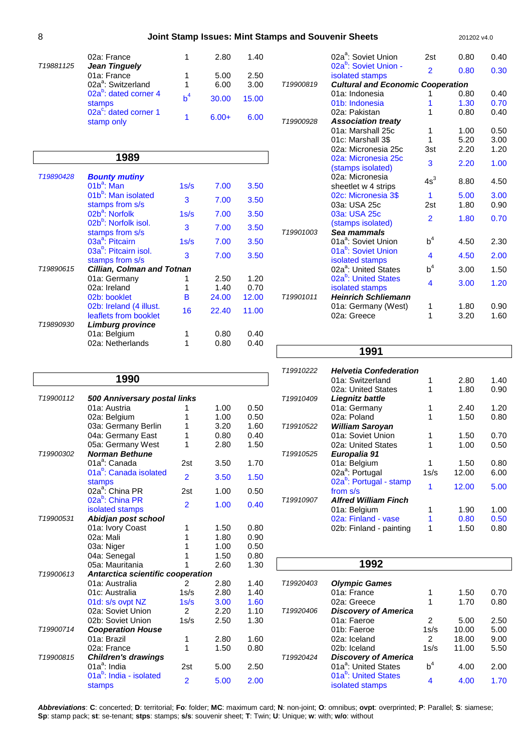### 8 **Joint Stamp Issues: Mint Stamps and Souvenir Sheets** 201202 v4.0

| T19881125 | 02a: France<br><b>Jean Tinguely</b>             |       | 2.80         | 1.40         |  |
|-----------|-------------------------------------------------|-------|--------------|--------------|--|
|           | 01a: France<br>02a <sup>a</sup> : Switzerland   | 1     | 5.00<br>6.00 | 2.50<br>3.00 |  |
|           | 02a <sup>b</sup> : dated corner 4               | $b^4$ |              |              |  |
|           | stamps                                          |       | 30.00        | 15.00        |  |
|           | 02a <sup>c</sup> : dated corner 1<br>stamp only |       | $6.00+$      | 6.00         |  |

### **1989**

| T19890428                                           | <b>Bounty mutiny</b>                                 |      |       |       |
|-----------------------------------------------------|------------------------------------------------------|------|-------|-------|
|                                                     | $01b^a$ : Man                                        | 1s/s | 7.00  | 3.50  |
|                                                     | 01b <sup>b</sup> : Man isolated<br>stamps from s/s   | 3    | 7.00  | 3.50  |
|                                                     | 02b <sup>a</sup> : Norfolk                           | 1s/s | 7.00  | 3.50  |
| 02b <sup>b</sup> : Norfolk isol.<br>stamps from s/s | 3                                                    | 7.00 | 3.50  |       |
|                                                     | 03a <sup>a</sup> : Pitcairn                          | 1s/s | 7.00  | 3.50  |
|                                                     | 03a <sup>b</sup> : Pitcairn isol.<br>stamps from s/s | 3    | 7.00  | 3.50  |
| T19890615                                           | <b>Cillian, Colman and Totnan</b>                    |      |       |       |
|                                                     | 01a: Germany                                         | 1    | 2.50  | 1.20  |
|                                                     | 02a: Ireland                                         | 1    | 1.40  | 0.70  |
|                                                     | 02b: booklet                                         | в    | 24.00 | 12.00 |
|                                                     | 02b: Ireland (4 illust.<br>leaflets from booklet     | 16   | 22.40 | 11.00 |
| T19890930                                           | Limburg province                                     |      |       |       |
|                                                     | 01a: Belgium                                         |      | 0.80  | 0.40  |
|                                                     | 02a: Netherlands                                     |      | 0.80  | 0.40  |

|           | 02a <sup>a</sup> : Soviet Union                                  | 2st            | 0.80         | 0.40         |
|-----------|------------------------------------------------------------------|----------------|--------------|--------------|
|           | 02a <sup>b</sup> : Soviet Union -<br>isolated stamps             | $\overline{2}$ | 0.80         | 0.30         |
| T19900819 | <b>Cultural and Economic Cooperation</b>                         |                |              |              |
|           | 01a: Indonesia                                                   |                | 0.80         | 0.40         |
|           | 01b: Indonesia                                                   | 1              | 1.30         | 0.70         |
|           | 02a: Pakistan                                                    | 1              | 0.80         | 0.40         |
| T19900928 | <b>Association treaty</b>                                        |                |              |              |
|           | 01a: Marshall 25c                                                | 1              | 1.00         | 0.50         |
|           | 01c: Marshall 3\$                                                | 1              | 5.20         | 3.00         |
|           | 02a: Micronesia 25c                                              | 3st            | 2.20         | 1.20         |
|           | 02a: Micronesia 25c<br>(stamps isolated)                         | 3              | 2.20         | 1.00         |
|           | 02a: Micronesia<br>sheetlet w 4 strips                           | $4s^3$         | 8.80         | 4.50         |
|           | 02c: Micronesia 3\$                                              | 1              | 5.00         | 3.00         |
|           | 03a: USA 25c                                                     | 2st            | 1.80         | 0.90         |
|           | 03a: USA 25c<br>(stamps isolated)                                | $\overline{2}$ | 1.80         | 0.70         |
| T19901003 | Sea mammals                                                      |                |              |              |
|           | 01a <sup>a</sup> : Soviet Union                                  | $b^4$          | 4.50         | 2.30         |
|           | 01a <sup>b</sup> : Soviet Union<br>isolated stamps               | 4              | 4.50         | 2.00         |
|           | 02a <sup>a</sup> : United States                                 | $\mathsf{b}^4$ | 3.00         | 1.50         |
|           | 02a <sup>b</sup> : United States<br>isolated stamps              | 4              | 3.00         | 1.20         |
| T19901011 | <b>Heinrich Schliemann</b><br>01a: Germany (West)<br>02a: Greece | 1<br>1         | 1.80<br>3.20 | 0.90<br>1.60 |
|           |                                                                  |                |              |              |

## **1991**

|    | T19910222             | <b>Helvetia Confederation</b>       |      |       |      |
|----|-----------------------|-------------------------------------|------|-------|------|
|    |                       | 01a: Switzerland                    | 1    | 2.80  | 1.40 |
|    |                       | 02a: United States                  | 1    | 1.80  | 0.90 |
|    | T19910409             | Liegnitz battle                     |      |       |      |
| 50 |                       | 01a: Germany                        |      | 2.40  | 1.20 |
| 50 |                       | 02a: Poland                         |      | 1.50  | 0.80 |
| 60 | T19910522             | <b>William Saroyan</b>              |      |       |      |
| 40 |                       | 01a: Soviet Union                   | 1    | 1.50  | 0.70 |
| 50 |                       | 02a: United States                  | 1    | 1.00  | 0.50 |
|    | T <sub>19910525</sub> | Europalia 91                        |      |       |      |
| 70 |                       | 01a: Belgium                        | 1    | 1.50  | 0.80 |
| 50 |                       | 02a <sup>a</sup> : Portugal         | 1s/s | 12.00 | 6.00 |
|    |                       | 02a <sup>b</sup> : Portugal - stamp | 1    | 12.00 | 5.00 |
| 50 |                       | from s/s                            |      |       |      |
| 40 | T19910907             | <b>Alfred William Finch</b>         |      |       |      |
|    |                       | 01a: Belgium                        |      | 1.90  | 1.00 |
|    |                       | 02a: Finland - vase                 |      | 0.80  | 0.50 |
| 80 |                       | 02b: Finland - painting             | 1    | 1.50  | 0.80 |
| 90 |                       |                                     |      |       |      |
|    |                       |                                     |      |       |      |

|           | 1992                                                |       |       |      |
|-----------|-----------------------------------------------------|-------|-------|------|
| T19920403 | <b>Olympic Games</b>                                |       |       |      |
|           | 01a: France                                         |       | 1.50  | 0.70 |
|           | 02a: Greece                                         |       | 1.70  | 0.80 |
| T19920406 | <b>Discovery of America</b>                         |       |       |      |
|           | 01a: Faeroe                                         | 2     | 5.00  | 2.50 |
|           | 01b: Faeroe                                         | 1s/s  | 10.00 | 5.00 |
|           | 02a: Iceland                                        | 2     | 18.00 | 9.00 |
|           | 02b: Iceland                                        | 1s/s  | 11.00 | 5.50 |
| T19920424 | <b>Discovery of America</b>                         |       |       |      |
|           | 01a <sup>a</sup> : United States                    | $b^4$ | 4.00  | 2.00 |
|           | 01a <sup>b</sup> : United States<br>isolated stamps | 4     | 4.00  | 1.70 |
|           |                                                     |       |       |      |

|           | 1990                                                 |                |      |      |
|-----------|------------------------------------------------------|----------------|------|------|
| T19900112 | 500 Anniversary postal links                         |                |      |      |
|           | 01a: Austria                                         | 1              | 1.00 | 0.50 |
|           | 02a: Belgium                                         | 1              | 1.00 | 0.50 |
|           | 03a: Germany Berlin                                  | 1              | 3.20 | 1.60 |
|           | 04a: Germany East                                    | 1              | 0.80 | 0.40 |
|           | 05a: Germany West                                    | 1              | 2.80 | 1.50 |
| T19900302 | <b>Norman Bethune</b>                                |                |      |      |
|           | 01a <sup>a</sup> : Canada                            | 2st            | 3.50 | 1.70 |
|           | 01a <sup>p</sup> : Canada isolated                   | $\overline{2}$ | 3.50 | 1.50 |
|           | stamps                                               |                |      |      |
|           | 02a <sup>a</sup> : China PR                          | 2st            | 1.00 | 0.50 |
|           | 02a <sup>b</sup> : China PR                          | 2              | 1.00 | 0.40 |
|           | isolated stamps                                      |                |      |      |
| T19900531 | Abidjan post school                                  |                |      |      |
|           | 01a: Ivory Coast                                     | 1              | 1.50 | 0.80 |
|           | 02a: Mali                                            | 1              | 1.80 | 0.90 |
|           | 03a: Niger                                           | 1              | 1.00 | 0.50 |
|           | 04a: Senegal                                         | 1              | 1.50 | 0.80 |
|           | 05a: Mauritania                                      | 1              | 2.60 | 1.30 |
| T19900613 | Antarctica scientific cooperation                    |                |      |      |
|           | 01a: Australia                                       | $\overline{2}$ | 2.80 | 1.40 |
|           | 01c: Australia                                       | 1s/s           | 2.80 | 1.40 |
|           | 01d: s/s ovpt NZ                                     | 1s/s           | 3.00 | 1.60 |
|           | 02a: Soviet Union                                    | 2              | 2.20 | 1.10 |
|           | 02b: Soviet Union                                    | 1s/s           | 2.50 | 1.30 |
| T19900714 | <b>Cooperation House</b>                             |                |      |      |
|           | 01a: Brazil                                          | 1              | 2.80 | 1.60 |
|           | 02a: France                                          | 1              | 1.50 | 0.80 |
| T19900815 | <b>Children's drawings</b>                           |                |      |      |
|           | $01a^a$ : India                                      | 2st            | 5.00 | 2.50 |
|           | 01a <sup>b</sup> : India - isolated<br><b>stamps</b> | $\overline{2}$ | 5.00 | 2.00 |
|           |                                                      |                |      |      |

**Abbreviations**: **C**: concerted; **D**: territorial; **Fo**: folder; **MC**: maximum card; **N**: non-joint; **O**: omnibus; **ovpt**: overprinted; **P**: Parallel; **S**: siamese; **Sp**: stamp pack; **st**: se-tenant; **stps**: stamps; **s/s**: souvenir sheet; **T**: Twin; **U**: Unique; **w**: with; **w/o**: without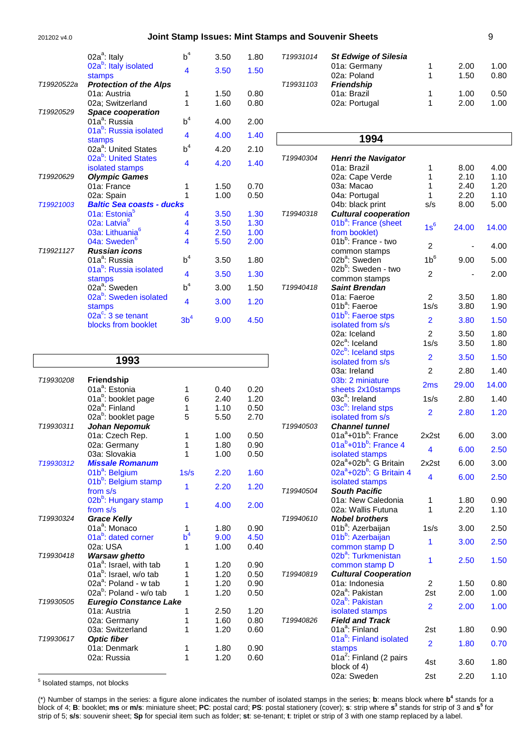#### 201202 v4.0 **Joint Stamp Issues: Mint Stamps and Souvenir Sheets** 9

|            | $02a^a$ : Italy                              | $b^4$           | 3.50 | 1.80 |
|------------|----------------------------------------------|-----------------|------|------|
|            | 02a <sup>b</sup> : Italy isolated            | 4               | 3.50 | 1.50 |
| T19920522a | stamps<br><b>Protection of the Alps</b>      |                 |      |      |
|            | 01a: Austria                                 | 1               | 1.50 | 0.80 |
|            | 02a; Switzerland                             | 1               | 1.60 | 0.80 |
| T19920529  | <b>Space cooperation</b>                     |                 |      |      |
|            | 01a <sup>a</sup> : Russia                    | $b^4$           | 4.00 | 2.00 |
|            | 01a <sup>b</sup> : Russia isolated           | 4               | 4.00 | 1.40 |
|            | stamps                                       | $b^4$           |      |      |
|            | 02a <sup>a</sup> : United States             |                 | 4.20 | 2.10 |
|            | 02a <sup>b</sup> : United States             | 4               | 4.20 | 1.40 |
| T19920629  | isolated stamps<br><b>Olympic Games</b>      |                 |      |      |
|            | 01a: France                                  | 1               | 1.50 | 0.70 |
|            | 02a: Spain                                   | 1               | 1.00 | 0.50 |
| T19921003  | <b>Baltic Sea coasts - ducks</b>             |                 |      |      |
|            | 01a: Estonia <sup>5</sup>                    | 4               | 3.50 | 1.30 |
|            | 02a: Latvia <sup>6</sup>                     | 4               | 3.50 | 1.30 |
|            | 03a: Lithuania <sup>6</sup>                  | 4               | 2.50 | 1.00 |
|            | 04a: Sweden <sup>6</sup>                     | 4               | 5.50 | 2.00 |
| T19921127  | <b>Russian icons</b>                         |                 |      |      |
|            | 01a <sup>a</sup> : Russia                    | $b^4$           | 3.50 | 1.80 |
|            | 01a <sup>b</sup> : Russia isolated           | 4               | 3.50 | 1.30 |
|            | stamps<br>02a <sup>a</sup> : Sweden          | $b^4$           | 3.00 | 1.50 |
|            | 02a <sup>b</sup> : Sweden isolated           |                 |      |      |
|            | stamps                                       | 4               | 3.00 | 1.20 |
|            | $02a^c$ : 3 se tenant<br>blocks from booklet | 3b <sup>4</sup> | 9.00 | 4.50 |

|                       | 1993                                |       |      |      |
|-----------------------|-------------------------------------|-------|------|------|
| T19930208             | <b>Friendship</b>                   |       |      |      |
|                       | 01a <sup>a</sup> : Estonia          | 1     | 0.40 | 0.20 |
|                       | 01a <sup>b</sup> : booklet page     | 6     | 2.40 | 1.20 |
|                       | 02a <sup>a</sup> : Finland          | 1     | 1.10 | 0.50 |
|                       | 02a <sup>b</sup> : booklet page     | 5     | 5.50 | 2.70 |
| T <sub>19930311</sub> | Johan Nepomuk                       |       |      |      |
|                       | 01a: Czech Rep.                     | 1     | 1.00 | 0.50 |
|                       | 02a: Germany                        | 1     | 1.80 | 0.90 |
|                       | 03a: Slovakia                       | 1     | 1.00 | 0.50 |
| T <sub>19930312</sub> | <b>Missale Romanum</b>              |       |      |      |
|                       | 01b <sup>a</sup> : Belgium          | 1s/s  | 2.20 | 1.60 |
|                       | 01b <sup>b</sup> : Belgium stamp    |       |      |      |
|                       | from s/s                            | 1     | 2.20 | 1.20 |
|                       | 02b <sup>b</sup> : Hungary stamp    |       |      |      |
|                       | from s/s                            | 1     | 4.00 | 2.00 |
| T19930324             | <b>Grace Kelly</b>                  |       |      |      |
|                       | 01a <sup>a</sup> : Monaco           | 1     | 1.80 | 0.90 |
|                       | 01a <sup>b</sup> : dated corner     | $b^4$ | 9.00 | 4.50 |
|                       | 02a: USA                            | 1     | 1.00 | 0.40 |
| T19930418             | <b>Warsaw ghetto</b>                |       |      |      |
|                       | 01a <sup>a</sup> : Israel, with tab | 1     | 1.20 | 0.90 |
|                       | 01a <sup>b</sup> : Israel, w/o tab  | 1     | 1.20 | 0.50 |
|                       | 02a <sup>a</sup> : Poland - w tab   | 1     | 1.20 | 0.90 |
|                       | 02a <sup>b</sup> : Poland - w/o tab | 1     | 1.20 | 0.50 |
| T <sub>19930505</sub> | <b>Euregio Constance Lake</b>       |       |      |      |
|                       | 01a: Austria                        | 1     | 2.50 | 1.20 |
|                       | 02a: Germany                        | 1     | 1.60 | 0.80 |
|                       | 03a: Switzerland                    | 1     | 1.20 | 0.60 |
| T19930617             | <b>Optic fiber</b>                  |       |      |      |
|                       | 01a: Denmark                        | 1     | 1.80 | 0.90 |
|                       | 02a: Russia                         | 1     | 1.20 | 0.60 |
|                       |                                     |       |      |      |

| T19931014             | <b>St Edwige of Silesia</b> |      |      |
|-----------------------|-----------------------------|------|------|
|                       | 01a: Germany                | 2.00 | 1.00 |
|                       | 02a: Poland                 | 1.50 | 0.80 |
| T <sub>19931103</sub> | <b>Friendship</b>           |      |      |
|                       | 01a: Brazil                 | 1.00 | 0.50 |
|                       | 02a: Portugal               | 2.00 | 1.00 |
|                       |                             |      |      |

### **1994**

| T19940304 |                                                          |                |       |       |
|-----------|----------------------------------------------------------|----------------|-------|-------|
|           | <b>Henri the Navigator</b><br>01a: Brazil                | 1              | 8.00  | 4.00  |
|           | 02a: Cape Verde                                          | 1              | 2.10  | 1.10  |
|           |                                                          | 1              |       |       |
|           | 03a: Macao                                               | 1              | 2.40  | 1.20  |
|           | 04a: Portugal                                            |                | 2.20  | 1.10  |
|           | 04b: black print                                         | s/s            | 8.00  | 5.00  |
| T19940318 | <b>Cultural cooperation</b>                              |                |       |       |
|           | 01b <sup>a</sup> : France (sheet                         | $1s^6$         | 24.00 | 14.00 |
|           | from booklet)                                            |                |       |       |
|           | 01b <sup>b</sup> : France - two                          | 2              |       | 4.00  |
|           | common stamps                                            | $1b^6$         |       |       |
|           | 02b <sup>a</sup> : Sweden                                |                | 9.00  | 5.00  |
|           | 02b <sup>b</sup> : Sweden - two                          | $\overline{2}$ |       | 2.00  |
|           | common stamps                                            |                |       |       |
| T19940418 | <b>Saint Brendan</b>                                     |                |       |       |
|           | 01a: Faeroe<br>01b <sup>a</sup> : Faeroe                 | $\overline{2}$ | 3.50  | 1.80  |
|           |                                                          | 1s/s           | 3.80  | 1.90  |
|           | 01b <sup>b</sup> : Faeroe stps                           | $\overline{2}$ | 3.80  | 1.50  |
|           | isolated from s/s                                        |                |       |       |
|           | 02a: Iceland                                             | 2              | 3.50  | 1.80  |
|           | 02c <sup>a</sup> : Iceland                               | 1s/s           | 3.50  | 1.80  |
|           | 02c <sup>b</sup> : Iceland stps<br>isolated from s/s     | $\overline{2}$ | 3.50  | 1.50  |
|           | 03a: Ireland                                             | $\overline{2}$ | 2.80  | 1.40  |
|           | 03b: 2 miniature                                         |                |       |       |
|           | sheets 2x10stamps                                        | 2ms            | 29.00 | 14.00 |
|           | $03c^a$ : Ireland                                        | 1s/s           | 2.80  | 1.40  |
|           | 03c <sup>b</sup> : Ireland stps                          | $\overline{2}$ | 2.80  | 1.20  |
|           | isolated from s/s                                        |                |       |       |
| T19940503 | <b>Channel tunnel</b>                                    |                |       |       |
|           | $01a^4 + 01b^4$ : France<br>$01a^{b}+01b^{b}$ : France 4 | 2x2st          | 6.00  | 3.00  |
|           | isolated stamps                                          | 4              | 6.00  | 2.50  |
|           | 02a <sup>a</sup> +02b <sup>a</sup> : G Britain           | 2x2st          | 6.00  | 3.00  |
|           | $02a^a + 02b^b$ : G Britain 4                            |                |       |       |
|           | isolated stamps                                          | 4              | 6.00  | 2.50  |
| T19940504 | <b>South Pacific</b>                                     |                |       |       |
|           | 01a: New Caledonia                                       | 1              | 1.80  | 0.90  |
|           | 02a: Wallis Futuna                                       | 1              | 2.20  | 1.10  |
| T19940610 | <b>Nobel brothers</b>                                    |                |       |       |
|           | 01b <sup>a</sup> : Azerbaijan                            | 1s/s           | 3.00  | 2.50  |
|           | 01b <sup>b</sup> : Azerbaijan                            | 1              | 3.00  | 2.50  |
|           | common stamp D                                           |                |       |       |
|           | 02b <sup>a</sup> : Turkmenistan                          | 1              | 2.50  | 1.50  |
|           | common stamp D                                           |                |       |       |
| T19940819 | <b>Cultural Cooperation</b>                              |                |       |       |
|           | 01a: Indonesia                                           | 2              | 1.50  | 0.80  |
|           | 02a <sup>a</sup> : Pakistan                              | 2st            | 2.00  | 1.00  |
|           | 02a <sup>b</sup> : Pakistan                              | $\overline{2}$ | 2.00  | 1.00  |
|           | isolated stamps                                          |                |       |       |
| T19940826 | <b>Field and Track</b>                                   |                |       |       |
|           | 01a <sup>a</sup> : Finland                               | 2st            | 1.80  | 0.90  |
|           | 01a <sup>b</sup> : Finland isolated                      | $\overline{2}$ | 1.80  | 0.70  |
|           | stamps                                                   |                |       |       |
|           | 01a <sup>2</sup> : Finland (2 pairs                      | 4st            | 3.60  | 1.80  |
|           | block of 4)                                              |                |       |       |
|           | 02a: Sweden                                              | 2st            | 2.20  | 1.10  |

<u>s</u><br><sup>5</sup> Isolated stamps, not blocks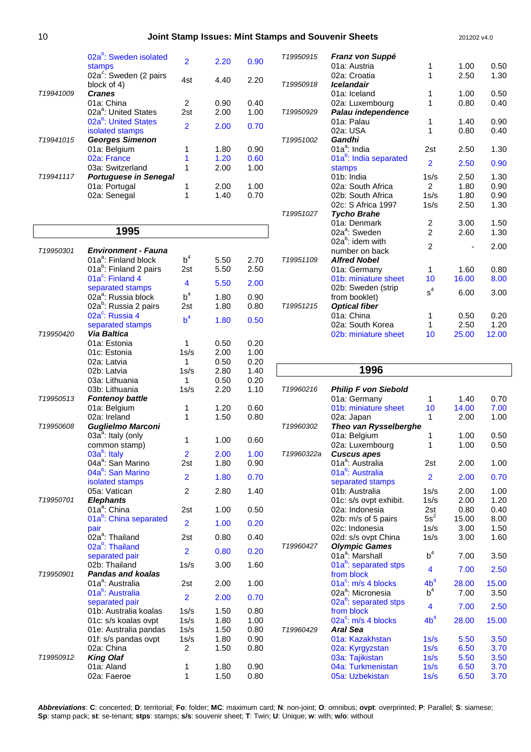|                       | 02a <sup>b</sup> : Sweden isolated<br>stamps                    | 2                        | 2.20         | 0.90         |
|-----------------------|-----------------------------------------------------------------|--------------------------|--------------|--------------|
|                       | 02a <sup>2</sup> : Sweden (2 pairs<br>block of 4)               | 4st                      | 4.40         | 2.20         |
| T19941009             | <b>Cranes</b><br>01a: China<br>02a <sup>a</sup> : United States | 2<br>2st                 | 0.90<br>2.00 | 0.40<br>1.00 |
|                       | 02a <sup>b</sup> : United States<br>isolated stamps             | $\overline{\phantom{a}}$ | 2.00         | 0.70         |
| T19941015             | <b>Georges Simenon</b>                                          |                          |              |              |
|                       | 01a: Belgium                                                    |                          | 1.80         | 0.90         |
|                       | 02a: France                                                     |                          | 1.20         | 0.60         |
|                       | 03a: Switzerland                                                | 1                        | 2.00         | 1.00         |
| T <sub>19941117</sub> | <b>Portuguese in Senegal</b><br>01a: Portugal<br>02a: Senegal   |                          | 2.00<br>1.40 | 1.00<br>0.70 |

### **1995**

| T19950301             | <b>Environment - Fauna</b>                                 |                |      |              |  |
|-----------------------|------------------------------------------------------------|----------------|------|--------------|--|
|                       | 01a <sup>a</sup> : Finland block                           | $b^4$          | 5.50 | 2.70         |  |
|                       | 01a <sup>b</sup> : Finland 2 pairs                         | 2st            | 5.50 | 2.50         |  |
|                       | 01a $\mathrm{^c}$ : Finland 4                              |                |      |              |  |
|                       | separated stamps                                           | 4              | 5.50 | 2.00         |  |
|                       | 02a <sup>a</sup> : Russia block                            | $b^4$          | 1.80 | 0.90         |  |
|                       | 02a <sup>b</sup> : Russia 2 pairs                          | 2st            | 1.80 | 0.80         |  |
|                       | 02a <sup>c</sup> : Russia 4                                | b <sup>4</sup> | 1.80 | 0.50         |  |
|                       | separated stamps                                           |                |      |              |  |
| T19950420             | <b>Via Baltica</b>                                         |                |      |              |  |
|                       | 01a: Estonia                                               | 1              | 0.50 | 0.20         |  |
|                       | 01c: Estonia                                               | 1s/s           | 2.00 | 1.00         |  |
|                       | 02a: Latvia                                                | 1              | 0.50 | 0.20         |  |
|                       | 02b: Latvia                                                | 1s/s           | 2.80 | 1.40         |  |
|                       | 03a: Lithuania                                             | 1              | 0.50 | 0.20         |  |
| T <sub>19950513</sub> | 03b: Lithuania                                             | 1s/s           | 2.20 | 1.10         |  |
|                       | <b>Fontenoy battle</b><br>01a: Belgium                     | 1              | 1.20 |              |  |
|                       | 02a: Ireland                                               | 1              | 1.50 | 0.60<br>0.80 |  |
| T19950608             | Guglielmo Marconi                                          |                |      |              |  |
|                       | 03a <sup>a</sup> : Italy (only                             |                |      |              |  |
|                       | common stamp)                                              | 1              | 1.00 | 0.60         |  |
|                       | 03a <sup>b</sup> : Italy                                   | $\overline{2}$ | 2.00 | 1.00         |  |
|                       | 04a <sup>a</sup> : San Marino                              | 2st            | 1.80 | 0.90         |  |
|                       | 04a <sup>b</sup> : San Marino                              |                |      |              |  |
|                       | isolated stamps                                            | $\overline{2}$ | 1.80 | 0.70         |  |
|                       | 05a: Vatican                                               | $\overline{2}$ | 2.80 | 1.40         |  |
| T19950701             | <b>Elephants</b>                                           |                |      |              |  |
|                       | 01a <sup>a</sup> : China                                   | 2st            | 1.00 | 0.50         |  |
|                       | 01a <sup>b</sup> : China separated                         | $\overline{2}$ | 1.00 | 0.20         |  |
|                       | pair                                                       |                |      |              |  |
|                       | 02a <sup>a</sup> : Thailand<br>02a <sup>b</sup> : Thailand | 2st            | 0.80 | 0.40         |  |
|                       |                                                            | 2              | 0.80 | 0.20         |  |
|                       | separated pair<br>02b: Thailand                            | 1s/s           | 3.00 | 1.60         |  |
| T19950901             | <b>Pandas and koalas</b>                                   |                |      |              |  |
|                       | 01a <sup>a</sup> : Australia                               | 2st            | 2.00 | 1.00         |  |
|                       | 01a <sup>b</sup> : Australia                               |                |      |              |  |
|                       | separated pair                                             | $\overline{2}$ | 2.00 | 0.70         |  |
|                       | 01b: Australia koalas                                      | 1s/s           | 1.50 | 0.80         |  |
|                       | 01c: s/s koalas ovpt                                       | 1s/s           | 1.80 | 1.00         |  |
|                       | 01e: Australia pandas                                      | 1s/s           | 1.50 | 0.80         |  |
|                       | 01f: s/s pandas ovpt                                       | 1s/s           | 1.80 | 0.90         |  |
|                       | 02a: China                                                 | $\overline{2}$ | 1.50 | 0.80         |  |
| T19950912             | <b>King Olaf</b>                                           |                |      |              |  |
|                       | 01a: Aland                                                 | 1              | 1.80 | 0.90         |  |
|                       | 02a: Faeroe                                                | 1              | 1.50 | 0.80         |  |

| T19950915 | Franz von Suppé                    |                |       |       |
|-----------|------------------------------------|----------------|-------|-------|
|           | 01a: Austria                       | 1              | 1.00  | 0.50  |
|           | 02a: Croatia                       | 1              | 2.50  | 1.30  |
| T19950918 | <b>Icelandair</b>                  |                |       |       |
|           | 01a: Iceland                       | 1              | 1.00  | 0.50  |
|           | 02a: Luxembourg                    | 1              | 0.80  | 0.40  |
| T19950929 | Palau independence                 |                |       |       |
|           | 01a: Palau                         | 1              | 1.40  | 0.90  |
|           | 02a: USA                           | 1              | 0.80  | 0.40  |
| T19951002 | Gandhi                             |                |       |       |
|           | 01a <sup>a</sup> : India           | 2st            | 2.50  | 1.30  |
|           | 01a <sup>b</sup> : India separated | $\overline{2}$ | 2.50  | 0.90  |
|           | stamps                             |                |       |       |
|           | 01b: India                         | 1s/s           | 2.50  | 1.30  |
|           | 02a: South Africa                  | $\mathfrak{p}$ | 1.80  | 0.90  |
|           | 02b: South Africa                  | 1s/s           | 1.80  | 0.90  |
|           | 02c: S Africa 1997                 | 1s/s           | 2.50  | 1.30  |
| T19951027 | <b>Tycho Brahe</b>                 |                |       |       |
|           | 01a: Denmark                       | 2              | 3.00  | 1.50  |
|           | 02a <sup>a</sup> : Sweden          | $\overline{2}$ | 2.60  | 1.30  |
|           | 02a <sup>b</sup> : idem with       | $\overline{2}$ |       | 2.00  |
|           | number on back                     |                |       |       |
| T19951109 | <b>Alfred Nobel</b>                |                |       |       |
|           | 01a: Germany                       | 1              | 1.60  | 0.80  |
|           | 01b: miniature sheet               | 10             | 16.00 | 8.00  |
|           | 02b: Sweden (strip                 | $\rm s^4$      | 6.00  | 3.00  |
|           | from booklet)                      |                |       |       |
| T19951215 | <b>Optical fiber</b>               |                |       |       |
|           | 01a: China                         | 1              | 0.50  | 0.20  |
|           | 02a: South Korea                   | 1              | 2.50  | 1.20  |
|           | 02b: miniature sheet               | 10             | 25.00 | 12.00 |

### **1996**

| T19960216  | <b>Philip F von Siebold</b>                     |                 |       |       |
|------------|-------------------------------------------------|-----------------|-------|-------|
|            | 01a: Germany                                    | 1               | 1.40  | 0.70  |
|            | 01b: miniature sheet                            | 10              | 14.00 | 7.00  |
|            | 02a: Japan                                      | 1               | 2.00  | 1.00  |
| T19960302  | Theo van Rysselberghe                           |                 |       |       |
|            | 01a: Belgium                                    | 1               | 1.00  | 0.50  |
|            | 02a: Luxembourg                                 | 1               | 1.00  | 0.50  |
| T19960322a | <b>Cuscus apes</b>                              |                 |       |       |
|            | 01a <sup>a</sup> : Australia                    | 2st             | 2.00  | 1.00  |
|            | 01a <sup>b</sup> : Australia                    | $\overline{2}$  | 2.00  | 0.70  |
|            | separated stamps                                |                 |       |       |
|            | 01b: Australia                                  | 1s/s            | 2.00  | 1.00  |
|            | 01c: s/s ovpt exhibit.                          | 1s/s            | 2.00  | 1.20  |
|            | 02a: Indonesia                                  | 2st             | 0.80  | 0.40  |
|            | 02b: m/s of 5 pairs                             | $5s^2$          | 15.00 | 8.00  |
|            | 02c: Indonesia                                  | 1s/s            | 3.00  | 1.50  |
|            | 02d: s/s ovpt China                             | 1s/s            | 3.00  | 1.60  |
| T19960427  | <b>Olympic Games</b>                            |                 |       |       |
|            | 01a <sup>a</sup> : Marshall                     | $b^4$           | 7.00  | 3.50  |
|            | 01a <sup>b</sup> : separated stps<br>from block | 4               | 7.00  | 2.50  |
|            | $01a^c$ : m/s 4 blocks                          | 4b <sup>4</sup> | 28.00 | 15.00 |
|            | 02a <sup>a</sup> : Micronesia                   | $b^4$           | 7.00  | 3.50  |
|            | 02a <sup>b</sup> : separated stps<br>from block | 4               | 7.00  | 2.50  |
|            | 02a <sup>c</sup> : m/s 4 blocks                 | 4b <sup>4</sup> | 28.00 | 15.00 |
| T19960429  | Aral Sea                                        |                 |       |       |
|            | 01a: Kazakhstan                                 | 1s/s            | 5.50  | 3.50  |
|            | 02a: Kyrgyzstan                                 | 1s/s            | 6.50  | 3.70  |
|            | 03a: Tajikistan                                 | 1s/s            | 5.50  | 3.50  |
|            | 04a: Turkmenistan                               | 1s/s            | 6.50  | 3.70  |
|            | 05a: Uzbekistan                                 | 1s/s            | 6.50  | 3.70  |
|            |                                                 |                 |       |       |

**Abbreviations**: **C**: concerted; **D**: territorial; **Fo**: folder; **MC**: maximum card; **N**: non-joint; **O**: omnibus; **ovpt**: overprinted; **P**: Parallel; **S**: siamese; **Sp**: stamp pack; **st**: se-tenant; **stps**: stamps; **s/s**: souvenir sheet; **T**: Twin; **U**: Unique; **w**: with; **w/o**: without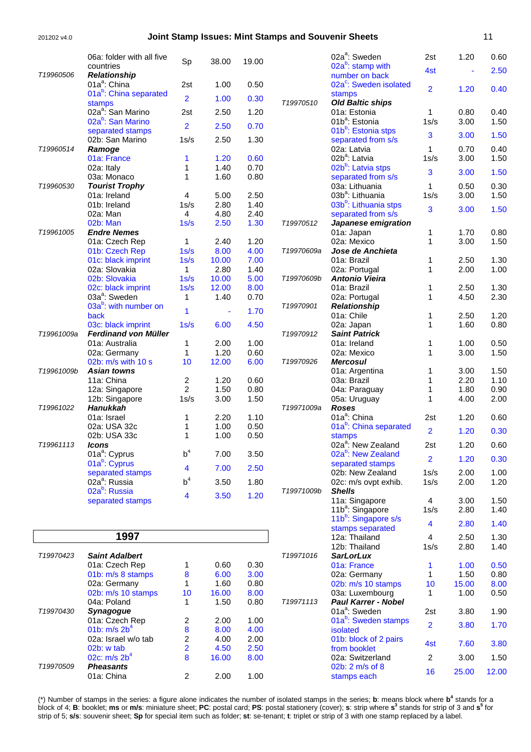#### 201202 v4.0 **Joint Stamp Issues: Mint Stamps and Souvenir Sheets** 11

|            | 06a: folder with all five                       | Sp                      | 38.00         | 19.00        |            | 02a <sup>a</sup> : Sweden                             | 2st                     | 1.20         | 0.60         |
|------------|-------------------------------------------------|-------------------------|---------------|--------------|------------|-------------------------------------------------------|-------------------------|--------------|--------------|
|            | countries                                       |                         |               |              |            | $02a^b$ : stamp with                                  | 4st                     | ä            | 2.50         |
| T19960506  | <b>Relationship</b><br>01a <sup>a</sup> : China |                         |               |              |            | number on back<br>02a <sup>c</sup> : Sweden isolated  |                         |              |              |
|            | 01a <sup>b</sup> : China separated              | 2st                     | 1.00          | 0.50         |            | stamps                                                | $\overline{2}$          | 1.20         | 0.40         |
|            | stamps                                          | $\overline{2}$          | 1.00          | 0.30         | T19970510  | <b>Old Baltic ships</b>                               |                         |              |              |
|            | 02a <sup>a</sup> : San Marino                   | 2st                     | 2.50          | 1.20         |            | 01a: Estonia                                          | 1                       | 0.80         | 0.40         |
|            | 02a <sup>b</sup> : San Marino                   | $\overline{2}$          | 2.50          | 0.70         |            | 01b <sup>a</sup> : Estonia                            | 1s/s                    | 3.00         | 1.50         |
|            | separated stamps                                |                         |               | 1.30         |            | 01b <sup>b</sup> : Estonia stps<br>separated from s/s | 3                       | 3.00         | 1.50         |
| T19960514  | 02b: San Marino<br>Ramoge                       | 1s/s                    | 2.50          |              |            | 02a: Latvia                                           | $\mathbf{1}$            | 0.70         | 0.40         |
|            | 01a: France                                     | 1                       | 1.20          | 0.60         |            | 02b <sup>a</sup> : Latvia                             | 1s/s                    | 3.00         | 1.50         |
|            | 02a: Italy                                      | 1                       | 1.40          | 0.70         |            | 02b <sup>b</sup> : Latvia stps                        | 3                       | 3.00         | 1.50         |
|            | 03a: Monaco                                     | 1                       | 1.60          | 0.80         |            | separated from s/s                                    |                         |              |              |
| T19960530  | <b>Tourist Trophy</b><br>01a: Ireland           | 4                       | 5.00          | 2.50         |            | 03a: Lithuania<br>03b <sup>a</sup> : Lithuania        | 1<br>1s/s               | 0.50<br>3.00 | 0.30<br>1.50 |
|            | 01b: Ireland                                    | 1s/s                    | 2.80          | 1.40         |            | 03b <sup>b</sup> : Lithuania stps                     |                         |              |              |
|            | 02a: Man                                        | $\overline{4}$          | 4.80          | 2.40         |            | separated from s/s                                    | 3                       | 3.00         | 1.50         |
|            | 02b: Man                                        | 1s/s                    | 2.50          | 1.30         | T19970512  | Japanese emigration                                   |                         |              |              |
| T19961005  | <b>Endre Nemes</b>                              |                         |               |              |            | 01a: Japan                                            | 1                       | 1.70         | 0.80         |
|            | 01a: Czech Rep                                  | 1                       | 2.40          | 1.20         |            | 02a: Mexico                                           | 1                       | 3.00         | 1.50         |
|            | 01b: Czech Rep                                  | 1s/s                    | 8.00          | 4.00         | T19970609a | Jose de Anchieta                                      |                         |              |              |
|            | 01c: black imprint<br>02a: Slovakia             | 1s/s                    | 10.00         | 7.00         |            | 01a: Brazil                                           | 1<br>1                  | 2.50         | 1.30<br>1.00 |
|            | 02b: Slovakia                                   | 1<br>1s/s               | 2.80<br>10.00 | 1.40<br>5.00 | T19970609b | 02a: Portugal<br><b>Antonio Vieira</b>                |                         | 2.00         |              |
|            | 02c: black imprint                              | 1s/s                    | 12.00         | 8.00         |            | 01a: Brazil                                           | 1                       | 2.50         | 1.30         |
|            | 03a <sup>a</sup> : Sweden                       | 1                       | 1.40          | 0.70         |            | 02a: Portugal                                         | 1                       | 4.50         | 2.30         |
|            | 03a <sup>b</sup> : with number on               | 1                       |               | 1.70         | T19970901  | <b>Relationship</b>                                   |                         |              |              |
|            | back                                            |                         |               |              |            | 01a: Chile                                            | 1                       | 2.50         | 1.20         |
|            | 03c: black imprint                              | 1s/s                    | 6.00          | 4.50         |            | 02a: Japan                                            | 1                       | 1.60         | 0.80         |
| T19961009a | <b>Ferdinand von Müller</b>                     |                         |               |              | T19970912  | <b>Saint Patrick</b>                                  |                         |              |              |
|            | 01a: Australia<br>02a: Germany                  | 1<br>1                  | 2.00<br>1.20  | 1.00<br>0.60 |            | 01a: Ireland<br>02a: Mexico                           | 1<br>1                  | 1.00<br>3.00 | 0.50<br>1.50 |
|            | 02b: m/s with 10 s                              | 10                      | 12.00         | 6.00         | T19970926  | <b>Mercosul</b>                                       |                         |              |              |
| T19961009b | <b>Asian towns</b>                              |                         |               |              |            | 01a: Argentina                                        | 1                       | 3.00         | 1.50         |
|            | 11a: China                                      | 2                       | 1.20          | 0.60         |            | 03a: Brazil                                           | 1                       | 2.20         | 1.10         |
|            | 12a: Singapore                                  | $\overline{\mathbf{c}}$ | 1.50          | 0.80         |            | 04a: Paraguay                                         | 1                       | 1.80         | 0.90         |
|            | 12b: Singapore                                  | 1s/s                    | 3.00          | 1.50         |            | 05a: Uruguay                                          | 1                       | 4.00         | 2.00         |
| T19961022  | <b>Hanukkah</b>                                 |                         |               |              | T19971009a | <b>Roses</b>                                          |                         |              |              |
|            | 01a: Israel                                     | 1                       | 2.20          | 1.10         |            | 01a <sup>a</sup> : China                              | 2st                     | 1.20         | 0.60         |
|            | 02a: USA 32c<br>02b: USA 33c                    | 1<br>1                  | 1.00<br>1.00  | 0.50<br>0.50 |            | 01a <sup>b</sup> : China separated<br>stamps          | $\overline{2}$          | 1.20         | 0.30         |
| T19961113  | Icons                                           |                         |               |              |            | 02a <sup>a</sup> : New Zealand                        | 2st                     | 1.20         | 0.60         |
|            | 01a <sup>a</sup> : Cyprus                       | $b^4$                   | 7.00          | 3.50         |            | 02a <sup>b</sup> : New Zealand                        |                         |              |              |
|            | 01a <sup>b</sup> : Cyprus                       | 4                       | 7.00          | 2.50         |            | separated stamps                                      | $\overline{2}$          | 1.20         | 0.30         |
|            | separated stamps                                |                         |               |              |            | 02b: New Zealand                                      | 1s/s                    | 2.00         | 1.00         |
|            | 02a <sup>a</sup> : Russia                       | b <sup>4</sup>          | 3.50          | 1.80         |            | 02c: m/s ovpt exhib.                                  | 1s/s                    | 2.00         | 1.20         |
|            | 02a <sup>b</sup> : Russia<br>separated stamps   | 4                       | 3.50          | 1.20         | T19971009b | <b>Shells</b><br>11a: Singapore                       | $\overline{4}$          | 3.00         | 1.50         |
|            |                                                 |                         |               |              |            | 11b <sup>a</sup> : Singapore                          | 1s/s                    | 2.80         | 1.40         |
|            |                                                 |                         |               |              |            | 11b <sup>b</sup> : Singapore s/s                      |                         |              |              |
|            |                                                 |                         |               |              |            | stamps separated                                      | $\overline{\mathbf{4}}$ | 2.80         | 1.40         |
|            | 1997                                            |                         |               |              |            | 12a: Thailand                                         | 4                       | 2.50         | 1.30         |
|            |                                                 |                         |               |              |            | 12b: Thailand                                         | 1s/s                    | 2.80         | 1.40         |
| T19970423  | <b>Saint Adalbert</b>                           |                         |               |              | T19971016  | <b>SarLorLux</b>                                      |                         |              |              |
|            | 01a: Czech Rep                                  | 1                       | 0.60          | 0.30<br>3.00 |            | 01a: France<br>02a: Germany                           | 1<br>1                  | 1.00<br>1.50 | 0.50<br>0.80 |
|            | 01b: m/s 8 stamps<br>02a: Germany               | 8<br>1                  | 6.00<br>1.60  | 0.80         |            | 02b: m/s 10 stamps                                    | 10                      | 15.00        | 8.00         |
|            | 02b: m/s 10 stamps                              | 10                      | 16.00         | 8.00         |            | 03a: Luxembourg                                       | 1                       | 1.00         | 0.50         |
|            | 04a: Poland                                     | 1                       | 1.50          | 0.80         | T19971113  | <b>Paul Karrer - Nobel</b>                            |                         |              |              |
| T19970430  | Synagogue                                       |                         |               |              |            | 01a <sup>a</sup> : Sweden                             | 2st                     | 3.80         | 1.90         |
|            | 01a: Czech Rep                                  | 2                       | 2.00          | 1.00         |            | 01a <sup>b</sup> : Sweden stamps                      | $\overline{2}$          | 3.80         | 1.70         |
|            | 01b: $m/s$ 2b <sup>4</sup>                      | 8                       | 8.00          | 4.00         |            | isolated                                              |                         |              |              |
|            | 02a: Israel w/o tab                             | 2                       | 4.00          | 2.00         |            | 01b: block of 2 pairs                                 | 4st                     | 7.60         | 3.80         |
|            | 02b: w tab                                      | 2                       | 4.50          | 2.50         |            | from booklet                                          |                         |              |              |
| T19970509  | 02c: $m/s$ 2b <sup>4</sup><br><b>Pheasants</b>  | 8                       | 16.00         | 8.00         |            | 02a: Switzerland<br>02b: 2 m/s of 8                   | $\overline{2}$          | 3.00         | 1.50         |
|            | 01a: China                                      | $\overline{c}$          | 2.00          | 1.00         |            | stamps each                                           | 16                      | 25.00        | 12.00        |
|            |                                                 |                         |               |              |            |                                                       |                         |              |              |

(\*) Number of stamps in the series: a figure alone indicates the number of isolated stamps in the series; **b**: means block where **b**<sup>4</sup> stands for a block of 4; **B**: booklet; **ms** or **m/s**: miniature sheet; **PC**: postal card; **PS**: postal stationery (cover); **s**: strip where **s 3** stands for strip of 3 and **s 5** for strip of 5; **s/s**: souvenir sheet; **Sp** for special item such as folder; **st**: se-tenant; **t**: triplet or strip of 3 with one stamp replaced by a label.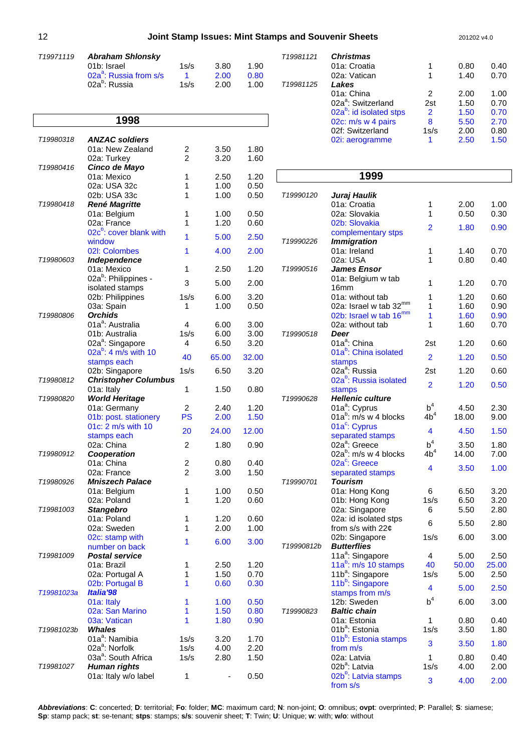### 12 **Joint Stamp Issues: Mint Stamps and Souvenir Sheets** 201202 v4.0

| T <sub>19971119</sub> | <b>Abraham Shlonsky</b>            |      |      |      |  |
|-----------------------|------------------------------------|------|------|------|--|
|                       | 01b: Israel                        | 1s/s | 3.80 | 1.90 |  |
|                       | 02a <sup>a</sup> : Russia from s/s |      | 2.00 | 0.80 |  |
|                       | 02a <sup>b</sup> : Russia          | 1s/s | 2.00 | 1.00 |  |

|            | 1998                                      |                |              |              |                      |
|------------|-------------------------------------------|----------------|--------------|--------------|----------------------|
| T19980318  | <b>ANZAC soldiers</b>                     |                |              |              |                      |
|            | 01a: New Zealand                          | 2              | 3.50         | 1.80         |                      |
|            | 02a: Turkey                               | $\overline{2}$ | 3.20         | 1.60         |                      |
| T19980416  | Cinco de Mayo                             |                |              |              |                      |
|            | 01a: Mexico                               | 1              | 2.50         | 1.20         |                      |
|            | 02a: USA 32c                              | 1              | 1.00         | 0.50         |                      |
|            | 02b: USA 33c                              | 1              | 1.00         | 0.50         | T <sub>1999012</sub> |
| T19980418  | <b>René Magritte</b>                      |                |              |              |                      |
|            | 01a: Belgium                              | 1              | 1.00         | 0.50         |                      |
|            | 02a: France                               | 1              | 1.20         | 0.60         |                      |
|            | 02c <sup>b</sup> : cover blank with       | 1              | 5.00         | 2.50         |                      |
|            | window                                    |                |              |              | T1999022             |
|            | 02I: Colombes                             | 1              | 4.00         | 2.00         |                      |
| T19980603  | <b>Independence</b>                       |                |              |              |                      |
|            | 01a: Mexico                               | 1              | 2.50         | 1.20         | T1999051             |
|            | 02a <sup>b</sup> : Philippines -          | 3              | 5.00         | 2.00         |                      |
|            | isolated stamps                           |                |              |              |                      |
|            | 02b: Philippines                          | 1s/s           | 6.00         | 3.20         |                      |
|            | 03a: Spain                                | 1              | 1.00         | 0.50         |                      |
| T19980806  | <b>Orchids</b>                            |                |              |              |                      |
|            | 01a <sup>a</sup> : Australia              | 4              | 6.00         | 3.00         |                      |
|            | 01b: Australia                            | 1s/s           | 6.00         | 3.00         | T1999051             |
|            | 02a <sup>a</sup> : Singapore              | 4              | 6.50         | 3.20         |                      |
|            | 02a <sup>b</sup> : 4 m/s with 10          | 40             | 65.00        | 32.00        |                      |
|            | stamps each                               |                |              |              |                      |
| T19980812  | 02b: Singapore                            | 1s/s           | 6.50         | 3.20         |                      |
|            | <b>Christopher Columbus</b><br>01a: Italy | 1              | 1.50         | 0.80         |                      |
| T19980820  | <b>World Heritage</b>                     |                |              |              | T1999062             |
|            | 01a: Germany                              | 2              | 2.40         | 1.20         |                      |
|            | 01b: post. stationery                     | PS             | 2.00         | 1.50         |                      |
|            | 01c: 2 m/s with 10                        |                |              |              |                      |
|            | stamps each                               | 20             | 24.00        | 12.00        |                      |
|            | 02a: China                                | $\overline{2}$ | 1.80         | 0.90         |                      |
| T19980912  | Cooperation                               |                |              |              |                      |
|            | 01a: China                                | 2              | 0.80         | 0.40         |                      |
|            | 02a: France                               | $\overline{2}$ | 3.00         | 1.50         |                      |
| T19980926  | <b>Mniszech Palace</b>                    |                |              |              | T <sub>1999070</sub> |
|            | 01a: Belgium                              | 1              | 1.00         | 0.50         |                      |
|            | 02a: Poland                               | 1              | 1.20         | 0.60         |                      |
| T19981003  | <b>Stangebro</b>                          |                |              |              |                      |
|            | 01a: Poland                               | 1              | 1.20         | 0.60         |                      |
|            | 02a: Sweden                               | 1              | 2.00         | 1.00         |                      |
|            | 02c: stamp with                           | 1              | 6.00         | 3.00         |                      |
|            | number on back                            |                |              |              | T1999081             |
| T19981009  | <b>Postal service</b>                     |                |              |              |                      |
|            | 01a: Brazil                               | 1              | 2.50         | 1.20         |                      |
|            | 02a: Portugal A                           | 1              | 1.50         | 0.70         |                      |
|            | 02b: Portugal B                           | 1              | 0.60         | 0.30         |                      |
| T19981023a | Italia'98                                 |                |              |              |                      |
|            | 01a: Italy                                | 1              | 1.00         | 0.50         |                      |
|            | 02a: San Marino                           | 1              | 1.50         | 0.80         | T1999082             |
|            | 03a: Vatican                              | 1              | 1.80         | 0.90         |                      |
| T19981023b | Whales<br>01a <sup>a</sup> : Namibia      |                |              |              |                      |
|            | 02a <sup>a</sup> : Norfolk                | 1s/s<br>1s/s   | 3.20<br>4.00 | 1.70<br>2.20 |                      |
|            | 03a <sup>a</sup> : South Africa           | 1s/s           | 2.80         | 1.50         |                      |
| T19981027  | Human rights                              |                |              |              |                      |
|            | 01a: Italy w/o label                      | 1              |              | 0.50         |                      |
|            |                                           |                |              |              |                      |

| T19981121             | <b>Christmas</b>                    |      |      |      |
|-----------------------|-------------------------------------|------|------|------|
|                       | 01a: Croatia                        | 1    | 0.80 | 0.40 |
|                       | 02a: Vatican                        | 1    | 1.40 | 0.70 |
| T <sub>19981125</sub> | Lakes                               |      |      |      |
|                       | 01a: China                          | 2    | 2.00 | 1.00 |
|                       | 02a <sup>a</sup> : Switzerland      | 2st  | 1.50 | 0.70 |
|                       | 02a <sup>b</sup> : id isolated stps | 2    | 1.50 | 0.70 |
|                       | 02c: m/s w 4 pairs                  | 8    | 5.50 | 2.70 |
|                       | 02f: Switzerland                    | 1s/s | 2.00 | 0.80 |
|                       | 02i: aerogramme                     |      | 2.50 | 1.50 |

| Juraj Haulik<br>01a: Croatia<br>1<br>2.00<br>02a: Slovakia<br>1<br>0.50<br>02b: Slovakia<br>2<br>1.80<br>0.90<br>complementary stps<br><b>Immigration</b><br>T19990226<br>01a: Ireland<br>1<br>1.40<br>02a: USA<br>1<br>0.80<br>T19990516<br>James Ensor<br>01a: Belgium w tab<br>1<br>1.20<br>0.70<br>16 <sub>mm</sub><br>01a: without tab<br>1<br>1.20<br>02a: Israel w tab 32mm<br>1<br>1.60<br>02b: Israel w tab 16 <sup>mm</sup><br>1<br>1.60<br>02a: without tab<br>1<br>1.60<br>T19990518<br>Deer<br>01a <sup>a</sup> : China<br>1.20<br>2st<br>01a <sup>b</sup> : China isolated<br>$\overline{2}$<br>1.20<br>0.50<br>stamps<br>02a <sup>a</sup> : Russia<br>2st<br>1.20<br>02a <sup>b</sup> : Russia isolated<br>$\overline{2}$<br>1.20<br>stamps<br><b>Hellenic culture</b><br>$b^4$<br>01a <sup>a</sup> : Cyprus<br>4.50<br>2.30<br>4b <sup>4</sup><br>01a $^{\circ}$ : m/s w 4 blocks<br>18.00<br>01a <sup>c</sup> : Cyprus<br>4<br>4.50<br>separated stamps<br>$\mathsf{b}^4$<br>02a <sup>a</sup> : Greece<br>3.50<br>1.80<br>02a <sup>b</sup> : m/s w 4 blocks<br>4b <sup>4</sup><br>14.00<br>7.00<br>02a <sup>c</sup> : Greece<br>4<br>3.50<br>1.00<br>separated stamps<br><b>Tourism</b><br>T19990701<br>01a: Hong Kong<br>6<br>6.50<br>3.20<br>3.20<br>01b: Hong Kong<br>1s/s<br>6.50<br>02a: Singapore<br>6<br>5.50<br>2.80<br>02a: id isolated stps<br>6<br>5.50<br>from s/s with $22¢$<br>1s/s<br>02b: Singapore<br>6.00<br>3.00<br><b>Butterflies</b><br>T19990812b<br>11a <sup>a</sup> : Singapore<br>4<br>5.00<br>2.50<br>11a <sup>b</sup> : m/s 10 stamps<br>40<br>50.00<br>25.00<br>11b <sup>a</sup> : Singapore<br>1s/s<br>5.00<br>2.50<br>11b <sup>b</sup> : Singapore<br>4<br>5.00<br>stamps from m/s<br>$\mathsf{b}^4$<br>12b: Sweden<br>6.00<br>3.00<br><b>Baltic chain</b><br>T19990823<br>1<br>01a: Estonia<br>0.80<br>0.40<br>01b <sup>a</sup> : Estonia<br>1s/s<br>3.50<br>1.80<br>01b <sup>b</sup> : Estonia stamps<br>3<br>3.50<br>from m/s<br>02a: Latvia<br>1<br>0.80<br>0.40<br>02b <sup>a</sup> : Latvia<br>1s/s<br>2.00<br>4.00<br>02b <sup>b</sup> : Latvia stamps<br>3<br>4.00 |           | 1999     |  |      |
|---------------------------------------------------------------------------------------------------------------------------------------------------------------------------------------------------------------------------------------------------------------------------------------------------------------------------------------------------------------------------------------------------------------------------------------------------------------------------------------------------------------------------------------------------------------------------------------------------------------------------------------------------------------------------------------------------------------------------------------------------------------------------------------------------------------------------------------------------------------------------------------------------------------------------------------------------------------------------------------------------------------------------------------------------------------------------------------------------------------------------------------------------------------------------------------------------------------------------------------------------------------------------------------------------------------------------------------------------------------------------------------------------------------------------------------------------------------------------------------------------------------------------------------------------------------------------------------------------------------------------------------------------------------------------------------------------------------------------------------------------------------------------------------------------------------------------------------------------------------------------------------------------------------------------------------------------------------------------------------------------------------------------------------------------------------------------------------------------------------------------|-----------|----------|--|------|
|                                                                                                                                                                                                                                                                                                                                                                                                                                                                                                                                                                                                                                                                                                                                                                                                                                                                                                                                                                                                                                                                                                                                                                                                                                                                                                                                                                                                                                                                                                                                                                                                                                                                                                                                                                                                                                                                                                                                                                                                                                                                                                                           | T19990120 |          |  |      |
|                                                                                                                                                                                                                                                                                                                                                                                                                                                                                                                                                                                                                                                                                                                                                                                                                                                                                                                                                                                                                                                                                                                                                                                                                                                                                                                                                                                                                                                                                                                                                                                                                                                                                                                                                                                                                                                                                                                                                                                                                                                                                                                           |           |          |  | 1.00 |
|                                                                                                                                                                                                                                                                                                                                                                                                                                                                                                                                                                                                                                                                                                                                                                                                                                                                                                                                                                                                                                                                                                                                                                                                                                                                                                                                                                                                                                                                                                                                                                                                                                                                                                                                                                                                                                                                                                                                                                                                                                                                                                                           |           |          |  | 0.30 |
|                                                                                                                                                                                                                                                                                                                                                                                                                                                                                                                                                                                                                                                                                                                                                                                                                                                                                                                                                                                                                                                                                                                                                                                                                                                                                                                                                                                                                                                                                                                                                                                                                                                                                                                                                                                                                                                                                                                                                                                                                                                                                                                           |           |          |  |      |
|                                                                                                                                                                                                                                                                                                                                                                                                                                                                                                                                                                                                                                                                                                                                                                                                                                                                                                                                                                                                                                                                                                                                                                                                                                                                                                                                                                                                                                                                                                                                                                                                                                                                                                                                                                                                                                                                                                                                                                                                                                                                                                                           |           |          |  |      |
|                                                                                                                                                                                                                                                                                                                                                                                                                                                                                                                                                                                                                                                                                                                                                                                                                                                                                                                                                                                                                                                                                                                                                                                                                                                                                                                                                                                                                                                                                                                                                                                                                                                                                                                                                                                                                                                                                                                                                                                                                                                                                                                           |           |          |  |      |
|                                                                                                                                                                                                                                                                                                                                                                                                                                                                                                                                                                                                                                                                                                                                                                                                                                                                                                                                                                                                                                                                                                                                                                                                                                                                                                                                                                                                                                                                                                                                                                                                                                                                                                                                                                                                                                                                                                                                                                                                                                                                                                                           |           |          |  | 0.70 |
|                                                                                                                                                                                                                                                                                                                                                                                                                                                                                                                                                                                                                                                                                                                                                                                                                                                                                                                                                                                                                                                                                                                                                                                                                                                                                                                                                                                                                                                                                                                                                                                                                                                                                                                                                                                                                                                                                                                                                                                                                                                                                                                           |           |          |  | 0.40 |
|                                                                                                                                                                                                                                                                                                                                                                                                                                                                                                                                                                                                                                                                                                                                                                                                                                                                                                                                                                                                                                                                                                                                                                                                                                                                                                                                                                                                                                                                                                                                                                                                                                                                                                                                                                                                                                                                                                                                                                                                                                                                                                                           |           |          |  |      |
|                                                                                                                                                                                                                                                                                                                                                                                                                                                                                                                                                                                                                                                                                                                                                                                                                                                                                                                                                                                                                                                                                                                                                                                                                                                                                                                                                                                                                                                                                                                                                                                                                                                                                                                                                                                                                                                                                                                                                                                                                                                                                                                           |           |          |  |      |
|                                                                                                                                                                                                                                                                                                                                                                                                                                                                                                                                                                                                                                                                                                                                                                                                                                                                                                                                                                                                                                                                                                                                                                                                                                                                                                                                                                                                                                                                                                                                                                                                                                                                                                                                                                                                                                                                                                                                                                                                                                                                                                                           |           |          |  |      |
|                                                                                                                                                                                                                                                                                                                                                                                                                                                                                                                                                                                                                                                                                                                                                                                                                                                                                                                                                                                                                                                                                                                                                                                                                                                                                                                                                                                                                                                                                                                                                                                                                                                                                                                                                                                                                                                                                                                                                                                                                                                                                                                           |           |          |  | 0.60 |
|                                                                                                                                                                                                                                                                                                                                                                                                                                                                                                                                                                                                                                                                                                                                                                                                                                                                                                                                                                                                                                                                                                                                                                                                                                                                                                                                                                                                                                                                                                                                                                                                                                                                                                                                                                                                                                                                                                                                                                                                                                                                                                                           |           |          |  | 0.90 |
|                                                                                                                                                                                                                                                                                                                                                                                                                                                                                                                                                                                                                                                                                                                                                                                                                                                                                                                                                                                                                                                                                                                                                                                                                                                                                                                                                                                                                                                                                                                                                                                                                                                                                                                                                                                                                                                                                                                                                                                                                                                                                                                           |           |          |  | 0.90 |
|                                                                                                                                                                                                                                                                                                                                                                                                                                                                                                                                                                                                                                                                                                                                                                                                                                                                                                                                                                                                                                                                                                                                                                                                                                                                                                                                                                                                                                                                                                                                                                                                                                                                                                                                                                                                                                                                                                                                                                                                                                                                                                                           |           |          |  | 0.70 |
|                                                                                                                                                                                                                                                                                                                                                                                                                                                                                                                                                                                                                                                                                                                                                                                                                                                                                                                                                                                                                                                                                                                                                                                                                                                                                                                                                                                                                                                                                                                                                                                                                                                                                                                                                                                                                                                                                                                                                                                                                                                                                                                           |           |          |  |      |
|                                                                                                                                                                                                                                                                                                                                                                                                                                                                                                                                                                                                                                                                                                                                                                                                                                                                                                                                                                                                                                                                                                                                                                                                                                                                                                                                                                                                                                                                                                                                                                                                                                                                                                                                                                                                                                                                                                                                                                                                                                                                                                                           |           |          |  | 0.60 |
|                                                                                                                                                                                                                                                                                                                                                                                                                                                                                                                                                                                                                                                                                                                                                                                                                                                                                                                                                                                                                                                                                                                                                                                                                                                                                                                                                                                                                                                                                                                                                                                                                                                                                                                                                                                                                                                                                                                                                                                                                                                                                                                           |           |          |  |      |
|                                                                                                                                                                                                                                                                                                                                                                                                                                                                                                                                                                                                                                                                                                                                                                                                                                                                                                                                                                                                                                                                                                                                                                                                                                                                                                                                                                                                                                                                                                                                                                                                                                                                                                                                                                                                                                                                                                                                                                                                                                                                                                                           |           |          |  |      |
|                                                                                                                                                                                                                                                                                                                                                                                                                                                                                                                                                                                                                                                                                                                                                                                                                                                                                                                                                                                                                                                                                                                                                                                                                                                                                                                                                                                                                                                                                                                                                                                                                                                                                                                                                                                                                                                                                                                                                                                                                                                                                                                           |           |          |  | 0.60 |
|                                                                                                                                                                                                                                                                                                                                                                                                                                                                                                                                                                                                                                                                                                                                                                                                                                                                                                                                                                                                                                                                                                                                                                                                                                                                                                                                                                                                                                                                                                                                                                                                                                                                                                                                                                                                                                                                                                                                                                                                                                                                                                                           |           |          |  |      |
|                                                                                                                                                                                                                                                                                                                                                                                                                                                                                                                                                                                                                                                                                                                                                                                                                                                                                                                                                                                                                                                                                                                                                                                                                                                                                                                                                                                                                                                                                                                                                                                                                                                                                                                                                                                                                                                                                                                                                                                                                                                                                                                           |           |          |  | 0.50 |
|                                                                                                                                                                                                                                                                                                                                                                                                                                                                                                                                                                                                                                                                                                                                                                                                                                                                                                                                                                                                                                                                                                                                                                                                                                                                                                                                                                                                                                                                                                                                                                                                                                                                                                                                                                                                                                                                                                                                                                                                                                                                                                                           | T19990628 |          |  |      |
|                                                                                                                                                                                                                                                                                                                                                                                                                                                                                                                                                                                                                                                                                                                                                                                                                                                                                                                                                                                                                                                                                                                                                                                                                                                                                                                                                                                                                                                                                                                                                                                                                                                                                                                                                                                                                                                                                                                                                                                                                                                                                                                           |           |          |  |      |
|                                                                                                                                                                                                                                                                                                                                                                                                                                                                                                                                                                                                                                                                                                                                                                                                                                                                                                                                                                                                                                                                                                                                                                                                                                                                                                                                                                                                                                                                                                                                                                                                                                                                                                                                                                                                                                                                                                                                                                                                                                                                                                                           |           |          |  | 9.00 |
|                                                                                                                                                                                                                                                                                                                                                                                                                                                                                                                                                                                                                                                                                                                                                                                                                                                                                                                                                                                                                                                                                                                                                                                                                                                                                                                                                                                                                                                                                                                                                                                                                                                                                                                                                                                                                                                                                                                                                                                                                                                                                                                           |           |          |  |      |
|                                                                                                                                                                                                                                                                                                                                                                                                                                                                                                                                                                                                                                                                                                                                                                                                                                                                                                                                                                                                                                                                                                                                                                                                                                                                                                                                                                                                                                                                                                                                                                                                                                                                                                                                                                                                                                                                                                                                                                                                                                                                                                                           |           |          |  | 1.50 |
|                                                                                                                                                                                                                                                                                                                                                                                                                                                                                                                                                                                                                                                                                                                                                                                                                                                                                                                                                                                                                                                                                                                                                                                                                                                                                                                                                                                                                                                                                                                                                                                                                                                                                                                                                                                                                                                                                                                                                                                                                                                                                                                           |           |          |  |      |
|                                                                                                                                                                                                                                                                                                                                                                                                                                                                                                                                                                                                                                                                                                                                                                                                                                                                                                                                                                                                                                                                                                                                                                                                                                                                                                                                                                                                                                                                                                                                                                                                                                                                                                                                                                                                                                                                                                                                                                                                                                                                                                                           |           |          |  |      |
|                                                                                                                                                                                                                                                                                                                                                                                                                                                                                                                                                                                                                                                                                                                                                                                                                                                                                                                                                                                                                                                                                                                                                                                                                                                                                                                                                                                                                                                                                                                                                                                                                                                                                                                                                                                                                                                                                                                                                                                                                                                                                                                           |           |          |  |      |
|                                                                                                                                                                                                                                                                                                                                                                                                                                                                                                                                                                                                                                                                                                                                                                                                                                                                                                                                                                                                                                                                                                                                                                                                                                                                                                                                                                                                                                                                                                                                                                                                                                                                                                                                                                                                                                                                                                                                                                                                                                                                                                                           |           |          |  |      |
|                                                                                                                                                                                                                                                                                                                                                                                                                                                                                                                                                                                                                                                                                                                                                                                                                                                                                                                                                                                                                                                                                                                                                                                                                                                                                                                                                                                                                                                                                                                                                                                                                                                                                                                                                                                                                                                                                                                                                                                                                                                                                                                           |           |          |  |      |
|                                                                                                                                                                                                                                                                                                                                                                                                                                                                                                                                                                                                                                                                                                                                                                                                                                                                                                                                                                                                                                                                                                                                                                                                                                                                                                                                                                                                                                                                                                                                                                                                                                                                                                                                                                                                                                                                                                                                                                                                                                                                                                                           |           |          |  |      |
|                                                                                                                                                                                                                                                                                                                                                                                                                                                                                                                                                                                                                                                                                                                                                                                                                                                                                                                                                                                                                                                                                                                                                                                                                                                                                                                                                                                                                                                                                                                                                                                                                                                                                                                                                                                                                                                                                                                                                                                                                                                                                                                           |           |          |  |      |
|                                                                                                                                                                                                                                                                                                                                                                                                                                                                                                                                                                                                                                                                                                                                                                                                                                                                                                                                                                                                                                                                                                                                                                                                                                                                                                                                                                                                                                                                                                                                                                                                                                                                                                                                                                                                                                                                                                                                                                                                                                                                                                                           |           |          |  |      |
|                                                                                                                                                                                                                                                                                                                                                                                                                                                                                                                                                                                                                                                                                                                                                                                                                                                                                                                                                                                                                                                                                                                                                                                                                                                                                                                                                                                                                                                                                                                                                                                                                                                                                                                                                                                                                                                                                                                                                                                                                                                                                                                           |           |          |  |      |
|                                                                                                                                                                                                                                                                                                                                                                                                                                                                                                                                                                                                                                                                                                                                                                                                                                                                                                                                                                                                                                                                                                                                                                                                                                                                                                                                                                                                                                                                                                                                                                                                                                                                                                                                                                                                                                                                                                                                                                                                                                                                                                                           |           |          |  | 2.80 |
|                                                                                                                                                                                                                                                                                                                                                                                                                                                                                                                                                                                                                                                                                                                                                                                                                                                                                                                                                                                                                                                                                                                                                                                                                                                                                                                                                                                                                                                                                                                                                                                                                                                                                                                                                                                                                                                                                                                                                                                                                                                                                                                           |           |          |  |      |
|                                                                                                                                                                                                                                                                                                                                                                                                                                                                                                                                                                                                                                                                                                                                                                                                                                                                                                                                                                                                                                                                                                                                                                                                                                                                                                                                                                                                                                                                                                                                                                                                                                                                                                                                                                                                                                                                                                                                                                                                                                                                                                                           |           |          |  |      |
|                                                                                                                                                                                                                                                                                                                                                                                                                                                                                                                                                                                                                                                                                                                                                                                                                                                                                                                                                                                                                                                                                                                                                                                                                                                                                                                                                                                                                                                                                                                                                                                                                                                                                                                                                                                                                                                                                                                                                                                                                                                                                                                           |           |          |  |      |
|                                                                                                                                                                                                                                                                                                                                                                                                                                                                                                                                                                                                                                                                                                                                                                                                                                                                                                                                                                                                                                                                                                                                                                                                                                                                                                                                                                                                                                                                                                                                                                                                                                                                                                                                                                                                                                                                                                                                                                                                                                                                                                                           |           |          |  |      |
|                                                                                                                                                                                                                                                                                                                                                                                                                                                                                                                                                                                                                                                                                                                                                                                                                                                                                                                                                                                                                                                                                                                                                                                                                                                                                                                                                                                                                                                                                                                                                                                                                                                                                                                                                                                                                                                                                                                                                                                                                                                                                                                           |           |          |  |      |
|                                                                                                                                                                                                                                                                                                                                                                                                                                                                                                                                                                                                                                                                                                                                                                                                                                                                                                                                                                                                                                                                                                                                                                                                                                                                                                                                                                                                                                                                                                                                                                                                                                                                                                                                                                                                                                                                                                                                                                                                                                                                                                                           |           |          |  |      |
|                                                                                                                                                                                                                                                                                                                                                                                                                                                                                                                                                                                                                                                                                                                                                                                                                                                                                                                                                                                                                                                                                                                                                                                                                                                                                                                                                                                                                                                                                                                                                                                                                                                                                                                                                                                                                                                                                                                                                                                                                                                                                                                           |           |          |  | 2.50 |
|                                                                                                                                                                                                                                                                                                                                                                                                                                                                                                                                                                                                                                                                                                                                                                                                                                                                                                                                                                                                                                                                                                                                                                                                                                                                                                                                                                                                                                                                                                                                                                                                                                                                                                                                                                                                                                                                                                                                                                                                                                                                                                                           |           |          |  |      |
|                                                                                                                                                                                                                                                                                                                                                                                                                                                                                                                                                                                                                                                                                                                                                                                                                                                                                                                                                                                                                                                                                                                                                                                                                                                                                                                                                                                                                                                                                                                                                                                                                                                                                                                                                                                                                                                                                                                                                                                                                                                                                                                           |           |          |  |      |
|                                                                                                                                                                                                                                                                                                                                                                                                                                                                                                                                                                                                                                                                                                                                                                                                                                                                                                                                                                                                                                                                                                                                                                                                                                                                                                                                                                                                                                                                                                                                                                                                                                                                                                                                                                                                                                                                                                                                                                                                                                                                                                                           |           |          |  |      |
|                                                                                                                                                                                                                                                                                                                                                                                                                                                                                                                                                                                                                                                                                                                                                                                                                                                                                                                                                                                                                                                                                                                                                                                                                                                                                                                                                                                                                                                                                                                                                                                                                                                                                                                                                                                                                                                                                                                                                                                                                                                                                                                           |           |          |  |      |
|                                                                                                                                                                                                                                                                                                                                                                                                                                                                                                                                                                                                                                                                                                                                                                                                                                                                                                                                                                                                                                                                                                                                                                                                                                                                                                                                                                                                                                                                                                                                                                                                                                                                                                                                                                                                                                                                                                                                                                                                                                                                                                                           |           |          |  |      |
|                                                                                                                                                                                                                                                                                                                                                                                                                                                                                                                                                                                                                                                                                                                                                                                                                                                                                                                                                                                                                                                                                                                                                                                                                                                                                                                                                                                                                                                                                                                                                                                                                                                                                                                                                                                                                                                                                                                                                                                                                                                                                                                           |           |          |  | 1.80 |
|                                                                                                                                                                                                                                                                                                                                                                                                                                                                                                                                                                                                                                                                                                                                                                                                                                                                                                                                                                                                                                                                                                                                                                                                                                                                                                                                                                                                                                                                                                                                                                                                                                                                                                                                                                                                                                                                                                                                                                                                                                                                                                                           |           |          |  |      |
|                                                                                                                                                                                                                                                                                                                                                                                                                                                                                                                                                                                                                                                                                                                                                                                                                                                                                                                                                                                                                                                                                                                                                                                                                                                                                                                                                                                                                                                                                                                                                                                                                                                                                                                                                                                                                                                                                                                                                                                                                                                                                                                           |           |          |  |      |
|                                                                                                                                                                                                                                                                                                                                                                                                                                                                                                                                                                                                                                                                                                                                                                                                                                                                                                                                                                                                                                                                                                                                                                                                                                                                                                                                                                                                                                                                                                                                                                                                                                                                                                                                                                                                                                                                                                                                                                                                                                                                                                                           |           |          |  |      |
|                                                                                                                                                                                                                                                                                                                                                                                                                                                                                                                                                                                                                                                                                                                                                                                                                                                                                                                                                                                                                                                                                                                                                                                                                                                                                                                                                                                                                                                                                                                                                                                                                                                                                                                                                                                                                                                                                                                                                                                                                                                                                                                           |           | from s/s |  | 2.00 |

**Abbreviations**: **C**: concerted; **D**: territorial; **Fo**: folder; **MC**: maximum card; **N**: non-joint; **O**: omnibus; **ovpt**: overprinted; **P**: Parallel; **S**: siamese; **Sp**: stamp pack; **st**: se-tenant; **stps**: stamps; **s/s**: souvenir sheet; **T**: Twin; **U**: Unique; **w**: with; **w/o**: without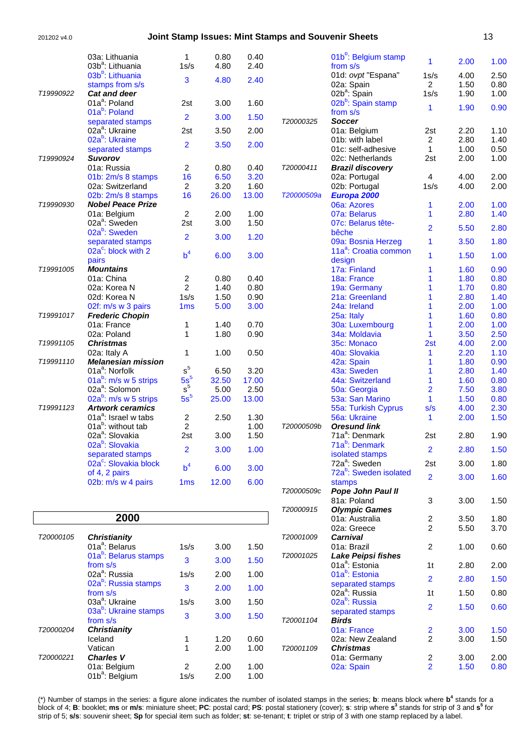|           | 03a: Lithuania                                          | 1                  | 0.80          | 0.40          |            | 01b <sup>b</sup> : Belgium stamp   |                         |              |              |
|-----------|---------------------------------------------------------|--------------------|---------------|---------------|------------|------------------------------------|-------------------------|--------------|--------------|
|           | 03b <sup>a</sup> : Lithuania                            | 1s/s               | 4.80          | 2.40          |            | from s/s                           | 1                       | 2.00         | 1.00         |
|           | 03b <sup>b</sup> : Lithuania                            |                    |               |               |            | 01d: ovpt "Espana"                 | 1s/s                    | 4.00         | 2.50         |
|           | stamps from s/s                                         | 3                  | 4.80          | 2.40          |            | 02a: Spain                         | $\overline{2}$          | 1.50         | 0.80         |
| T19990922 | <b>Cat and deer</b>                                     |                    |               |               |            | 02b <sup>a</sup> : Spain           | 1s/s                    | 1.90         | 1.00         |
|           | 01a <sup>a</sup> : Poland                               | 2st                | 3.00          | 1.60          |            | 02b <sup>b</sup> : Spain stamp     |                         |              |              |
|           | 01a <sup>b</sup> : Poland                               |                    |               |               |            | from s/s                           | 1                       | 1.90         | 0.90         |
|           | separated stamps                                        | $\overline{2}$     | 3.00          | 1.50          | T20000325  | <b>Soccer</b>                      |                         |              |              |
|           | 02a <sup>a</sup> : Ukraine                              | 2st                | 3.50          | 2.00          |            | 01a: Belgium                       | 2st                     | 2.20         | 1.10         |
|           | 02a <sup>b</sup> : Ukraine                              | $\overline{2}$     | 3.50          | 2.00          |            | 01b: with label                    | 2                       | 2.80         | 1.40         |
|           | separated stamps                                        |                    |               |               |            | 01c: self-adhesive                 | 1                       | 1.00         | 0.50         |
| T19990924 | <b>Suvorov</b>                                          |                    |               |               |            | 02c: Netherlands                   | 2st                     | 2.00         | 1.00         |
|           | 01a: Russia                                             | $\overline{c}$     | 0.80          | 0.40          | T20000411  | <b>Brazil discovery</b>            |                         |              |              |
|           | 01b: 2m/s 8 stamps                                      | 16                 | 6.50          | 3.20          |            | 02a: Portugal                      | 4                       | 4.00         | 2.00         |
|           | 02a: Switzerland                                        | $\overline{c}$     | 3.20          | 1.60          |            | 02b: Portugal                      | 1s/s                    | 4.00         | 2.00         |
|           | 02b: 2m/s 8 stamps                                      | 16                 | 26.00         | 13.00         | T20000509a | Europa 2000                        |                         |              |              |
| T19990930 | <b>Nobel Peace Prize</b>                                |                    |               |               |            | 06a: Azores                        | 1                       | 2.00         | 1.00         |
|           | 01a: Belgium                                            | $\overline{c}$     | 2.00          | 1.00          |            | 07a: Belarus                       | 1                       | 2.80         | 1.40         |
|           | 02a <sup>a</sup> : Sweden                               | 2st                | 3.00          | 1.50          |            | 07c: Belarus tête-                 | $\overline{\mathbf{2}}$ | 5.50         | 2.80         |
|           | 02a <sup>b</sup> : Sweden                               | $\overline{2}$     | 3.00          | 1.20          |            | bêche                              |                         |              |              |
|           | separated stamps                                        |                    |               |               |            | 09a: Bosnia Herzeg                 | 1                       | 3.50         | 1.80         |
|           | 02a <sup>c</sup> : block with 2                         | b <sup>4</sup>     | 6.00          | 3.00          |            | 11a <sup>a</sup> : Croatia common  | 1                       | 1.50         | 1.00         |
|           | pairs                                                   |                    |               |               |            | design                             |                         |              |              |
| T19991005 | <b>Mountains</b>                                        |                    |               |               |            | 17a: Finland                       | 1                       | 1.60         | 0.90         |
|           | 01a: China                                              | 2                  | 0.80          | 0.40          |            | 18a: France                        | 1                       | 1.80         | 0.80         |
|           | 02a: Korea N                                            | $\overline{2}$     | 1.40          | 0.80          |            | 19a: Germany                       | 1                       | 1.70         | 0.80         |
|           | 02d: Korea N                                            | 1s/s               | 1.50          | 0.90          |            | 21a: Greenland                     | 1                       | 2.80         | 1.40         |
|           | 02f: m/s w 3 pairs                                      | 1 <sub>ms</sub>    | 5.00          | 3.00          |            | 24a: Ireland                       |                         | 2.00         | 1.00         |
| T19991017 | <b>Frederic Chopin</b>                                  |                    |               |               |            | 25a: Italy                         | 1                       | 1.60         | 0.80         |
|           | 01a: France                                             | 1                  | 1.40          | 0.70          |            | 30a: Luxembourg                    | 1                       | 2.00         | 1.00         |
|           | 02a: Poland                                             | 1                  | 1.80          | 0.90          |            | 34a: Moldavia                      | 1                       | 3.50         | 2.50         |
| T19991105 | <b>Christmas</b>                                        |                    |               |               |            | 35c: Monaco                        | 2st                     | 4.00         | 2.00         |
|           | 02a: Italy A                                            | 1                  | 1.00          | 0.50          |            | 40a: Slovakia                      | 1                       | 2.20         | 1.10         |
| T19991110 | <b>Melanesian mission</b><br>01a <sup>a</sup> : Norfolk | $\rm s^5$          |               |               |            | 42a: Spain                         | 1                       | 1.80         | 0.90         |
|           |                                                         |                    | 6.50          | 3.20<br>17.00 |            | 43a: Sweden                        | 1                       | 2.80         | 1.40         |
|           | 01 $a^b$ : m/s w 5 strips<br>02a <sup>a</sup> : Solomon | $\frac{5s^5}{s^5}$ | 32.50<br>5.00 | 2.50          |            | 44a: Switzerland                   | 1<br>$\overline{2}$     | 1.60<br>7.50 | 0.80<br>3.80 |
|           | 02a <sup>b</sup> : m/s w 5 strips                       | $5s^5$             | 25.00         | 13.00         |            | 50a: Georgia<br>53a: San Marino    | $\mathbf{1}$            | 1.50         | 0.80         |
| T19991123 | <b>Artwork ceramics</b>                                 |                    |               |               |            | 55a: Turkish Cyprus                | s/s                     | 4.00         | 2.30         |
|           | 01a <sup>a</sup> : Israel w tabs                        | $\overline{c}$     | 2.50          | 1.30          |            | 56a: Ukraine                       | 1                       | 2.00         | 1.50         |
|           | 01a <sup>b</sup> : without tab                          | $\overline{c}$     |               | 1.00          | T20000509b | <b>Oresund link</b>                |                         |              |              |
|           | 02a <sup>a</sup> : Slovakia                             | 2st                | 3.00          | 1.50          |            | 71a <sup>a</sup> : Denmark         | 2st                     | 2.80         | 1.90         |
|           | 02a <sup>b</sup> : Slovakia                             |                    |               |               |            | 71a <sup>b</sup> : Denmark         |                         |              |              |
|           | separated stamps                                        | $\overline{2}$     | 3.00          | 1.00          |            | isolated stamps                    | $\overline{2}$          | 2.80         | 1.50         |
|           | 02a <sup>c</sup> : Slovakia block                       |                    |               |               |            | 72a <sup>a</sup> : Sweden          | 2st                     | 3.00         | 1.80         |
|           | of 4, 2 pairs                                           | b <sup>4</sup>     | 6.00          | 3.00          |            | 72a <sup>b</sup> : Sweden isolated |                         |              |              |
|           | 02b: m/s w 4 pairs                                      | 1 <sub>ms</sub>    | 12.00         | 6.00          |            | stamps                             | $\overline{2}$          | 3.00         | 1.60         |
|           |                                                         |                    |               |               | T20000509c | Pope John Paul II                  |                         |              |              |
|           |                                                         |                    |               |               |            | 81a: Poland                        | 3                       | 3.00         | 1.50         |
|           |                                                         |                    |               |               | T20000915  | <b>Olympic Games</b>               |                         |              |              |
|           | 0.000                                                   |                    |               |               |            |                                    |                         |              |              |

|           | 2000                                                                                                                                                                                                                                                   |                                     |                                              |                                              |
|-----------|--------------------------------------------------------------------------------------------------------------------------------------------------------------------------------------------------------------------------------------------------------|-------------------------------------|----------------------------------------------|----------------------------------------------|
| T20000105 | <b>Christianity</b><br>01 $a^a$ : Belarus<br>01a <sup>b</sup> : Belarus stamps<br>from s/s<br>02a <sup>a</sup> : Russia<br>02a <sup>b</sup> : Russia stamps<br>from s/s<br>03a <sup>a</sup> : Ukraine<br>03a <sup>b</sup> : Ukraine stamps<br>from s/s | 1s/s<br>3<br>1s/s<br>3<br>1s/s<br>3 | 3.00<br>3.00<br>2.00<br>2.00<br>3.00<br>3.00 | 1.50<br>1.50<br>1.00<br>1.00<br>1.50<br>1.50 |
| T20000204 | <b>Christianity</b><br>Iceland<br>Vatican                                                                                                                                                                                                              | 1<br>1                              | 1.20<br>2.00                                 | 0.60<br>1.00                                 |
| T20000221 | <b>Charles V</b><br>01a: Belgium<br>01b <sup>a</sup> : Belgium                                                                                                                                                                                         | 2<br>1s/s                           | 2.00<br>2.00                                 | 1.00<br>1.00                                 |

|            | 53a: San Marino                                | 1              | 1.50 | 0.80 |
|------------|------------------------------------------------|----------------|------|------|
|            | 55a: Turkish Cyprus                            | s/s            | 4.00 | 2.30 |
|            | 56a: Ukraine                                   | 1              | 2.00 | 1.50 |
| T20000509b | <b>Oresund link</b>                            |                |      |      |
|            | 71a <sup>a</sup> : Denmark                     | 2st            | 2.80 | 1.90 |
|            | 71a <sup>b</sup> : Denmark<br>isolated stamps  | $\overline{2}$ | 2.80 | 1.50 |
|            | 72a <sup>a</sup> : Sweden                      | 2st            | 3.00 | 1.80 |
|            | 72a <sup>b</sup> : Sweden isolated<br>stamps   | $\overline{2}$ | 3.00 | 1.60 |
| T20000509c | Pope John Paul II                              |                |      |      |
|            | 81a: Poland                                    | 3              | 3.00 | 1.50 |
| T20000915  | <b>Olympic Games</b>                           |                |      |      |
|            | 01a: Australia                                 | 2              | 3.50 | 1.80 |
|            | 02a: Greece                                    | $\overline{2}$ | 5.50 | 3.70 |
| T20001009  | Carnival                                       |                |      |      |
|            | 01a: Brazil                                    | $\overline{2}$ | 1.00 | 0.60 |
| T20001025  | Lake Peipsi fishes                             |                |      |      |
|            | 01a <sup>a</sup> : Estonia                     | 1 <sub>t</sub> | 2.80 | 2.00 |
|            | 01a <sup>b</sup> : Estonia<br>separated stamps | $\overline{2}$ | 2.80 | 1.50 |
|            | 02a <sup>a</sup> : Russia                      | 1t             | 1.50 | 0.80 |
|            | 02a <sup>b</sup> : Russia                      | $\overline{2}$ | 1.50 | 0.60 |
| T20001104  | separated stamps<br><b>Birds</b>               |                |      |      |
|            | 01a: France                                    |                | 3.00 | 1.50 |
|            | 02a: New Zealand                               | $\frac{2}{2}$  | 3.00 | 1.50 |
| T20001109  | <b>Christmas</b>                               |                |      |      |
|            | 01a: Germany                                   | 2              | 3.00 | 2.00 |
|            | 02a: Spain                                     | $\overline{2}$ | 1.50 | 0.80 |
|            |                                                |                |      |      |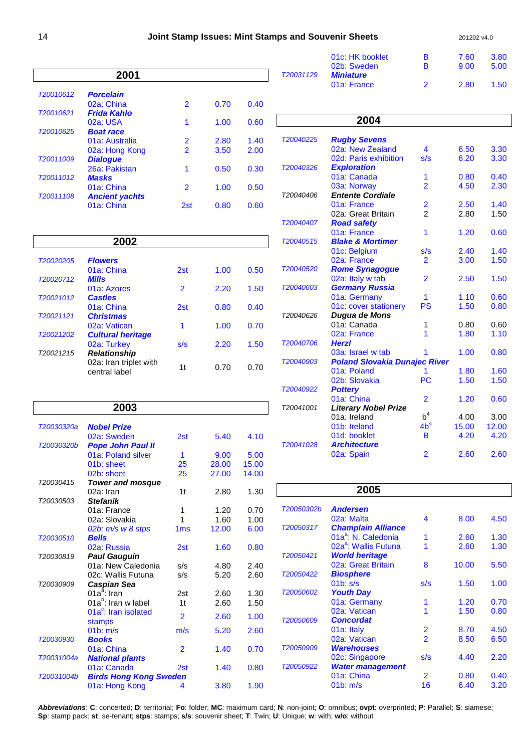|           | 2001                  |                |      |      |
|-----------|-----------------------|----------------|------|------|
| T20010612 | <b>Porcelain</b>      |                |      |      |
|           | 02a: China            | 2              | 0.70 | 0.40 |
| T20010621 | Frida Kahlo           |                |      |      |
|           | $02a$ : USA           | 1              | 1.00 | 0.60 |
| T20010625 | <b>Boat race</b>      |                |      |      |
|           | 01a: Australia        | $\overline{2}$ | 2.80 | 1.40 |
|           | 02a: Hong Kong        | $\mathcal{P}$  | 3.50 | 2.00 |
| T20011009 | <b>Dialogue</b>       |                |      |      |
|           | 26a: Pakistan         | 1              | 0.50 | 0.30 |
| T20011012 | <b>Masks</b>          |                |      |      |
|           | 01a: China            | $\mathcal{P}$  | 1.00 | 0.50 |
| T20011108 | <b>Ancient yachts</b> |                |      |      |
|           | 01a: China            | 2st            | 0.80 | 0.60 |

|           | 2002                                    |                 |      |      |
|-----------|-----------------------------------------|-----------------|------|------|
| T20020205 | <b>Flowers</b>                          |                 |      |      |
|           | 01a: China                              | 2 <sub>st</sub> | 1.00 | 0.50 |
| T20020712 | <b>Mills</b>                            |                 |      |      |
|           | 01a: Azores                             | 2               | 2.20 | 1.50 |
| T20021012 | <b>Castles</b>                          |                 |      |      |
|           | 01a: China                              | 2 <sub>st</sub> | 0.80 | 0.40 |
| T20021121 | <b>Christmas</b>                        |                 |      |      |
|           | 02a: Vatican                            | 1               | 1.00 | 0.70 |
| T20021202 | <b>Cultural heritage</b>                |                 |      |      |
|           | 02a: Turkey                             | s/s             | 2.20 | 1.50 |
| T20021215 | <b>Relationship</b>                     |                 |      |      |
|           | 02a: Iran triplet with<br>central label | 1t              | 0.70 | 0.70 |

|            | 2003                                       |                 |       |       |
|------------|--------------------------------------------|-----------------|-------|-------|
| T20030320a | <b>Nobel Prize</b>                         |                 |       |       |
|            | 02a: Sweden                                | 2st             | 5.40  | 4.10  |
| T20030320b | <b>Pope John Paul II</b>                   |                 |       |       |
|            | 01a: Poland silver                         | 1               | 9.00  | 5.00  |
|            | 01b: sheet                                 | 25              | 28.00 | 15.00 |
|            | 02b: sheet                                 | 25              | 27.00 | 14.00 |
| T20030415  | <b>Tower and mosque</b>                    |                 |       |       |
|            | 02a: Iran                                  | 1 <sub>t</sub>  | 2.80  | 1.30  |
| T20030503  | <b>Stefanik</b>                            |                 |       |       |
|            | 01a: France                                | 1               | 1.20  | 0.70  |
|            | 02a: Slovakia                              | 1               | 1.60  | 1.00  |
|            | $02b$ : $m/s$ w 8 stps                     | 1 <sub>ms</sub> | 12.00 | 6.00  |
| T20030510  | <b>Bells</b>                               |                 |       |       |
|            | 02a: Russia                                | 2st             | 1.60  | 0.80  |
| T20030819  | <b>Paul Gauguin</b>                        |                 |       |       |
|            | 01a: New Caledonia                         | s/s             | 4.80  | 2.40  |
|            | 02c: Wallis Futuna                         | s/s             | 5.20  | 2.60  |
| T20030909  | Caspian Sea                                |                 |       |       |
|            | $01a^a$ : Iran                             | 2st             | 2.60  | 1.30  |
|            | 01a <sup>b</sup> : Iran w label            | 1 <sub>t</sub>  | 2.60  | 1.50  |
|            | 01a <sup>c</sup> : Iran isolated<br>stamps | $\overline{2}$  | 2.60  | 1.00  |
|            | 01 <sub>b</sub> : m/s                      | m/s             | 5.20  | 2.60  |
| T20030930  | <b>Books</b>                               |                 |       |       |
|            | 01a: China                                 | $\overline{2}$  | 1.40  | 0.70  |
| T20031004a | <b>National plants</b>                     |                 |       |       |
|            | 01a: Canada                                | 2st             | 1.40  | 0.80  |
| T20031004b | <b>Birds Hong Kong Sweden</b>              |                 |       |       |
|            | 01a: Hong Kong                             | 4               | 3.80  | 1.90  |

|           | 2004                                    |                                           |       |       |
|-----------|-----------------------------------------|-------------------------------------------|-------|-------|
| T20040225 |                                         |                                           |       |       |
|           | <b>Rugby Sevens</b><br>02a: New Zealand | $\overline{\mathbf{4}}$                   | 6.50  | 3.30  |
|           | 02d: Paris exhibition                   | s/s                                       | 6.20  | 3.30  |
| T20040326 |                                         |                                           |       |       |
|           | <b>Exploration</b><br>01a: Canada       | 1                                         | 0.80  | 0.40  |
|           | 03a: Norway                             | $\overline{2}$                            | 4.50  | 2.30  |
| T20040406 | <b>Entente Cordiale</b>                 |                                           |       |       |
|           | 01a: France                             |                                           | 2.50  | 1.40  |
|           | 02a: Great Britain                      | $\overline{\mathbf{c}}$<br>$\overline{2}$ | 2.80  | 1.50  |
| T20040407 | <b>Road safety</b>                      |                                           |       |       |
|           | 01a: France                             | 1                                         | 1.20  | 0.60  |
| T20040515 | <b>Blake &amp; Mortimer</b>             |                                           |       |       |
|           | 01c: Belgium                            | s/s                                       | 2.40  | 1.40  |
|           | 02a: France                             | $\overline{2}$                            | 3.00  | 1.50  |
| T20040520 | <b>Rome Synagogue</b>                   |                                           |       |       |
|           | 02a: Italy w tab                        | $\overline{2}$                            | 2.50  | 1.50  |
| T20040603 | <b>Germany Russia</b>                   |                                           |       |       |
|           | 01a: Germany                            | 1                                         | 1.10  | 0.60  |
|           | 01c: cover stationery                   | <b>PS</b>                                 | 1.50  | 0.80  |
| T20040626 | <b>Dugua de Mons</b>                    |                                           |       |       |
|           | 01a: Canada                             | 1                                         | 0.80  | 0.60  |
|           | 02a: France                             | 1                                         | 1.80  | 1.10  |
| T20040706 | <b>Herzl</b>                            |                                           |       |       |
|           | 03a: Israel w tab                       | 1                                         | 1.00  | 0.80  |
| T20040903 | <b>Poland Slovakia Dunajec River</b>    |                                           |       |       |
|           | 01a: Poland                             | 1                                         | 1.80  | 1.60  |
|           | 02b: Slovakia                           | <b>PC</b>                                 | 1.50  | 1.50  |
| T20040922 | <b>Pottery</b>                          |                                           |       |       |
|           | 01a: China                              | $\overline{2}$                            | 1.20  | 0.60  |
| T20041001 | <b>Literary Nobel Prize</b>             |                                           |       |       |
|           | 01a: Ireland                            | $b^4$                                     | 4.00  | 3.00  |
|           | 01b: Ireland                            | 4b <sup>4</sup>                           | 15.00 | 12.00 |
|           | 01d: booklet                            | B                                         | 4.20  | 4.20  |
| T20041028 | <b>Architecture</b>                     |                                           |       |       |
|           | 02a: Spain                              | $\overline{2}$                            | 2.60  | 2.60  |

|            | 2005                                  |                          |       |      |
|------------|---------------------------------------|--------------------------|-------|------|
| T20050302b | <b>Andersen</b>                       |                          |       |      |
|            | 02a: Malta                            | 4                        | 8.00  | 4.50 |
| T20050317  | <b>Champlain Alliance</b>             |                          |       |      |
|            | 01a <sup>a</sup> : N. Caledonia       | 1                        | 2.60  | 1.30 |
|            | 02a <sup>a</sup> : Wallis Futuna      | 1                        | 2.60  | 1.30 |
| T20050421  | <b>World heritage</b>                 |                          |       |      |
|            | 02a: Great Britain                    | 8                        | 10.00 | 5.50 |
| T20050422  | <b>Biosphere</b>                      |                          |       |      |
|            | 01 <sub>b</sub> : s/s                 | s/s                      | 1.50  | 1.00 |
| T20050602  | <b>Youth Day</b>                      |                          |       |      |
|            | 01a: Germany                          | 1                        | 1.20  | 0.70 |
|            | 02a: Vatican                          | 1                        | 1.50  | 0.80 |
| T20050609  | <b>Concordat</b>                      |                          |       |      |
|            | 01a: Italy                            | 2                        | 8.70  | 4.50 |
|            | 02a: Vatican                          | $\overline{\mathcal{P}}$ | 8.50  | 6.50 |
| T20050909  | <b>Warehouses</b>                     |                          |       |      |
|            | 02c: Singapore                        | s/s                      | 4.40  | 2.20 |
| T20050922  | <b>Water management</b><br>01a: China | $\overline{2}$           | 0.80  | 0.40 |
|            | 01 <sub>b</sub> : m/s                 | 16                       | 6.40  | 3.20 |
|            |                                       |                          |       |      |

**Abbreviations**: **C**: concerted; **D**: territorial; **Fo**: folder; **MC**: maximum card; **N**: non-joint; **O**: omnibus; **ovpt**: overprinted; **P**: Parallel; **S**: siamese; **Sp**: stamp pack; **st**: se-tenant; **stps**: stamps; **s/s**: souvenir sheet; **T**: Twin; **U**: Unique; **w**: with; **w/o**: without

01c: HK booklet B 7.60 3.80<br>02b: Sweden B 9.00 5.00

01a: France 2 2.80 1.50

02b: Sweden

T20031129 **Miniature**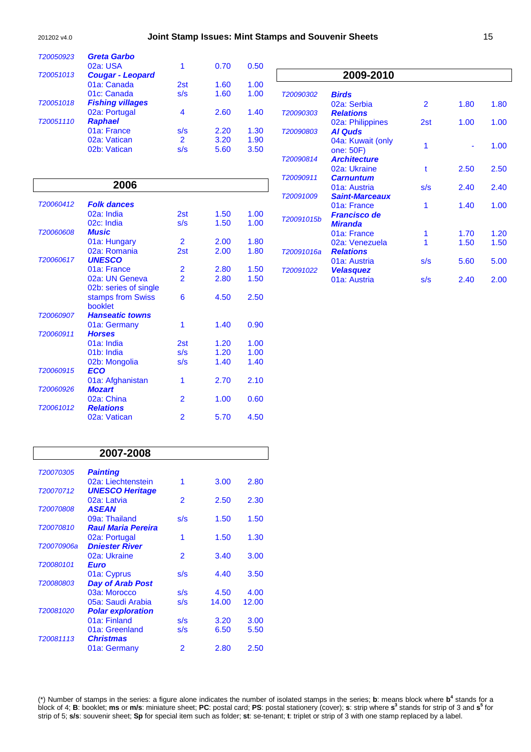| T20050923 | <b>Greta Garbo</b>                      |                                           |      |      |
|-----------|-----------------------------------------|-------------------------------------------|------|------|
|           | 02a: USA                                | 1                                         | 0.70 | 0.50 |
| T20051013 | <b>Cougar - Leopard</b>                 |                                           |      |      |
|           | 01a: Canada                             | 2st                                       | 1.60 | 1.00 |
| T20051018 | 01c: Canada                             | s/s                                       | 1.60 | 1.00 |
|           | <b>Fishing villages</b>                 | 4                                         | 2.60 | 1.40 |
| T20051110 | 02a: Portugal<br><b>Raphael</b>         |                                           |      |      |
|           | 01a: France                             | s/s                                       | 2.20 | 1.30 |
|           | 02a: Vatican                            | $\overline{2}$                            | 3.20 | 1.90 |
|           | 02b: Vatican                            | s/s                                       | 5.60 | 3.50 |
|           |                                         |                                           |      |      |
|           |                                         |                                           |      |      |
|           | 2006                                    |                                           |      |      |
|           |                                         |                                           |      |      |
| T20060412 | <b>Folk dances</b>                      |                                           |      |      |
|           | 02a: India                              | 2st                                       | 1.50 | 1.00 |
|           | 02c: India                              | s/s                                       | 1.50 | 1.00 |
| T20060608 | <b>Music</b>                            |                                           |      |      |
|           | 01a: Hungary                            | $\overline{2}$                            | 2.00 | 1.80 |
|           | 02a: Romania                            | 2st                                       | 2.00 | 1.80 |
| T20060617 | <b>UNESCO</b>                           |                                           |      |      |
|           | 01a: France                             | $\overline{\mathbf{c}}$<br>$\overline{2}$ | 2.80 | 1.50 |
|           | 02a: UN Geneva<br>02b: series of single |                                           | 2.80 | 1.50 |
|           | stamps from Swiss                       | 6                                         | 4.50 | 2.50 |
|           | booklet                                 |                                           |      |      |
| T20060907 | <b>Hanseatic towns</b>                  |                                           |      |      |
|           | 01a: Germany                            | 1                                         | 1.40 | 0.90 |
| T20060911 | <b>Horses</b>                           |                                           |      |      |
|           | 01a: India                              | 2st                                       | 1.20 | 1.00 |
|           | 01b: India                              | s/s                                       | 1.20 | 1.00 |
|           | 02b: Mongolia                           | s/s                                       | 1.40 | 1.40 |

02b: Mongolia

T20060915 **ECO** 

T20061012 **Relations** 

T20060926 **Mozart** 

|            | 2009-2010             |     |      |      |
|------------|-----------------------|-----|------|------|
|            |                       |     |      |      |
| T20090302  | <b>Birds</b>          |     |      |      |
|            | 02a: Serbia           | 2   | 1.80 | 1.80 |
| T20090303  | <b>Relations</b>      |     |      |      |
|            | 02a: Philippines      | 2st | 1.00 | 1.00 |
| T20090803  | <b>Al Quds</b>        |     |      |      |
|            | 04a: Kuwait (only     | 1   |      |      |
|            | one: 50F)             |     |      | 1.00 |
| T20090814  | <b>Architecture</b>   |     |      |      |
|            | 02a: Ukraine          | t   | 2.50 | 2.50 |
| T20090911  | <b>Carnuntum</b>      |     |      |      |
|            | 01a: Austria          | s/s | 2.40 | 2.40 |
| T20091009  | <b>Saint-Marceaux</b> |     |      |      |
|            | 01a: France           | 1   | 1.40 | 1.00 |
|            | <b>Francisco de</b>   |     |      |      |
| T20091015b | <b>Miranda</b>        |     |      |      |
|            | 01a: France           | 1   | 1.70 | 1.20 |
|            | 02a: Venezuela        |     | 1.50 | 1.50 |
| T20091016a | <b>Relations</b>      |     |      |      |
|            | 01a: Austria          | s/s | 5.60 | 5.00 |
| T20091022  | <b>Velasquez</b>      |     |      |      |
|            | 01a: Austria          | s/s | 2.40 | 2.00 |
|            |                       |     |      |      |

| T20070305<br><b>Painting</b><br>02a: Liechtenstein<br>1<br>3.00<br><b>UNESCO Heritage</b><br>T20070712<br>02a: Latvia<br>2<br>2.50<br><b>ASEAN</b><br>T20070808<br>09a: Thailand<br>s/s<br>1.50<br><b>Raul Maria Pereira</b><br>T20070810<br>1.50<br>1.30<br>02a: Portugal<br>1<br><b>Dniester River</b><br>T20070906a<br>02a: Ukraine<br>2<br>3.00<br>3.40<br>T20080101<br>Euro<br>01a: Cyprus<br>s/s<br>4.40<br><b>Day of Arab Post</b><br>T20080803<br>03a: Morocco<br>s/s<br>4.50<br>05a: Saudi Arabia<br>s/s<br>14.00<br><b>Polar exploration</b><br>T20081020<br>01a: Finland<br>s/s<br>3.20<br>01a: Greenland<br>s/s<br>6.50 | 2007-2008 |  |       |
|-------------------------------------------------------------------------------------------------------------------------------------------------------------------------------------------------------------------------------------------------------------------------------------------------------------------------------------------------------------------------------------------------------------------------------------------------------------------------------------------------------------------------------------------------------------------------------------------------------------------------------------|-----------|--|-------|
|                                                                                                                                                                                                                                                                                                                                                                                                                                                                                                                                                                                                                                     |           |  |       |
|                                                                                                                                                                                                                                                                                                                                                                                                                                                                                                                                                                                                                                     |           |  | 2.80  |
|                                                                                                                                                                                                                                                                                                                                                                                                                                                                                                                                                                                                                                     |           |  |       |
|                                                                                                                                                                                                                                                                                                                                                                                                                                                                                                                                                                                                                                     |           |  | 2.30  |
|                                                                                                                                                                                                                                                                                                                                                                                                                                                                                                                                                                                                                                     |           |  |       |
|                                                                                                                                                                                                                                                                                                                                                                                                                                                                                                                                                                                                                                     |           |  | 1.50  |
|                                                                                                                                                                                                                                                                                                                                                                                                                                                                                                                                                                                                                                     |           |  |       |
|                                                                                                                                                                                                                                                                                                                                                                                                                                                                                                                                                                                                                                     |           |  |       |
|                                                                                                                                                                                                                                                                                                                                                                                                                                                                                                                                                                                                                                     |           |  |       |
|                                                                                                                                                                                                                                                                                                                                                                                                                                                                                                                                                                                                                                     |           |  |       |
|                                                                                                                                                                                                                                                                                                                                                                                                                                                                                                                                                                                                                                     |           |  | 3.50  |
|                                                                                                                                                                                                                                                                                                                                                                                                                                                                                                                                                                                                                                     |           |  |       |
|                                                                                                                                                                                                                                                                                                                                                                                                                                                                                                                                                                                                                                     |           |  | 4.00  |
|                                                                                                                                                                                                                                                                                                                                                                                                                                                                                                                                                                                                                                     |           |  | 12.00 |
|                                                                                                                                                                                                                                                                                                                                                                                                                                                                                                                                                                                                                                     |           |  |       |
|                                                                                                                                                                                                                                                                                                                                                                                                                                                                                                                                                                                                                                     |           |  | 3.00  |
|                                                                                                                                                                                                                                                                                                                                                                                                                                                                                                                                                                                                                                     |           |  | 5.50  |
| <b>Christmas</b><br>T20081113                                                                                                                                                                                                                                                                                                                                                                                                                                                                                                                                                                                                       |           |  |       |
| 01a: Germany<br>2<br>2.80                                                                                                                                                                                                                                                                                                                                                                                                                                                                                                                                                                                                           |           |  | 2.50  |

01a: Afghanistan 1 2.70 2.10<br>**Mozart** 

02a: China 2 1.00 0.60

02a: Vatican 2 5.70 4.50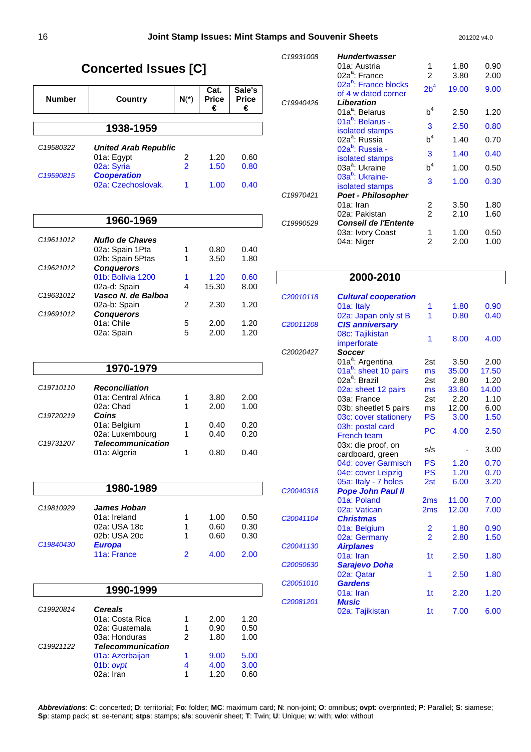# **Concerted Issues [C]**

| <b>Number</b>         | Country                                  | $N(*)$ | Cat.<br><b>Price</b><br>€ | Sale's<br><b>Price</b><br>€ |
|-----------------------|------------------------------------------|--------|---------------------------|-----------------------------|
|                       | 1938-1959                                |        |                           |                             |
| C <sub>19580322</sub> | <b>United Arab Republic</b>              |        |                           |                             |
|                       | 01a: Egypt                               | 2      | 1.20                      | 0.60                        |
|                       | 02a: Syria                               | 2      | 1.50                      | 0.80                        |
| C19590815             | <b>Cooperation</b><br>02a: Czechoslovak. |        | 1.00                      | 0.40                        |

### **1960-1969**

| C <sub>19611012</sub> | Nuflo de Chaves    |   |       |      |
|-----------------------|--------------------|---|-------|------|
|                       | 02a: Spain 1Pta    | 1 | 0.80  | 0.40 |
|                       | 02b: Spain 5Ptas   | 1 | 3.50  | 1.80 |
| C19621012             | <b>Conquerors</b>  |   |       |      |
|                       | 01b: Bolivia 1200  | 1 | 1.20  | 0.60 |
|                       | 02a-d: Spain       | 4 | 15.30 | 8.00 |
| C19631012             | Vasco N. de Balboa |   |       |      |
|                       | 02a-b: Spain       | 2 | 2.30  | 1.20 |
| C19691012             | <b>Conquerors</b>  |   |       |      |
|                       | 01a: Chile         | 5 | 2.00  | 1.20 |
|                       | 02a: Spain         | 5 | 2.00  | 1.20 |

|                       | 1970-1979                |   |      |      |
|-----------------------|--------------------------|---|------|------|
| C <sub>19710110</sub> | <b>Reconciliation</b>    |   |      |      |
|                       | 01a: Central Africa      | 1 | 3.80 | 2.00 |
|                       | 02a: Chad                |   | 2.00 | 1.00 |
| C19720219             | Coins                    |   |      |      |
|                       | 01a: Belgium             |   | 0.40 | 0.20 |
|                       | 02a: Luxembourg          |   | 0.40 | 0.20 |
| C19731207             | <b>Telecommunication</b> |   |      |      |
|                       | 01a: Algeria             |   | 0.80 | 0.40 |

### **1980-1989** C19810929 **James Hoban**  01a: Ireland 1 1.00 0.50<br>02a: USA 18c 1 0.60 0.30 02a: USA 18c 02b: USA 20c 1 0.60 0.30<br> **Europa** C19840430 11a: France 2 4.00 2.00

|                        | 1990-1999                |   |      |      |
|------------------------|--------------------------|---|------|------|
| C19920814              | <b>Cereals</b>           |   |      |      |
|                        | 01a: Costa Rica          |   | 2.00 | 1.20 |
|                        | 02a: Guatemala           |   | 0.90 | 0.50 |
|                        | 03a: Honduras            | 2 | 1.80 | 1.00 |
| C <sub>1992</sub> 1122 | <b>Telecommunication</b> |   |      |      |
|                        | 01a: Azerbaijan          |   | 9.00 | 5.00 |
|                        | 01b: ovpt                | 4 | 4.00 | 3.00 |
|                        | 02a: Iran                |   | 1.20 | 0.60 |

| C19931008 | <b>Hundertwasser</b>                                    |                 |       |      |
|-----------|---------------------------------------------------------|-----------------|-------|------|
|           | 01a: Austria                                            | 1               | 1.80  | 0.90 |
|           | 02a <sup>a</sup> : France                               | 2               | 3.80  | 2.00 |
|           | 02a <sup>b</sup> : France blocks<br>of 4 w dated corner | 2b <sup>4</sup> | 19.00 | 9.00 |
| C19940426 | Liberation                                              |                 |       |      |
|           | 01a <sup>a</sup> : Belarus                              | $b^4$           | 2.50  | 1.20 |
|           | 01a <sup>b</sup> : Belarus -<br>isolated stamps         | 3               | 2.50  | 0.80 |
|           | 02a <sup>a</sup> : Russia                               | $b^4$           | 1.40  | 0.70 |
|           | 02a <sup>b</sup> : Russia -<br>isolated stamps          | 3               | 1.40  | 0.40 |
|           | 03a <sup>a</sup> : Ukraine                              | $b^4$           | 1.00  | 0.50 |
|           | 03a <sup>b</sup> : Ukraine-<br>isolated stamps          | 3               | 1.00  | 0.30 |
| C19970421 | <b>Poet - Philosopher</b>                               |                 |       |      |
|           | 01a: Iran                                               | 2               | 3.50  | 1.80 |
|           | 02a: Pakistan                                           | 2               | 2.10  | 1.60 |
| C19990529 | <b>Conseil de l'Entente</b>                             |                 |       |      |
|           | 03a: Ivory Coast                                        | 1               | 1.00  | 0.50 |
|           | 04a: Niger                                              | 2               | 2.00  | 1.00 |
|           |                                                         |                 |       |      |

### **2000-2010**

| C <sub>20010118</sub> | <b>Cultural cooperation</b>       |                |       |       |
|-----------------------|-----------------------------------|----------------|-------|-------|
|                       | 01a: Italy                        | 1              | 1.80  | 0.90  |
|                       |                                   | 1              | 0.80  | 0.40  |
| C20011208             | 02a: Japan only st B              |                |       |       |
|                       | <b>CIS anniversary</b>            |                |       |       |
|                       | 08c: Tajikistan                   | 1              | 8.00  | 4.00  |
| C20020427             | imperforate<br><b>Soccer</b>      |                |       |       |
|                       |                                   |                |       |       |
|                       | 01a <sup>a</sup> : Argentina      | 2st            | 3.50  | 2.00  |
|                       | 01a <sup>b</sup> : sheet 10 pairs | ms             | 35.00 | 17.50 |
|                       | 02a <sup>a</sup> : Brazil         | 2st            | 2.80  | 1.20  |
|                       | 02a: sheet 12 pairs               | ms             | 33.60 | 14.00 |
|                       | 03a: France                       | 2st            | 2.20  | 1.10  |
|                       | 03b: sheetlet 5 pairs             | ms             | 12.00 | 6.00  |
|                       | 03c: cover stationery             | PS             | 3.00  | 1.50  |
|                       | 03h: postal card                  | PC.            | 4.00  | 2.50  |
|                       | <b>French team</b>                |                |       |       |
|                       | 03x: die proof, on                | s/s            |       | 3.00  |
|                       | cardboard, green                  |                |       |       |
|                       | 04d: cover Garmisch               | PS             | 1.20  | 0.70  |
|                       | 04e: cover Leipzig                | <b>PS</b>      | 1.20  | 0.70  |
|                       | 05a: Italy - 7 holes              | 2st            | 6.00  | 3.20  |
| C20040318             | <b>Pope John Paul II</b>          |                |       |       |
|                       | 01a: Poland                       | 2ms            | 11.00 | 7.00  |
|                       | 02a: Vatican                      | 2ms            | 12.00 | 7.00  |
| C20041104             | <b>Christmas</b>                  |                |       |       |
|                       | 01a: Belgium                      | 2              | 1.80  | 0.90  |
|                       | 02a: Germany                      | $\overline{2}$ | 2.80  | 1.50  |
| C <sub>20041130</sub> | <b>Airplanes</b>                  |                |       |       |
|                       | 01a: Iran                         | 1t             | 2.50  | 1.80  |
| C20050630             | <b>Sarajevo Doha</b>              |                |       |       |
|                       | 02a: Qatar                        | 1              | 2.50  | 1.80  |
| C20051010             | <b>Gardens</b>                    |                |       |       |
|                       | 01a: Iran                         | 1 <sub>t</sub> | 2.20  | 1.20  |
| C20081201             | <b>Music</b>                      |                |       |       |
|                       | 02a: Tajikistan                   | 1 <sub>t</sub> | 7.00  | 6.00  |
|                       |                                   |                |       |       |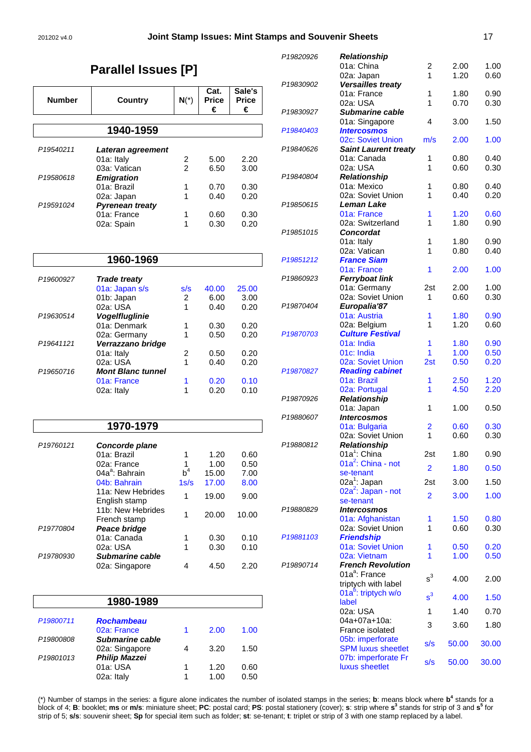#### 201202 v4.0 **Joint Stamp Issues: Mint Stamps and Souvenir Sheets** 17

# **Parallel Issues [P]**

| <b>Number</b>         |                                       |                     | Cat.<br><b>Price</b> | Sale's<br><b>Price</b> |
|-----------------------|---------------------------------------|---------------------|----------------------|------------------------|
|                       | <b>Country</b>                        | $N(*)$              | €                    | €                      |
|                       | 1940-1959                             |                     |                      |                        |
|                       |                                       |                     |                      |                        |
| P <sub>19540211</sub> | Lateran agreement                     |                     |                      |                        |
|                       | 01a: Italy<br>03a: Vatican            | 2<br>$\overline{2}$ | 5.00<br>6.50         | 2.20<br>3.00           |
| P19580618             | <b>Emigration</b>                     |                     |                      |                        |
|                       | 01a: Brazil                           | 1                   | 0.70                 | 0.30                   |
|                       | 02a: Japan                            | 1                   | 0.40                 | 0.20                   |
| P19591024             | <b>Pyrenean treaty</b><br>01a: France | 1                   | 0.60                 | 0.30                   |
|                       | 02a: Spain                            | 1                   | 0.30                 | 0.20                   |
|                       |                                       |                     |                      |                        |
|                       | 1960-1969                             |                     |                      |                        |
| P19600927             | <b>Trade treaty</b>                   |                     |                      |                        |
|                       | 01a: Japan s/s                        | s/s                 | 40.00                | 25.00                  |
|                       | 01b: Japan                            | 2                   | 6.00                 | 3.00                   |
| P19630514             | 02a: USA                              | 1                   | 0.40                 | 0.20                   |
|                       | <b>Vogelfluglinie</b><br>01a: Denmark | 1                   | 0.30                 | 0.20                   |
|                       | 02a: Germany                          | 1                   | 0.50                 | 0.20                   |
| P <sub>19641121</sub> | Verrazzano bridge                     |                     |                      |                        |
|                       | 01a: Italy<br>02a: USA                | 2<br>1              | 0.50<br>0.40         | 0.20<br>0.20           |
| P19650716             | <b>Mont Blanc tunnel</b>              |                     |                      |                        |
|                       | 01a: France                           | 1                   | 0.20                 | 0.10                   |
|                       | 02a: Italy                            | 1                   | 0.20                 | 0.10                   |
|                       |                                       |                     |                      |                        |
|                       | 1970-1979                             |                     |                      |                        |
| P19760121             | Concorde plane                        |                     |                      |                        |
|                       | 01a: Brazil                           | 1                   | 1.20                 | 0.60                   |
|                       | 02a: France                           | 1                   | 1.00                 | 0.50                   |
|                       | 04a <sup>a</sup> : Bahrain            | b <sup>4</sup>      | 15.00                | 7.00                   |
|                       | 04b: Bahrain<br>11a: New Hebrides     | 1s/s                | 17.00                | 8.00                   |
|                       | English stamp                         | 1                   | 19.00                | 9.00                   |
|                       | 11b: New Hebrides                     | 1                   | 20.00                | 10.00                  |
| P19770804             | French stamp                          |                     |                      |                        |
|                       | Peace bridge<br>01a: Canada           | 1                   | 0.30                 | 0.10                   |
|                       | 02a: USA                              | 1                   | 0.30                 | 0.10                   |
| P19780930             | <b>Submarine cable</b>                |                     |                      |                        |
|                       | 02a: Singapore                        | 4                   | 4.50                 | 2.20                   |
|                       |                                       |                     |                      |                        |
|                       |                                       |                     |                      |                        |

|                       | 1980-1989            |   |      |      |
|-----------------------|----------------------|---|------|------|
| P19800711             | <b>Rochambeau</b>    |   |      |      |
|                       | 02a: France          |   | 2.00 | 1.00 |
| P19800808             | Submarine cable      |   |      |      |
|                       | 02a: Singapore       |   | 3.20 | 1.50 |
| P <sub>19801013</sub> | <b>Philip Mazzei</b> |   |      |      |
|                       | 01a: USA             | 1 | 1.20 | 0.60 |
|                       | 02a: Italy           |   | 1.00 | 0.50 |

| P19820926             | <b>Relationship</b>                     |                |       |       |
|-----------------------|-----------------------------------------|----------------|-------|-------|
|                       | 01a: China                              | 2              | 2.00  | 1.00  |
|                       | 02a: Japan                              | 1              | 1.20  | 0.60  |
| P19830902             | Versailles treaty                       |                |       |       |
|                       | 01a: France                             | 1              | 1.80  | 0.90  |
|                       | 02a: USA                                | 1              | 0.70  | 0.30  |
| P19830927             | <b>Submarine cable</b>                  |                |       |       |
|                       | 01a: Singapore                          | 4              | 3.00  | 1.50  |
| P19840403             | <b>Intercosmos</b><br>02c: Soviet Union | m/s            | 2.00  | 1.00  |
| P19840626             | <b>Saint Laurent treaty</b>             |                |       |       |
|                       | 01a: Canada                             | 1              | 0.80  | 0.40  |
|                       | 02a: USA                                | 1              | 0.60  | 0.30  |
| P19840804             | <b>Relationship</b>                     |                |       |       |
|                       | 01a: Mexico                             | 1              | 0.80  | 0.40  |
|                       | 02a: Soviet Union                       | 1              | 0.40  | 0.20  |
| P19850615             | Leman Lake                              |                |       |       |
|                       | 01a: France                             | 1              | 1.20  | 0.60  |
|                       | 02a: Switzerland                        | 1              | 1.80  | 0.90  |
| P19851015             | Concordat                               |                |       |       |
|                       | 01a: Italy                              | 1              | 1.80  | 0.90  |
|                       | 02a: Vatican                            | 1              | 0.80  | 0.40  |
| P <sub>19851212</sub> | <b>France Siam</b><br>01a: France       | 1              | 2.00  | 1.00  |
| P19860923             | <b>Ferryboat link</b>                   |                |       |       |
|                       | 01a: Germany                            | 2st            | 2.00  | 1.00  |
|                       | 02a: Soviet Union                       | 1              | 0.60  | 0.30  |
| P19870404             | Europalia'87                            |                |       |       |
|                       | 01a: Austria                            | 1              | 1.80  | 0.90  |
|                       | 02a: Belgium                            | 1              | 1.20  | 0.60  |
| P19870703             | <b>Culture Festival</b>                 |                |       |       |
|                       | 01a: India                              | 1              | 1.80  | 0.90  |
|                       | 01c: India                              | 1              | 1.00  | 0.50  |
|                       | 02a: Soviet Union                       | 2st            | 0.50  | 0.20  |
| P19870827             | <b>Reading cabinet</b>                  |                |       |       |
|                       | 01a: Brazil                             | 1              | 2.50  | 1.20  |
| P19870926             | 02a: Portugal                           | 1              | 4.50  | 2.20  |
|                       | Relationship<br>01a: Japan              | 1              | 1.00  | 0.50  |
| P19880607             | <b>Intercosmos</b>                      |                |       |       |
|                       | 01a: Bulgaria                           | $\overline{2}$ | 0.60  | 0.30  |
|                       | 02a: Soviet Union                       | 1              | 0.60  | 0.30  |
| P19880812             | <b>Relationship</b>                     |                |       |       |
|                       | $01a^1$ : China                         | 2st            | 1.80  | 0.90  |
|                       | $01a^2$ : China - not                   |                |       |       |
|                       | se-tenant                               | $\overline{2}$ | 1.80  | 0.50  |
|                       | $02a^1$ : Japan                         | 2st            | 3.00  | 1.50  |
|                       | $02a^2$ : Japan - not                   | $\overline{2}$ | 3.00  | 1.00  |
|                       | se-tenant                               |                |       |       |
| P19880829             | <b>Intercosmos</b>                      |                |       |       |
|                       | 01a: Afghanistan                        | 1              | 1.50  | 0.80  |
| P19881103             | 02a: Soviet Union                       | 1              | 0.60  | 0.30  |
|                       | <b>Friendship</b><br>01a: Soviet Union  | 1              | 0.50  | 0.20  |
|                       | 02a: Vietnam                            | 1              | 1.00  | 0.50  |
| P19890714             | <b>French Revolution</b>                |                |       |       |
|                       | 01a <sup>a</sup> : France               |                |       |       |
|                       | triptych with label                     | $s^3$          | 4.00  | 2.00  |
|                       | 01a <sup>b</sup> : triptych w/o         | $s^3$          |       |       |
|                       | label                                   |                | 4.00  | 1.50  |
|                       | 02a: USA                                | 1              | 1.40  | 0.70  |
|                       | 04a+07a+10a:                            | 3              | 3.60  | 1.80  |
|                       | France isolated                         |                |       |       |
|                       | 05b: imperforate                        | s/s            | 50.00 | 30.00 |
|                       | <b>SPM luxus sheetlet</b>               |                |       |       |
|                       | 07b: imperforate Fr                     | s/s            | 50.00 | 30.00 |
|                       | luxus sheetlet                          |                |       |       |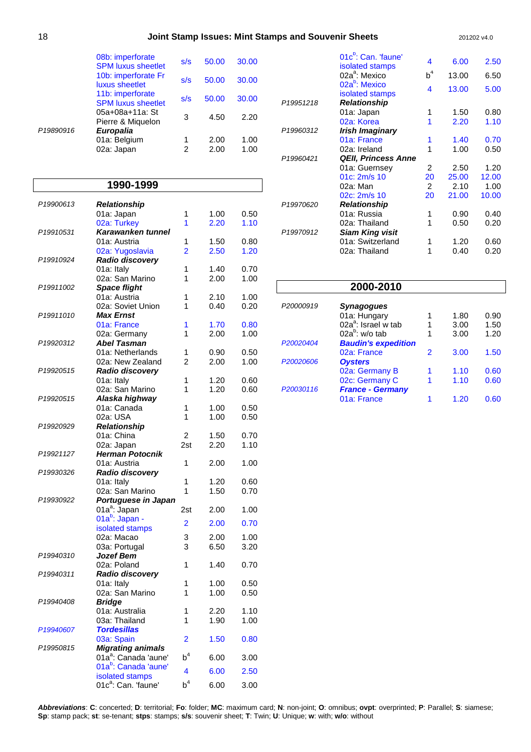| Joint Stamp Issues: Mint Stamps and Souvenir Sheets | 201202 v4.0 |
|-----------------------------------------------------|-------------|
|-----------------------------------------------------|-------------|

|           | 08b: imperforate<br><b>SPM luxus sheetlet</b><br>10b: imperforate Fr | s/s<br>s/s | 50.00<br>50.00 | 30.00<br>30.00 |
|-----------|----------------------------------------------------------------------|------------|----------------|----------------|
|           | luxus sheetlet                                                       |            |                |                |
|           | 11b: imperforate<br><b>SPM luxus sheetlet</b>                        | s/s        | 50.00          | 30.00          |
| P19890916 | 05a+08a+11a: St<br>Pierre & Miguelon<br><b>Europalia</b>             | 3          | 4.50           | 2.20           |
|           | 01a: Belgium                                                         | 1          | 2.00           | 1.00           |
|           | 02a: Japan                                                           | 2          | 2.00           | 1.00           |

### **1990-1999**

| P19900613             | <b>Relationship</b>                    |                       |              |      |
|-----------------------|----------------------------------------|-----------------------|--------------|------|
|                       | 01a: Japan                             | 1                     | 1.00         | 0.50 |
|                       | 02a: Turkey                            | 1                     | 2.20         | 1.10 |
| P <sub>19910531</sub> | Karawanken tunnel                      |                       |              |      |
|                       | 01a: Austria                           | 1                     | 1.50         | 0.80 |
|                       | 02a: Yugoslavia                        | $\overline{2}$        | 2.50         | 1.20 |
| P19910924             | Radio discovery                        |                       |              |      |
|                       | 01a: Italy                             | 1                     | 1.40         | 0.70 |
|                       | 02a: San Marino                        | 1                     | 2.00         | 1.00 |
| P19911002             | <b>Space flight</b>                    |                       |              |      |
|                       | 01a: Austria                           | 1                     | 2.10         | 1.00 |
|                       | 02a: Soviet Union                      | 1                     | 0.40         | 0.20 |
| P <sub>19911010</sub> | <b>Max Ernst</b>                       |                       |              |      |
|                       | 01a: France                            | 1                     | 1.70         | 0.80 |
|                       | 02a: Germany                           | 1                     | 2.00         | 1.00 |
| P19920312             | <b>Abel Tasman</b>                     |                       |              |      |
|                       | 01a: Netherlands                       | 1                     | 0.90         | 0.50 |
|                       | 02a: New Zealand                       | 2                     | 2.00         | 1.00 |
| P19920515             | <b>Radio discoverv</b>                 |                       |              |      |
|                       | 01a: Italy                             | 1                     | 1.20         | 0.60 |
|                       | 02a: San Marino                        | 1                     | 1.20         | 0.60 |
| P19920515             | Alaska highway                         |                       |              |      |
|                       | 01a: Canada                            | 1                     | 1.00         | 0.50 |
|                       | 02a: USA                               | 1                     | 1.00         | 0.50 |
| P19920929             | <b>Relationship</b>                    |                       |              |      |
|                       | 01a: China                             | $\overline{2}$<br>2st | 1.50<br>2.20 | 0.70 |
| P19921127             | 02a: Japan<br><b>Herman Potocnik</b>   |                       |              | 1.10 |
|                       | 01a: Austria                           | 1                     | 2.00         | 1.00 |
| P19930326             | Radio discovery                        |                       |              |      |
|                       | 01a: Italy                             | 1                     | 1.20         | 0.60 |
|                       | 02a: San Marino                        | 1                     | 1.50         | 0.70 |
| P19930922             | Portuguese in Japan                    |                       |              |      |
|                       | 01a <sup>a</sup> : Japan               | 2st                   | 2.00         | 1.00 |
|                       | 01a <sup>b</sup> : Japan -             |                       |              |      |
|                       | isolated stamps                        | $\overline{2}$        | 2.00         | 0.70 |
|                       | 02a: Macao                             | 3                     | 2.00         | 1.00 |
|                       | 03a: Portugal                          | 3                     | 6.50         | 3.20 |
| P19940310             | <b>Jozef Bem</b>                       |                       |              |      |
|                       | 02a: Poland                            | 1                     | 1.40         | 0.70 |
| P19940311             | <b>Radio discovery</b>                 |                       |              |      |
|                       | 01a: Italy                             | 1                     | 1.00         | 0.50 |
|                       | 02a: San Marino                        | 1                     | 1.00         | 0.50 |
| P19940408             | <b>Bridge</b>                          |                       |              |      |
|                       | 01a: Australia                         | 1                     | 2.20         | 1.10 |
|                       | 03a: Thailand<br><b>Tordesillas</b>    | 1                     | 1.90         | 1.00 |
| P19940607             |                                        |                       |              |      |
| P19950815             | 03a: Spain<br><b>Migrating animals</b> | 2                     | 1.50         | 0.80 |
|                       | 01a <sup>a</sup> : Canada 'aune'       | $b^4$                 | 6.00         | 3.00 |
|                       | 01a <sup>b</sup> : Canada 'aune'       |                       |              |      |
|                       | isolated stamps                        | 4                     | 6.00         | 2.50 |
|                       | 01c <sup>a</sup> : Can. 'faune'        | b <sup>4</sup>        | 6.00         | 3.00 |
|                       |                                        |                       |              |      |

|                       | 01c <sup>b</sup> : Can. 'faune'<br>isolated stamps | 4              | 6.00  | 2.50  |
|-----------------------|----------------------------------------------------|----------------|-------|-------|
|                       | 02a <sup>a</sup> : Mexico                          | $b^4$          | 13.00 | 6.50  |
|                       | 02a <sup>b</sup> : Mexico<br>isolated stamps       | 4              | 13.00 | 5.00  |
| P19951218             | <b>Relationship</b>                                |                |       |       |
|                       | 01a: Japan                                         | 1              | 1.50  | 0.80  |
|                       | 02a: Korea                                         | 1              | 2.20  | 1.10  |
| P19960312             | Irish Imaginary                                    |                |       |       |
|                       | 01a: France                                        | 1              | 1.40  | 0.70  |
|                       | 02a: Ireland                                       | 1              | 1.00  | 0.50  |
| P19960421             | <b>QEII, Princess Anne</b>                         |                |       |       |
|                       | 01a: Guernsey                                      | 2              | 2.50  | 1.20  |
|                       | 01c: 2m/s 10                                       | 20             | 25.00 | 12.00 |
|                       | 02a: Man                                           | $\overline{2}$ | 2.10  | 1.00  |
|                       | 02c: 2m/s 10                                       | 20             | 21.00 | 10.00 |
| P <sub>19970620</sub> | <b>Relationship</b>                                |                |       |       |
|                       | 01a: Russia                                        | 1              | 0.90  | 0.40  |
|                       | 02a: Thailand                                      | 1              | 0.50  | 0.20  |
| P <sub>19970912</sub> | <b>Siam King visit</b>                             |                |       |       |
|                       | 01a: Switzerland                                   | 1              | 1.20  | 0.60  |
|                       | 02a: Thailand                                      | 1              | 0.40  | 0.20  |
|                       |                                                    |                |       |       |

#### **2000-2010** P20000919 **Synagogues**  01a: Hungary 1 1.80 0.90  $02a^2$ : Israel w tab  $1 \t 3.00 \t 1.50$  $02a^b$ : w/o tab  $1 \t 3.00 \t 1.20$ P20020404 **Baudin's expedition** 02a: France 2 3.00 1.50 P20020606 **Oysters**  02a: Germany B 1 1.10 0.60 02c: Germany C 1 1.10 0.60 P20030116 **France - Germany**  01a: France 1 1.20 0.60

**Abbreviations**: **C**: concerted; **D**: territorial; **Fo**: folder; **MC**: maximum card; **N**: non-joint; **O**: omnibus; **ovpt**: overprinted; **P**: Parallel; **S**: siamese; **Sp**: stamp pack; **st**: se-tenant; **stps**: stamps; **s/s**: souvenir sheet; **T**: Twin; **U**: Unique; **w**: with; **w/o**: without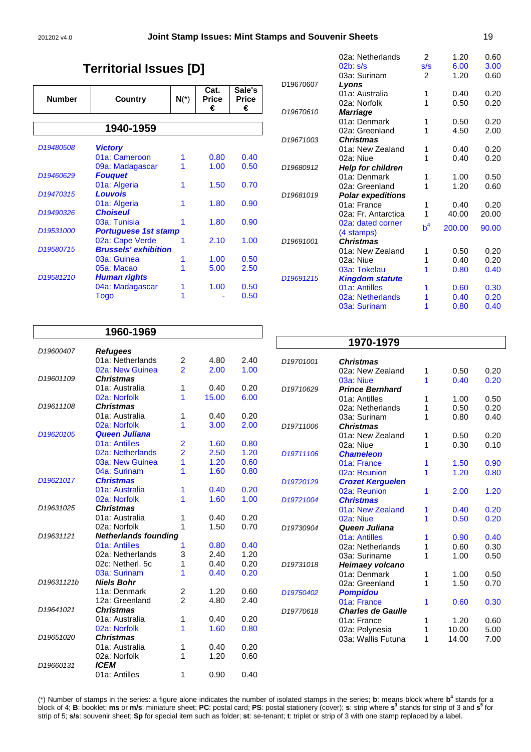# **Territorial Issues [D]**

| <b>Number</b>         | Country                     | $N(*)$ | Cat.<br>Price<br>€ | Sale's<br>Price<br>€ |
|-----------------------|-----------------------------|--------|--------------------|----------------------|
|                       | 1940-1959                   |        |                    |                      |
| D <sub>19480508</sub> | <b>Victory</b>              |        |                    |                      |
|                       | 01a: Cameroon               | 1      | 0.80               | 0.40                 |
|                       | 09a: Madagascar             |        | 1.00               | 0.50                 |
| D <sub>19460629</sub> | <b>Fouguet</b>              |        |                    |                      |
|                       | 01a: Algeria                | 1      | 1.50               | 0.70                 |
| D19470315             | <b>Louvois</b>              |        |                    |                      |
|                       | 01a: Algeria                | 1      | 1.80               | 0.90                 |
| D <sub>19490326</sub> | <b>Choiseul</b>             |        |                    |                      |
|                       | 03a: Tunisia                |        | 1.80               | 0.90                 |
| D <sub>19531000</sub> | <b>Portuguese 1st stamp</b> |        |                    |                      |
|                       | 02a: Cape Verde             |        | 2.10               | 1.00                 |
| D19580715             | <b>Brussels' exhibition</b> |        |                    |                      |
|                       | 03a: Guinea                 |        | 1.00               | 0.50                 |
|                       | 05a: Macao                  |        | 5.00               | 2.50                 |
| D19581210             | <b>Human rights</b>         |        |                    |                      |
|                       | 04a: Madagascar             |        | 1.00               | 0.50                 |
|                       | Togo                        |        |                    | 0.50                 |

|                       | 02a: Netherlands         | 2     | 1.20   | 0.60  |
|-----------------------|--------------------------|-------|--------|-------|
|                       | $02b$ : s/s              | s/s   | 6.00   | 3.00  |
|                       | 03a: Surinam             | 2     | 1.20   | 0.60  |
| D19670607             | Lyons                    |       |        |       |
|                       | 01a: Australia           | 1     | 0.40   | 0.20  |
|                       | 02a: Norfolk             | 1     | 0.50   | 0.20  |
| D <sub>19670610</sub> | <b>Marriage</b>          |       |        |       |
|                       | 01a: Denmark             | 1     | 0.50   | 0.20  |
|                       | 02a: Greenland           | 1     | 4.50   | 2.00  |
| D <sub>19671003</sub> | <b>Christmas</b>         |       |        |       |
|                       | 01a: New Zealand         | 1     | 0.40   | 0.20  |
|                       | 02a: Niue                | 1     | 0.40   | 0.20  |
| D19680912             | <b>Help for children</b> |       |        |       |
|                       | 01a: Denmark             | 1     | 1.00   | 0.50  |
|                       | 02a: Greenland           | 1     | 1.20   | 0.60  |
| D19681019             | <b>Polar expeditions</b> |       |        |       |
|                       | 01a: France              | 1     | 0.40   | 0.20  |
|                       | 02a: Fr. Antarctica      | 1     | 40.00  | 20.00 |
|                       | 02a: dated corner        | $b^4$ | 200.00 | 90.00 |
|                       | (4 stamps)               |       |        |       |
| D19691001             | <b>Christmas</b>         |       |        |       |
|                       | 01a: New Zealand         | 1     | 0.50   | 0.20  |
|                       | 02a: Niue                | 1     | 0.40   | 0.20  |
|                       | 03a: Tokelau             | 1     | 0.80   | 0.40  |
| D <sub>19691215</sub> | <b>Kingdom statute</b>   |       |        |       |
|                       | 01a: Antilles            | 1     | 0.60   | 0.30  |
|                       | 02a: Netherlands         | 1     | 0.40   | 0.20  |
|                       | 03a: Surinam             | 1     | 0.80   | 0.40  |
|                       |                          |       |        |       |

|                        | 1960-1969                           |                                  |              |              |  |  |  |
|------------------------|-------------------------------------|----------------------------------|--------------|--------------|--|--|--|
|                        |                                     |                                  |              |              |  |  |  |
| D19600407              | <b>Refugees</b><br>01a: Netherlands |                                  | 4.80         | 2.40         |  |  |  |
|                        | 02a: New Guinea                     | 2<br>$\overline{2}$              |              |              |  |  |  |
| D <sub>19601109</sub>  |                                     |                                  | 2.00         | 1.00         |  |  |  |
|                        | Christmas<br>01a: Australia         | 1                                |              |              |  |  |  |
|                        | 02a: Norfolk                        |                                  | 0.40         | 0.20         |  |  |  |
| D <sub>19611108</sub>  | <b>Christmas</b>                    | 1                                | 15.00        | 6.00         |  |  |  |
|                        | 01a: Australia                      |                                  |              |              |  |  |  |
|                        | 02a: Norfolk                        | 1<br>1                           | 0.40<br>3.00 | 0.20<br>2.00 |  |  |  |
| D19620105              | <b>Queen Juliana</b>                |                                  |              |              |  |  |  |
|                        | 01a: Antilles                       |                                  | 1.60         | 0.80         |  |  |  |
|                        | 02a: Netherlands                    | $\overline{2}$<br>$\overline{2}$ | 2.50         | 1.20         |  |  |  |
|                        | 03a: New Guinea                     | 1                                | 1.20         | 0.60         |  |  |  |
|                        | 04a: Surinam                        | 1                                | 1.60         | 0.80         |  |  |  |
| D <sub>1962</sub> 1017 | <b>Christmas</b>                    |                                  |              |              |  |  |  |
|                        | 01a: Australia                      | 1                                | 0.40         | 0.20         |  |  |  |
|                        | 02a: Norfolk                        | 1                                | 1.60         | 1.00         |  |  |  |
| D19631025              | <b>Christmas</b>                    |                                  |              |              |  |  |  |
|                        | 01a: Australia                      | 1                                | 0.40         | 0.20         |  |  |  |
|                        | 02a: Norfolk                        | 1                                | 1.50         | 0.70         |  |  |  |
| D19631121              | <b>Netherlands founding</b>         |                                  |              |              |  |  |  |
|                        | 01a: Antilles                       | 1                                | 0.80         | 0.40         |  |  |  |
|                        | 02a: Netherlands                    | 3                                | 2.40         | 1.20         |  |  |  |
|                        | 02c: Netherl, 5c                    | 1                                | 0.40         | 0.20         |  |  |  |
|                        | 03a: Surinam                        | 1                                | 0.40         | 0.20         |  |  |  |
| D19631121b             | <b>Niels Bohr</b>                   |                                  |              |              |  |  |  |
|                        | 11a: Denmark                        | 2                                | 1.20         | 0.60         |  |  |  |
|                        | 12a: Greenland                      | $\mathcal{P}$                    | 4.80         | 2.40         |  |  |  |
| D19641021              | <b>Christmas</b>                    |                                  |              |              |  |  |  |
|                        | 01a: Australia                      | 1                                | 0.40         | 0.20         |  |  |  |
|                        | 02a: Norfolk                        | 1                                | 1.60         | 0.80         |  |  |  |
| D <sub>19651020</sub>  | <b>Christmas</b>                    |                                  |              |              |  |  |  |
|                        | 01a: Australia                      | 1                                | 0.40         | 0.20         |  |  |  |
|                        | 02a: Norfolk                        | 1                                | 1.20         | 0.60         |  |  |  |
| D19660131              | <i><b>ICEM</b></i>                  |                                  |              |              |  |  |  |
|                        | 01a: Antilles                       | 1                                | 0.90         | 0.40         |  |  |  |

|                       | 1970-1979                            |   |       |      |
|-----------------------|--------------------------------------|---|-------|------|
|                       |                                      |   |       |      |
| D19701001             | <b>Christmas</b><br>02a: New Zealand | 1 | 0.50  | 0.20 |
|                       | 03a: Niue                            | 1 | 0.40  | 0.20 |
| D19710629             | <b>Prince Bernhard</b>               |   |       |      |
|                       | 01a: Antilles                        | 1 | 1.00  | 0.50 |
|                       | 02a: Netherlands                     | 1 | 0.50  | 0.20 |
|                       | 03a: Surinam                         | 1 | 0.80  | 0.40 |
| D19711006             | <b>Christmas</b>                     |   |       |      |
|                       | 01a: New Zealand                     | 1 | 0.50  | 0.20 |
|                       | 02a: Niue                            | 1 | 0.30  | 0.10 |
| D <sub>19711106</sub> | <b>Chameleon</b>                     |   |       |      |
|                       | 01a: France                          | 1 | 1.50  | 0.90 |
|                       | 02a: Reunion                         | 1 | 1.20  | 0.80 |
| D <sub>19720129</sub> | <b>Crozet Kerguelen</b>              |   |       |      |
|                       | 02a: Reunion                         | 1 | 2.00  | 1.20 |
| D19721004             | <b>Christmas</b>                     |   |       |      |
|                       | 01a: New Zealand                     | 1 | 0.40  | 0.20 |
|                       | 02a: Niue                            | 1 | 0.50  | 0.20 |
| D19730904             | Queen Juliana                        |   |       |      |
|                       | 01a: Antilles                        | 1 | 0.90  | 0.40 |
|                       | 02a: Netherlands                     | 1 | 0.60  | 0.30 |
|                       | 03a: Suriname                        | 1 | 1.00  | 0.50 |
| D19731018             | Heimaey volcano                      |   |       |      |
|                       | 01a: Denmark                         | 1 | 1.00  | 0.50 |
|                       | 02a: Greenland                       | 1 | 1.50  | 0.70 |
| D19750402             | <b>Pompidou</b>                      |   |       |      |
|                       | 01a: France                          | 1 | 0.60  | 0.30 |
| D19770618             | <b>Charles de Gaulle</b>             |   |       |      |
|                       | 01a: France                          | 1 | 1.20  | 0.60 |
|                       | 02a: Polynesia                       | 1 | 10.00 | 5.00 |
|                       | 03a: Wallis Futuna                   | 1 | 14.00 | 7.00 |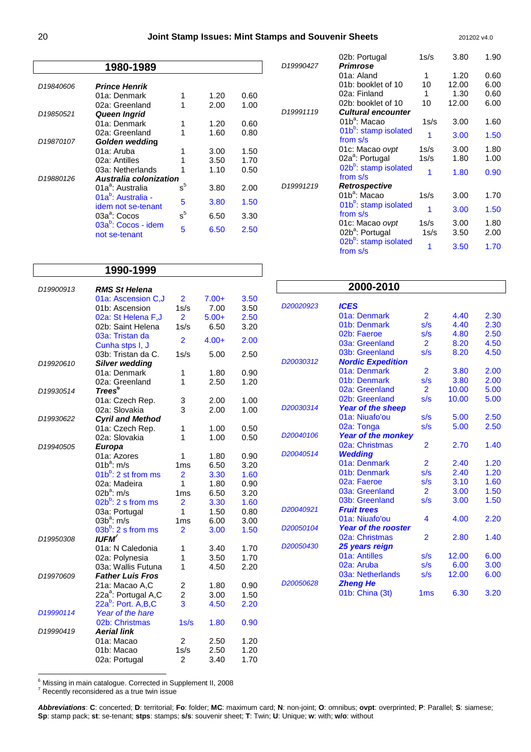| 1980-1989 |                                                      |       |      |      |  |
|-----------|------------------------------------------------------|-------|------|------|--|
| D19840606 | <b>Prince Henrik</b>                                 |       |      |      |  |
|           | 01a: Denmark                                         |       | 1.20 | 0.60 |  |
|           | 02a: Greenland                                       |       | 2.00 | 1.00 |  |
| D19850521 | <b>Queen Ingrid</b>                                  |       |      |      |  |
|           | 01a: Denmark                                         |       | 1.20 | 0.60 |  |
|           | 02a: Greenland                                       |       | 1.60 | 0.80 |  |
| D19870107 | Golden wedding                                       |       |      |      |  |
|           | 01a: Aruba                                           |       | 3.00 | 1.50 |  |
|           | 02a: Antilles                                        |       | 3.50 | 1.70 |  |
|           | 03a: Netherlands                                     |       | 1.10 | 0.50 |  |
| D19880126 | Australia colonization                               |       |      |      |  |
|           | 01a <sup>a</sup> : Australia                         | $s^5$ | 3.80 | 2.00 |  |
|           | 01a <sup>b</sup> : Australia -<br>idem not se-tenant | 5     | 3.80 | 1.50 |  |
|           | $03a^a$ : Cocos                                      | $s^5$ | 6.50 | 3.30 |  |
|           | 03a <sup>b</sup> : Cocos - idem<br>not se-tenant     | 5     | 6.50 | 2.50 |  |

|                       | 02b: Portugal                                 | 1s/s | 3.80  | 1.90 |
|-----------------------|-----------------------------------------------|------|-------|------|
| D <sub>19990427</sub> | <b>Primrose</b>                               |      |       |      |
|                       | 01a: Aland                                    | 1    | 1.20  | 0.60 |
|                       | 01b: booklet of 10                            | 10   | 12.00 | 6.00 |
|                       | 02a: Finland                                  | 1    | 1.30  | 0.60 |
|                       | 02b: booklet of 10                            | 10   | 12.00 | 6.00 |
| D19991119             | <b>Cultural encounter</b>                     |      |       |      |
|                       | 01b <sup>a</sup> : Macao                      | 1s/s | 3.00  | 1.60 |
|                       | 01b <sup>b</sup> : stamp isolated<br>from s/s | 1    | 3.00  | 1.50 |
|                       | 01c: Macao ovpt                               | 1s/s | 3.00  | 1.80 |
|                       | 02a <sup>a</sup> : Portugal                   | 1s/s | 1.80  | 1.00 |
|                       | 02b <sup>b</sup> : stamp isolated<br>from s/s | 1    | 1.80  | 0.90 |
| D19991219             | Retrospective                                 |      |       |      |
|                       | 01b <sup>a</sup> : Macao                      | 1s/s | 3.00  | 1.70 |
|                       | 01b <sup>b</sup> : stamp isolated<br>from s/s | 1    | 3.00  | 1.50 |
|                       | 01c: Macao ovpt                               | 1s/s | 3.00  | 1.80 |
|                       | 02b <sup>a</sup> : Portugal                   | 1s/s | 3.50  | 2.00 |
|                       | 02b <sup>b</sup> : stamp isolated<br>from s/s | 1    | 3.50  | 1.70 |

### **1990-1999**

| D19900913             | <b>RMS St Helena</b>                                              |                 |         |      |
|-----------------------|-------------------------------------------------------------------|-----------------|---------|------|
|                       | 01a: Ascension C,J                                                | $\overline{2}$  | $7.00+$ | 3.50 |
|                       | 01b: Ascension                                                    | 1s/s            | 7.00    | 3.50 |
|                       | 02a: St Helena F, J                                               | $\overline{2}$  | $5.00+$ | 2.50 |
|                       | 02b: Saint Helena                                                 | 1s/s            | 6.50    | 3.20 |
|                       | 03a: Tristan da<br>Cunha stps I, J                                | $\overline{2}$  | $4.00+$ | 2.00 |
|                       | 03b: Tristan da C.                                                | 1s/s            | 5.00    | 2.50 |
| D19920610             | <b>Silver wedding</b>                                             |                 |         |      |
|                       | 01a: Denmark                                                      | 1               | 1.80    | 0.90 |
|                       | 02a: Greenland                                                    | 1               | 2.50    | 1.20 |
| D19930514             | Trees <sup>6</sup>                                                |                 |         |      |
|                       | 01a: Czech Rep.                                                   | 3               | 2.00    | 1.00 |
|                       | 02a: Slovakia                                                     | 3               | 2.00    | 1.00 |
| D19930622             | <b>Cyril and Method</b>                                           |                 |         |      |
|                       | 01a: Czech Rep.                                                   | 1               | 1.00    | 0.50 |
|                       | 02a: Slovakia                                                     | 1               | 1.00    | 0.50 |
| D <sub>19940505</sub> | <b>Europa</b>                                                     |                 |         |      |
|                       | 01a: Azores                                                       | 1               | 1.80    | 0.90 |
|                       | $01b^a$ : m/s                                                     | 1 <sub>ms</sub> | 6.50    | 3.20 |
|                       | $01b^b$ : 2 st from ms                                            | $\overline{2}$  | 3.30    | 1.60 |
|                       | 02a: Madeira                                                      | 1               | 1.80    | 0.90 |
|                       | $02b^a$ : m/s                                                     | 1 <sub>ms</sub> | 6.50    | 3.20 |
|                       | $02b^b$ : 2 s from ms                                             | $\overline{2}$  | 3.30    | 1.60 |
|                       | 03a: Portugal                                                     | 1               | 1.50    | 0.80 |
|                       | $03b^a$ : m/s                                                     | 1 <sub>ms</sub> | 6.00    | 3.00 |
| D19950308             | $03b^b$ : 2 s from ms<br><b>IUFM<sup>7</sup></b>                  | $\overline{2}$  | 3.00    | 1.50 |
|                       | 01a: N Caledonia                                                  | 1               | 3.40    | 1.70 |
|                       | 02a: Polynesia                                                    | 1               | 3.50    | 1.70 |
|                       | 03a: Wallis Futuna                                                | 1               | 4.50    | 2.20 |
| D <sub>19970609</sub> | <b>Father Luis Fros</b>                                           |                 |         |      |
|                       | 21a: Macao A,C                                                    | 2               | 1.80    | 0.90 |
|                       | 22a <sup>a</sup> : Portugal A,C<br>22a <sup>b</sup> : Port. A,B,C | $\overline{c}$  | 3.00    | 1.50 |
|                       |                                                                   | 3               | 4.50    | 2.20 |
| D19990114             | Year of the hare                                                  |                 |         |      |
|                       | 02b: Christmas                                                    | 1s/s            | 1.80    | 0.90 |
| D19990419             | <b>Aerial link</b>                                                |                 |         |      |
|                       | 01a: Macao                                                        | $\overline{c}$  | 2.50    | 1.20 |
|                       | 01b: Macao                                                        | 1s/s            | 2.50    | 1.20 |
|                       | 02a: Portugal                                                     | $\overline{c}$  | 3.40    | 1.70 |

|                       | 2000-2010                  |                 |       |      |
|-----------------------|----------------------------|-----------------|-------|------|
| D20020923             | <b>ICES</b>                |                 |       |      |
|                       | 01a: Denmark               | 2               | 4.40  | 2.30 |
|                       | 01b: Denmark               | s/s             | 4.40  | 2.30 |
|                       | 02b: Faeroe                | s/s             | 4.80  | 2.50 |
|                       | 03a: Greenland             | $\overline{2}$  | 8.20  | 4.50 |
|                       | 03b: Greenland             | s/s             | 8.20  | 4.50 |
| D20030312             | <b>Nordic Expedition</b>   |                 |       |      |
|                       | 01a: Denmark               | $\overline{2}$  | 3.80  | 2.00 |
|                       | 01b: Denmark               | s/s             | 3.80  | 2.00 |
|                       | 02a: Greenland             | $\overline{2}$  | 10.00 | 5.00 |
|                       | 02b: Greenland             | s/s             | 10.00 | 5.00 |
| D20030314             | <b>Year of the sheep</b>   |                 |       |      |
|                       | 01a: Niuafo'ou             | s/s             | 5.00  | 2.50 |
|                       | 02a: Tonga                 | s/s             | 5.00  | 2.50 |
| D <sub>20040106</sub> | <b>Year of the monkey</b>  |                 |       |      |
|                       | 02a: Christmas             | 2               | 2.70  | 1.40 |
| D <sub>20040514</sub> | <b>Wedding</b>             |                 |       |      |
|                       | 01a: Denmark               | 2               | 2.40  | 1.20 |
|                       | 01b: Denmark               | s/s             | 2.40  | 1.20 |
|                       | 02a: Faeroe                | s/s             | 3.10  | 1.60 |
|                       | 03a: Greenland             | $\overline{2}$  | 3.00  | 1.50 |
|                       | 03b: Greenland             | s/s             | 3.00  | 1.50 |
| D <sub>20040921</sub> | <b>Fruit trees</b>         |                 |       |      |
|                       | 01a: Niuafo'ou             | 4               | 4.00  | 2.20 |
| D <sub>20050104</sub> | <b>Year of the rooster</b> |                 |       |      |
|                       | 02a: Christmas             | $\overline{2}$  | 2.80  | 1.40 |
| D <sub>20050430</sub> | 25 years reign             |                 |       |      |
|                       | 01a: Antilles              | s/s             | 12.00 | 6.00 |
|                       | 02a: Aruba                 | s/s             | 6.00  | 3.00 |
|                       | 03a: Netherlands           | s/s             | 12.00 | 6.00 |
| D <sub>20050628</sub> | <b>Zheng He</b>            |                 |       |      |
|                       | 01b: China (3t)            | 1 <sub>ms</sub> | 6.30  | 3.20 |
|                       |                            |                 |       |      |

<sup>6</sup> Missing in main catalogue. Corrected in Supplement II, 2008<br><sup>7</sup> Recently reconsidered as a true twin issue

**Abbreviations**: **C**: concerted; **D**: territorial; **Fo**: folder; **MC**: maximum card; **N**: non-joint; **O**: omnibus; **ovpt**: overprinted; **P**: Parallel; **S**: siamese; **Sp**: stamp pack; **st**: se-tenant; **stps**: stamps; **s/s**: souvenir sheet; **T**: Twin; **U**: Unique; **w**: with; **w/o**: without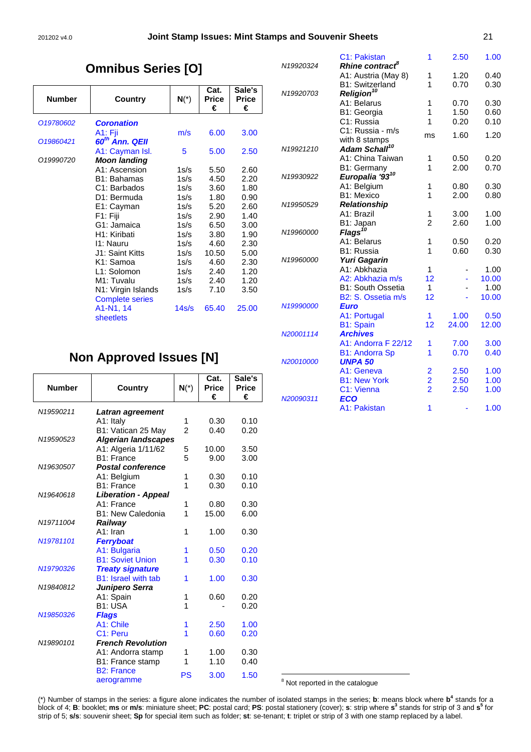#### 201202 v4.0 **Joint Stamp Issues: Mint Stamps and Souvenir Sheets** 21

# **Omnibus Series [O]**

| <b>Number</b> | Country                    | $N(*)$ | Cat.<br><b>Price</b> | Sale's<br><b>Price</b> |
|---------------|----------------------------|--------|----------------------|------------------------|
|               |                            |        | €                    | €                      |
| 019780602     | <b>Coronation</b>          |        |                      |                        |
|               | A1: Fji                    | m/s    | 6.00                 | 3.00                   |
| 019860421     | 60 <sup>th</sup> Ann. QEII |        |                      |                        |
|               | A1: Cayman Isl.            | 5      | 5.00                 | 2.50                   |
| 019990720     | <b>Moon landing</b>        |        |                      |                        |
|               | A1: Ascension              | 1s/s   | 5.50                 | 2.60                   |
|               | B1: Bahamas                | 1s/s   | 4.50                 | 2.20                   |
|               | C1: Barbados               | 1s/s   | 3.60                 | 1.80                   |
|               | D1: Bermuda                | 1s/s   | 1.80                 | 0.90                   |
|               | E1: Cayman                 | 1s/s   | 5.20                 | 2.60                   |
|               | F1: Fiji                   | 1s/s   | 2.90                 | 1.40                   |
|               | G1: Jamaica                | 1s/s   | 6.50                 | 3.00                   |
|               | H1: Kiribati               | 1s/s   | 3.80                 | 1.90                   |
|               | 11: Nauru                  | 1s/s   | 4.60                 | 2.30                   |
|               | J1: Saint Kitts            | 1s/s   | 10.50                | 5.00                   |
|               | K1: Samoa                  | 1s/s   | 4.60                 | 2.30                   |
|               | L1: Solomon                | 1s/s   | 2.40                 | 1.20                   |
|               | M1: Tuvalu                 | 1s/s   | 2.40                 | 1.20                   |
|               | N1: Virgin Islands         | 1s/s   | 7.10                 | 3.50                   |
|               | <b>Complete series</b>     |        |                      |                        |
|               | A1-N1, 14<br>sheetlets     | 14s/s  | 65.40                | 25.00                  |

|           | C1: Pakistan                          | 1              | 2.50  | 1.00  |
|-----------|---------------------------------------|----------------|-------|-------|
| N19920324 | Rhine contract <sup>8</sup>           |                |       |       |
|           | A1: Austria (May 8)                   | 1              | 1.20  | 0.40  |
|           | <b>B1: Switzerland</b>                | 1              | 0.70  | 0.30  |
| N19920703 | Religion <sup>10</sup><br>A1: Belarus | 1              | 0.70  | 0.30  |
|           | B1: Georgia                           | 1              | 1.50  | 0.60  |
|           | C1: Russia                            | 1              | 0.20  | 0.10  |
|           | C1: Russia - m/s                      |                |       |       |
|           | with 8 stamps                         | ms             | 1.60  | 1.20  |
| N19921210 | Adam Schall <sup>10</sup>             |                |       |       |
|           | A1: China Taiwan                      | 1              | 0.50  | 0.20  |
|           | B1: Germany                           | 1              | 2.00  | 0.70  |
| N19930922 | Europalia '93 <sup>10</sup>           |                |       |       |
|           | A1: Belgium                           | 1              | 0.80  | 0.30  |
|           | B1: Mexico                            | 1              | 2.00  | 0.80  |
| N19950529 | Relationship                          |                |       |       |
|           | A1: Brazil                            | 1              | 3.00  | 1.00  |
|           | B1: Japan                             | $\overline{2}$ | 2.60  | 1.00  |
| N19960000 | <b>Flags</b>                          |                |       |       |
|           | A1: Belarus                           | 1              | 0.50  | 0.20  |
|           | B1: Russia                            | 1              | 0.60  | 0.30  |
| N19960000 | <b>Yuri Gagarin</b>                   |                |       |       |
|           | A1: Abkhazia                          | 1              |       | 1.00  |
|           | A2: Abkhazia m/s                      | 12             |       | 10.00 |
|           | <b>B1: South Ossetia</b>              | $\mathbf{1}$   |       | 1.00  |
|           | B2: S. Ossetia m/s                    | 12             |       | 10.00 |
| N19990000 | <b>Euro</b>                           |                |       |       |
|           | A1: Portugal                          | 1              | 1.00  | 0.50  |
|           | <b>B1: Spain</b>                      | 12             | 24.00 | 12.00 |
| N20001114 | <b>Archives</b>                       |                |       |       |
|           | A1: Andorra F 22/12                   | 1              | 7.00  | 3.00  |
|           | <b>B1: Andorra Sp</b>                 | 1              | 0.70  | 0.40  |
| N20010000 | <b>UNPA 50</b>                        |                |       |       |
|           | A1: Geneva                            | $\overline{2}$ | 2.50  | 1.00  |
|           | <b>B1: New York</b>                   | $\frac{2}{2}$  | 2.50  | 1.00  |
|           | C1: Vienna                            |                | 2.50  | 1.00  |
| N20090311 | ECO                                   |                |       |       |
|           | A1: Pakistan                          | 1              |       | 1.00  |

# **Non Approved Issues [N]**

| <b>Number</b> | Country                         | $N(*)$         | Cat.<br><b>Price</b><br>€ | Sale's<br><b>Price</b><br>€ |
|---------------|---------------------------------|----------------|---------------------------|-----------------------------|
| N19590211     | Latran agreement                |                |                           |                             |
|               | A1: Italy                       | 1              | 0.30                      | 0.10                        |
|               | B1: Vatican 25 May              | $\overline{2}$ | 0.40                      | 0.20                        |
| N19590523     | <b>Algerian landscapes</b>      |                |                           |                             |
|               | A1: Algeria 1/11/62             | 5              | 10.00                     | 3.50                        |
|               | B1: France                      | 5              | 9.00                      | 3.00                        |
| N19630507     | <b>Postal conference</b>        |                |                           |                             |
|               | A1: Belgium                     | 1              | 0.30                      | 0.10                        |
|               | B1: France                      | 1              | 0.30                      | 0.10                        |
| N19640618     | <b>Liberation - Appeal</b>      |                |                           |                             |
|               | A1: France                      | 1              | 0.80                      | 0.30                        |
|               | <b>B1: New Caledonia</b>        | 1              | 15.00                     | 6.00                        |
| N19711004     | Railway                         |                |                           |                             |
|               | A1: Iran                        | 1              | 1.00                      | 0.30                        |
| N19781101     | <b>Ferryboat</b>                |                |                           |                             |
|               | A1: Bulgaria                    | 1              | 0.50                      | 0.20                        |
|               | <b>B1: Soviet Union</b>         | 1              | 0.30                      | 0.10                        |
| N19790326     | <b>Treaty signature</b>         |                |                           |                             |
|               | <b>B1: Israel with tab</b>      | 1              | 1.00                      | 0.30                        |
| N19840812     | Junipero Serra                  |                |                           |                             |
|               | A1: Spain                       | 1              | 0.60                      | 0.20                        |
|               | B1: USA                         | 1              |                           | 0.20                        |
| N19850326     | <b>Flags</b>                    |                |                           |                             |
|               | A1: Chile                       | 1              | 2.50                      | 1.00                        |
|               | C <sub>1</sub> : Peru           | 1              | 0.60                      | 0.20                        |
| N19890101     | <b>French Revolution</b>        |                |                           |                             |
|               | A1: Andorra stamp               | 1              | 1.00                      | 0.30                        |
|               | B1: France stamp                | 1              | 1.10                      | 0.40                        |
|               | <b>B2: France</b><br>aerogramme | PS             | 3.00                      | 1.50                        |

<sup>8</sup><br>Not reported in the catalogue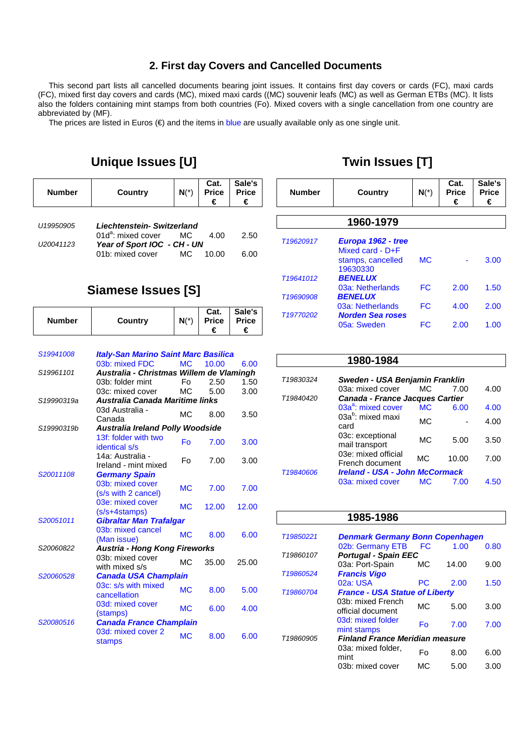### **2. First day Covers and Cancelled Documents**

This second part lists all cancelled documents bearing joint issues. It contains first day covers or cards (FC), maxi cards (FC), mixed first day covers and cards (MC), mixed maxi cards ((MC) souvenir leafs (MC) as well as German ETBs (MC). It lists also the folders containing mint stamps from both countries (Fo). Mixed covers with a single cancellation from one country are abbreviated by (MF).

The prices are listed in Euros  $(\epsilon)$  and the items in blue are usually available only as one single unit.

# **Unique Issues [U]**

| <b>Number</b> | Country                    | $N(*)$ | Cat.<br><b>Price</b> | Sale's<br><b>Price</b><br>€ |
|---------------|----------------------------|--------|----------------------|-----------------------------|
| U19950905     | Liechtenstein- Switzerland |        |                      |                             |

| <u>U IYYOUYUO</u>     | Liechtenstein-Switzerland      |       |       |      |
|-----------------------|--------------------------------|-------|-------|------|
|                       | 01d <sup>a</sup> : mixed cover | MC MC | 4.00  | 2.50 |
| U <sub>20041123</sub> | Year of Sport IOC - CH - UN    |       |       |      |
|                       | 01b: mixed cover               | MC.   | 10.00 | 6.00 |

# **Siamese Issues [S]**

| <b>Number</b> | Country                                                       | $N(*)$    | Cat.<br><b>Price</b><br>€ | Sale's<br><b>Price</b><br>€ |
|---------------|---------------------------------------------------------------|-----------|---------------------------|-----------------------------|
|               |                                                               |           |                           |                             |
|               |                                                               |           |                           |                             |
| S19941008     | <b>Italy-San Marino Saint Marc Basilica</b><br>03b: mixed FDC | <b>MC</b> | 10.00                     | 6.00                        |
| S19961101     | Australia - Christmas Willem de Vlamingh                      |           |                           |                             |
|               | 03b: folder mint                                              | Fo        | 2.50                      | 1.50                        |
|               | 03c: mixed cover                                              | MC.       | 5.00                      | 3.00                        |
| S19990319a    | Australia Canada Maritime links                               |           |                           |                             |
|               |                                                               |           |                           |                             |
|               | 03d Australia -<br>Canada                                     | MC        | 8.00                      | 3.50                        |
| S19990319b    |                                                               |           |                           |                             |
|               | <b>Australia Ireland Polly Woodside</b>                       |           |                           |                             |
|               | 13f: folder with two<br>identical s/s                         | Fo        | 7.00                      | 3.00                        |
|               | 14a: Australia -                                              | F٥        | 7.00                      | 3.00                        |
|               | Ireland - mint mixed                                          |           |                           |                             |
| S20011108     | <b>Germany Spain</b>                                          |           |                           |                             |
|               | 03b: mixed cover                                              | <b>MC</b> | 7.00                      | 7.00                        |
|               | (s/s with 2 cancel)                                           |           |                           |                             |
|               | 03e: mixed cover                                              | <b>MC</b> | 12.00                     | 12.00                       |
|               | (s/s+4stamps)                                                 |           |                           |                             |
| S20051011     | <b>Gibraltar Man Trafalgar</b>                                |           |                           |                             |
|               | 03b: mixed cancel                                             | <b>MC</b> | 8.00                      | 6.00                        |
|               | (Man issue)                                                   |           |                           |                             |
| S20060822     | <b>Austria - Hong Kong Fireworks</b>                          |           |                           |                             |
|               | 03b: mixed cover                                              | MC.       | 35.00                     | 25.00                       |
|               | with mixed s/s                                                |           |                           |                             |
| S20060528     | <b>Canada USA Champlain</b>                                   |           |                           |                             |
|               | 03c: s/s with mixed                                           | <b>MC</b> | 8.00                      | 5.00                        |
|               | cancellation                                                  |           |                           |                             |
|               | 03d: mixed cover                                              | <b>MC</b> | 6.00                      | 4.00                        |
|               | (stamps)                                                      |           |                           |                             |
| S20080516     | <b>Canada France Champlain</b>                                |           |                           |                             |
|               | 03d: mixed cover 2                                            | <b>MC</b> | 8.00                      | 6.00                        |
|               | stamps                                                        |           |                           |                             |

| <b>Number</b> | Country                                    | $N(*)$    | Cat.<br><b>Price</b><br>€ | Sale's<br><b>Price</b><br>€ |
|---------------|--------------------------------------------|-----------|---------------------------|-----------------------------|
|               | 1960-1979                                  |           |                           |                             |
|               |                                            |           |                           |                             |
| T19620917     | Europa 1962 - tree<br>Mixed card - $D + F$ |           |                           |                             |
|               | stamps, cancelled<br>19630330              | <b>MC</b> |                           | 3.00                        |
| T19641012     | <b>BENELUX</b>                             |           |                           |                             |
|               | 03a: Netherlands                           | FC        | 2.00                      | 1.50                        |
| T19690908     | <b>BENELUX</b>                             |           |                           |                             |
|               | 03a: Netherlands                           | FC        | 4.00                      | 2.00                        |
| T19770202     | <b>Norden Sea roses</b>                    |           |                           |                             |
|               | 05a: Sweden                                | FC        | 2.00                      | 1.00                        |

|           | 1980-1984                              |                |       |      |
|-----------|----------------------------------------|----------------|-------|------|
| T19830324 | Sweden - USA Benjamin Franklin         |                |       |      |
|           | 03a: mixed cover                       | MC.            | 7.00  | 4.00 |
| T19840420 | <b>Canada - France Jacques Cartier</b> |                |       |      |
|           | 03a <sup>a</sup> : mixed cover         | M <sub>C</sub> | 6.00  | 4.00 |
|           | 03a <sup>b</sup> : mixed maxi<br>card  | МC             |       | 4.00 |
|           | 03c: exceptional<br>mail transport     | MC.            | 5.00  | 3.50 |
|           | 03e: mixed official<br>French document | МC             | 10.00 | 7.00 |
| T19840606 | <b>Ireland - USA - John McCormack</b>  |                |       |      |
|           | 03a: mixed cover                       | МC             | 7.00  | 4.50 |

#### **1985-1986**

| T19850221                                          | <b>Denmark Germany Bonn Copenhagen</b> |     |       |      |  |
|----------------------------------------------------|----------------------------------------|-----|-------|------|--|
|                                                    | 02b: Germany ETB                       | FC  | 1.00  | 0.80 |  |
| T19860107                                          | <b>Portugal - Spain EEC</b>            |     |       |      |  |
|                                                    | 03a: Port-Spain                        | МC  | 14.00 | 9.00 |  |
| T19860524                                          | <b>Francis Vigo</b>                    |     |       |      |  |
|                                                    | 02a: USA                               | РC  | 2.00  | 1.50 |  |
| <b>France - USA Statue of Liberty</b><br>T19860704 |                                        |     |       |      |  |
|                                                    | 03b: mixed French<br>official document | MC. | 5.00  | 3.00 |  |
|                                                    | 03d: mixed folder<br>mint stamps       | Fo  | 7.00  | 7.00 |  |
| T19860905                                          | <b>Finland France Meridian measure</b> |     |       |      |  |
|                                                    | 03a: mixed folder,<br>mint             | Fo  | 8.00  | 6.00 |  |
|                                                    | 03b: mixed cover                       | МC  | 5.00  | 3.00 |  |

# **Twin Issues [T]**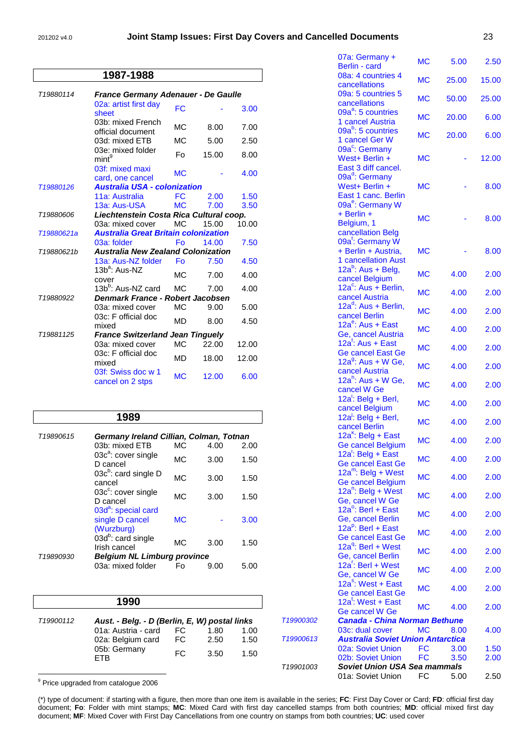#### 201202 v4.0 **Joint Stamp Issues: First Day Covers and Cancelled Documents** 23

|            | 1987-1988                                   |                |       |       |
|------------|---------------------------------------------|----------------|-------|-------|
| T19880114  | France Germany Adenauer - De Gaulle         |                |       |       |
|            | 02a: artist first day<br>sheet              | FC.            |       | 3.00  |
|            | 03b: mixed French<br>official document      | MC             | 8.00  | 7.00  |
|            | 03d: mixed ETB                              | M <sub>C</sub> | 5.00  | 2.50  |
|            | 03e: mixed folder<br>min <sup>9</sup>       | Fo             | 15.00 | 8.00  |
|            | 03f: mixed maxi<br>card, one cancel         | <b>MC</b>      |       | 4.00  |
| T19880126  | <b>Australia USA - colonization</b>         |                |       |       |
|            | 11a: Australia                              | FC             | 2.00  | 1.50  |
|            | 13a: Aus-USA                                | <b>MC</b>      | 7.00  | 3.50  |
| T19880606  | Liechtenstein Costa Rica Cultural coop.     |                |       |       |
|            | 03a: mixed cover                            | <b>MC</b>      | 15.00 | 10.00 |
| T19880621a | <b>Australia Great Britain colonization</b> |                |       |       |
|            | 03a: folder                                 | Fo             | 14.00 | 7.50  |
| T19880621b | <b>Australia New Zealand Colonization</b>   |                |       |       |
|            | 13a: Aus-NZ folder                          | Fo             | 7.50  | 4.50  |
|            | 13b <sup>a</sup> : Aus-NZ<br>cover          | <b>MC</b>      | 7.00  | 4.00  |
|            | 13b <sup>b</sup> : Aus-NZ card              | <b>MC</b>      | 7.00  | 4.00  |
| T19880922  | Denmark France - Robert Jacobsen            |                |       |       |
|            | 03a: mixed cover                            | MC             | 9.00  | 5.00  |
|            | 03c: F official doc<br>mixed                | <b>MD</b>      | 8.00  | 4.50  |
| T19881125  | <b>France Switzerland Jean Tinguely</b>     |                |       |       |
|            | 03a: mixed cover                            | MC.            | 22.00 | 12.00 |
|            | 03c: F official doc<br>mixed                | <b>MD</b>      | 18.00 | 12.00 |
|            | 03f: Swiss doc w 1<br>cancel on 2 stps      | <b>MC</b>      | 12.00 | 6.00  |

|           | 1989                                                             |           |      |      |
|-----------|------------------------------------------------------------------|-----------|------|------|
| T19890615 | Germany Ireland Cillian, Colman, Totnan                          |           |      |      |
|           | 03b: mixed ETB                                                   | МC        | 4.00 | 2.00 |
|           | 03c <sup>a</sup> : cover single<br>D cancel                      | МC        | 3.00 | 1.50 |
|           | 03 $c^b$ : card single D<br>cancel                               | MC.       | 3.00 | 1.50 |
|           | $03c^c$ : cover single<br>D cancel                               | MC.       | 3.00 | 1.50 |
|           | 03d <sup>a</sup> : special card<br>single D cancel<br>(Wurzburg) | <b>MC</b> |      | 3.00 |
|           | $03d^b$ : card single<br>Irish cancel                            | МC        | 3.00 | 1.50 |
| T19890930 | <b>Belgium NL Limburg province</b>                               |           |      |      |
|           | 03a: mixed folder                                                | Fo        | 9.00 | 5.00 |

|                       | 1990                                          |     |      |      |
|-----------------------|-----------------------------------------------|-----|------|------|
| T <sub>19900112</sub> | Aust. - Belg. - D (Berlin, E, W) postal links |     |      |      |
|                       | 01a: Austria - card                           | FC. | 1.80 | 1.00 |
|                       | 02a: Belgium card                             | FC. | 2.50 | 1.50 |
|                       | 05b: Germany<br>=TR                           | FC. | 3.50 | 1.50 |

<u>。</u><br><sup>9</sup> Price upgraded from catalogue 2006

(\*) type of document: if starting with a figure, then more than one item is available in the series; **FC**: First Day Cover or Card; **FD**: official first day document; **Fo**: Folder with mint stamps; **MC**: Mixed Card with first day cancelled stamps from both countries; **MD**: official mixed first day document; **MF**: Mixed Cover with First Day Cancellations from one country on stamps from both countries; **UC**: used cover

|           | 07a: Germany +<br>Berlin - card                                                                     | МC        | 5.00  | 2.50  |
|-----------|-----------------------------------------------------------------------------------------------------|-----------|-------|-------|
|           | 08a: 4 countries 4<br>cancellations                                                                 | <b>MC</b> | 25.00 | 15.00 |
|           | 09a: 5 countries 5<br>cancellations                                                                 | <b>MC</b> | 50.00 | 25.00 |
|           | 09a <sup>a</sup> : 5 countries<br>1 cancel Austria                                                  | <b>MC</b> | 20.00 | 6.00  |
|           | 09a <sup>b</sup> : 5 countries<br>1 cancel Ger W                                                    | <b>MC</b> | 20.00 | 6.00  |
|           | 09a <sup>c</sup> : Germany<br>West+ Berlin +<br>East 3 diff cancel.                                 | МC        |       | 12.00 |
|           | 09a <sup>d</sup> : Germany<br>West+ Berlin +<br>East 1 canc. Berlin<br>09a <sup>e</sup> : Germany W | <b>MC</b> |       | 8.00  |
|           | $+$ Berlin $+$<br>Belgium, 1<br>cancellation Belg                                                   | <b>MC</b> |       | 8.00  |
|           | 09a <sup>t</sup> : Germany W<br>+ Berlin + Austria,<br><b>1 cancellation Aust</b>                   | МC        |       | 8.00  |
|           | $12a^b$ : Aus + Belg,<br>cancel Belgium                                                             | <b>MC</b> | 4.00  | 2.00  |
|           | 12a <sup>c</sup> : Aus + Berlin,<br>cancel Austria                                                  | <b>MC</b> | 4.00  | 2.00  |
|           | 12a <sup>d</sup> : Aus + Berlin,<br>cancel Berlin                                                   | <b>MC</b> | 4.00  | 2.00  |
|           | $12a^e$ : Aus + East<br>Ge, cancel Austria                                                          | <b>MC</b> | 4.00  | 2.00  |
|           | 12a <sup>f</sup> : Aus + East<br><b>Ge cancel East Ge</b>                                           | <b>MC</b> | 4.00  | 2.00  |
|           | 12a <sup>9</sup> : Aus + W Ge,<br>cancel Austria                                                    | <b>MC</b> | 4.00  | 2.00  |
|           | $12a^h$ : Aus + W Ge,<br>cancel W Ge                                                                | <b>MC</b> | 4.00  | 2.00  |
|           | 12a <sup>'</sup> : Belg + Berl,<br>cancel Belgium                                                   | <b>MC</b> | 4.00  | 2.00  |
|           | 12a <sup>l</sup> : Belg + Berl,<br>cancel Berlin                                                    | <b>MC</b> | 4.00  | 2.00  |
|           | $12a^k$ : Belg + East<br><b>Ge cancel Belgium</b>                                                   | МC        | 4.00  | 2.00  |
|           | $12a$ : Belg + East<br><b>Ge cancel East Ge</b>                                                     | <b>MC</b> | 4.00  | 2.00  |
|           | $12a^m$ : Belg + West<br><b>Ge cancel Belgium</b>                                                   | <b>MC</b> | 4.00  | 2.00  |
|           | 12a <sup>n</sup> : Belg + West<br>Ge, cancel W Ge                                                   | <b>MC</b> | 4.00  | 2.00  |
|           | 12a <sup>o</sup> : Berl + East<br>Ge, cancel Berlin                                                 | <b>MC</b> | 4.00  | 2.00  |
|           | 12a <sup>p</sup> : Berl + East<br><b>Ge cancel East Ge</b>                                          | <b>MC</b> | 4.00  | 2.00  |
|           | 12a <sup>q</sup> : Berl + West<br>Ge, cancel Berlin                                                 | <b>MC</b> | 4.00  | 2.00  |
|           | 12a <sup>r</sup> : Berl + West<br>Ge, cancel W Ge                                                   | <b>MC</b> | 4.00  | 2.00  |
|           | 12a <sup>s</sup> : West + East<br><b>Ge cancel East Ge</b>                                          | <b>MC</b> | 4.00  | 2.00  |
|           | 12a <sup>t</sup> : West + East<br>Ge cancel W Ge                                                    | <b>MC</b> | 4.00  | 2.00  |
| T19900302 | <b>Canada - China Norman Bethune</b>                                                                |           |       |       |
| T19900613 | 03c: dual cover<br><b>Australia Soviet Union Antarctica</b>                                         | <b>MC</b> | 8.00  | 4.00  |
|           | 02a: Soviet Union                                                                                   | FC        | 3.00  | 1.50  |
|           | 02b: Soviet Union                                                                                   | <b>FC</b> | 3.50  | 2.00  |
| T19901003 | <b>Soviet Union USA Sea mammals</b>                                                                 |           |       |       |
|           | 01a: Soviet Union                                                                                   | <b>FC</b> | 5.00  | 2.50  |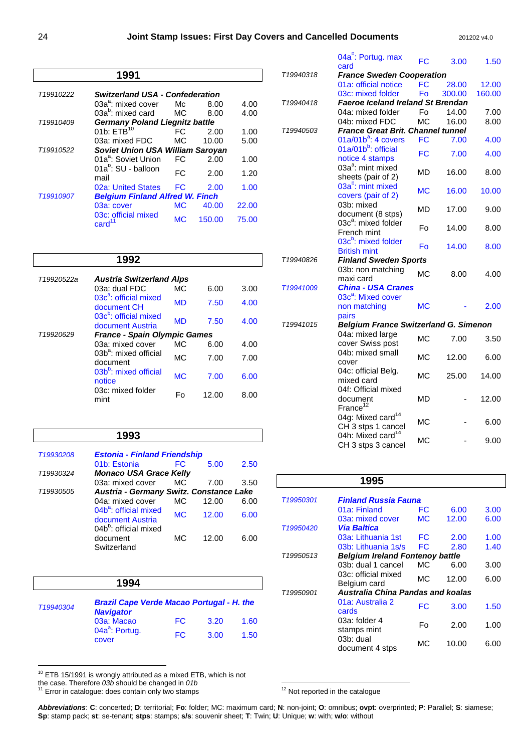|                       | 1991                                    |           |        |       |
|-----------------------|-----------------------------------------|-----------|--------|-------|
| T19910222             | <b>Switzerland USA - Confederation</b>  |           |        |       |
|                       | $03a^a$ : mixed cover                   | Mc.       | 8.00   | 4.00  |
|                       | $03a^b$ : mixed card                    | MC.       | 8.00   | 4.00  |
| T19910409             | <b>Germany Poland Liegnitz battle</b>   |           |        |       |
|                       | 01b: $FTB$ <sup>10</sup>                | FC        | 2.00   | 1.00  |
|                       | 03a: mixed FDC                          | MC.       | 10.00  | 5.00  |
| T <sub>19910522</sub> | Soviet Union USA William Saroyan        |           |        |       |
|                       | 01a <sup>a</sup> : Soviet Union         | FC.       | 2.00   | 1.00  |
|                       | 01a <sup>b</sup> : SU - balloon<br>mail | FC        | 2.00   | 1.20  |
|                       | 02a: United States                      | FC.       | 2.00   | 1.00  |
| T <sub>19910907</sub> | <b>Belgium Finland Alfred W. Finch</b>  |           |        |       |
|                       | 03a: cover                              | МC        | 40.00  | 22.00 |
|                       | 03c: official mixed<br>card             | <b>MC</b> | 150.00 | 75.00 |

|            | 1992                                                  |                |       |      |  |
|------------|-------------------------------------------------------|----------------|-------|------|--|
| T19920522a | <b>Austria Switzerland Alps</b>                       |                |       |      |  |
|            | 03a: dual FDC                                         | MC.            | 6.00  | 3.00 |  |
|            | 03c <sup>a</sup> : official mixed<br>document CH      | <b>MD</b>      | 7.50  | 4.00 |  |
|            | 03c <sup>b</sup> : official mixed<br>document Austria | <b>MD</b>      | 7.50  | 4.00 |  |
| T19920629  | <b>France - Spain Olympic Games</b>                   |                |       |      |  |
|            | 03a: mixed cover                                      | MC.            | 6.00  | 4.00 |  |
|            | 03b <sup>a</sup> : mixed official<br>document         | МC             | 7.00  | 7.00 |  |
|            | 03b <sup>b</sup> : mixed official<br>notice           | M <sub>C</sub> | 7.00  | 6.00 |  |
|            | 03c: mixed folder<br>mint                             | F٥             | 12.00 | 8.00 |  |

#### **1993**

| T19930208             | <b>Estonia - Finland Friendship</b>                          |           |       |      |
|-----------------------|--------------------------------------------------------------|-----------|-------|------|
|                       | 01b: Estonia                                                 | FC        | 5.00  | 2.50 |
| T19930324             | <b>Monaco USA Grace Kelly</b>                                |           |       |      |
|                       | 03a: mixed cover                                             | MC.       | 7.00  | 3.50 |
| T <sub>19930505</sub> | Austria - Germany Switz. Constance Lake                      |           |       |      |
|                       | 04a: mixed cover                                             | MC.       | 12.00 | 6.00 |
|                       | 04b <sup>a</sup> : official mixed<br>document Austria        | <b>MC</b> | 12.00 | 6.00 |
|                       | 04b <sup>b</sup> : official mixed<br>document<br>Switzerland | МC        | 12.00 | 6.00 |

|           | 1994                                                                 |     |      |      |
|-----------|----------------------------------------------------------------------|-----|------|------|
| T19940304 | <b>Brazil Cape Verde Macao Portugal - H. the</b><br><b>Navigator</b> |     |      |      |
|           | 03a: Macao                                                           | FC. | 3.20 | 1.60 |
|           | 04a <sup>a</sup> : Portug.<br>cover                                  | FC. | 3.00 | 1.50 |

 $\overline{a}$  $10$  ETB 15/1991 is wrongly attributed as a mixed ETB, which is not

the case. Therefore 03b should be changed in 01b<br><sup>11</sup> Error in catalogue: does contain only two stamps

 $\overline{a}$  $12$  Not reported in the catalogue

T19940318 **France Sweden Cooperation** 01a: official notice FC 28.00 12.00 03c: mixed folder Fo 300.00 160.00 T19940418 **Faeroe Iceland Ireland St Brendan** 04a: mixed folder Fo 14.00 7.00<br>04b: mixed FDC MC 16.00 8.00 04b: mixed FDC MC 16.00 8.00 T19940503 **France Great Brit. Channel tunnel** 01a/01b<sup>a</sup>: 4 covers FC 7.00 4.00 01a/01b<sup>b</sup>: official 01a/01b : official <br>notice 4 stamps FC 7.00 4.00 03a<sup>a</sup>: mint mixed USA Million Integral MD 16.00 8.00<br>sheets (pair of 2) 03a<sup>b</sup>: mint mixed oba. mint mixed<br>covers (pair of 2) MC 16.00 10.00 03b: mixed document (8 stps) MD 17.00 9.00 03c<sup>a</sup>: mixed folder French mint Fo 14.00 8.00 03c<sup>b</sup>: mixed folder  $\frac{60}{x}$ . In the United Fo 14.00 8.00 T19940826 **Finland Sweden Sports** 03b: non matching vob. Hommatching MC 8.00 4.00 T19941009 **China - USA Cranes** 03c<sup>a</sup>: Mixed cover non matching pairs MC - 2.00 T19941015 **Belgium France Switzerland G. Simenon** 04a: mixed large v<sup>4</sup>d. Illixed large MC 7.00 3.50 04b: mixed small cover MC 12.00 6.00 04c: official Belg. v<sup>4C</sup> official belg.<br>
mixed card 04f: Official mixed document France $^{12}$ MD - 12.00 04g: Mixed card<sup>14</sup> 04g. Mixed card<br>CH 3 stps 1 cancel MC - 6.00 04h: Mixed card<sup>14</sup>  $CH1.$  Mixed cand  $MC$  - 9.00<br>CH 3 stps 3 cancel

04a<sup>b</sup>: Portug. max

card FC 3.00 1.50

|                       | 1995                                      |           |       |      |
|-----------------------|-------------------------------------------|-----------|-------|------|
| T19950301             | <b>Finland Russia Fauna</b>               |           |       |      |
|                       | 01a: Finland                              | FC        | 6.00  | 3.00 |
|                       | 03a: mixed cover                          | <b>MC</b> | 12.00 | 6.00 |
| T <sub>19950420</sub> | Via Baltica                               |           |       |      |
|                       | 03a: Lithuania 1st                        | FC        | 2.00  | 1.00 |
|                       | 03b: Lithuania 1s/s                       | FC        | 2.80  | 1.40 |
| T19950513             | <b>Belgium Ireland Fontenoy battle</b>    |           |       |      |
|                       | 03b: dual 1 cancel                        | MC.       | 6.00  | 3.00 |
|                       | 03c: official mixed<br>Belgium card       | МC        | 12.00 | 6.00 |
| T19950901             | Australia China Pandas and koalas         |           |       |      |
|                       | 01a: Australia 2<br>cards                 | FC        | 3.00  | 1.50 |
|                       | 03a: folder 4<br>stamps mint              | F٥        | 2.00  | 1.00 |
|                       | 03 <sub>b</sub> : dual<br>document 4 stps | МC        | 10.00 | 6.00 |
|                       |                                           |           |       |      |

**Abbreviations**: **C**: concerted; **D**: territorial; **Fo**: folder; MC: maximum card; **N**: non-joint; **O**: omnibus; **ovpt**: overprinted; **P**: Parallel; **S**: siamese; **Sp**: stamp pack; **st**: se-tenant; **stps**: stamps; **s/s**: souvenir sheet; **T**: Twin; **U**: Unique; **w**: with; **w/o**: without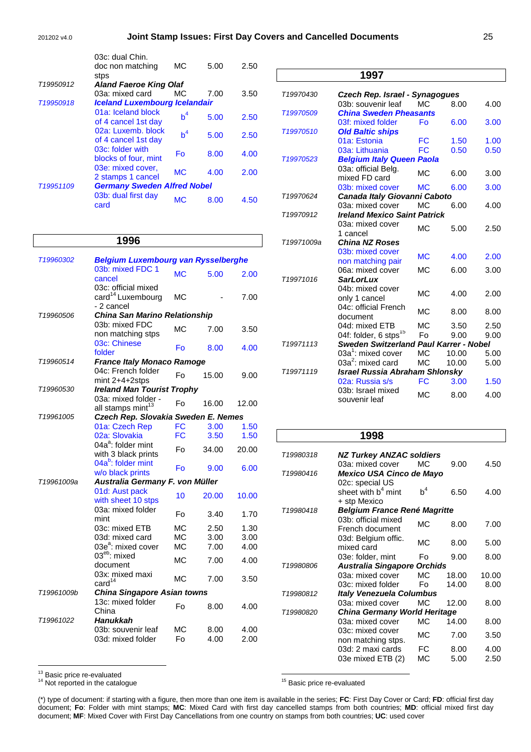|           | 03c: dual Chin.                      |                |      |      |
|-----------|--------------------------------------|----------------|------|------|
|           | doc non matching                     | МC             | 5.00 | 2.50 |
|           | stps                                 |                |      |      |
| T19950912 | <b>Aland Faeroe King Olaf</b>        |                |      |      |
|           | 03a: mixed card                      | MC.            | 7.00 | 3.50 |
| T19950918 | <b>Iceland Luxembourg Icelandair</b> |                |      |      |
|           | 01a: Iceland block                   | $b^4$          |      |      |
|           | of 4 cancel 1st day                  |                | 5.00 | 2.50 |
|           | 02a: Luxemb, block                   | h <sup>4</sup> | 5.00 |      |
|           | of 4 cancel 1st day                  |                |      | 2.50 |
|           | 03c: folder with                     | Fo             | 8.00 |      |
|           | blocks of four, mint                 |                |      | 4.00 |
|           | 03e: mixed cover,                    | <b>MC</b>      |      |      |
|           | 2 stamps 1 cancel                    |                | 4.00 | 2.00 |
| T19951109 | <b>Germany Sweden Alfred Nobel</b>   |                |      |      |
|           | 03b: dual first day                  |                |      |      |
|           | card                                 | МC             | 8.00 | 4.50 |
|           |                                      |                |      |      |

#### **1996** T19960302 **Belgium Luxembourg van Rysselberghe** 03b: mixed FDC 1 cancel MC 5.00 2.00 03c: official mixed card<sup>14</sup> Luxembourg - 2 cancel MC - 7.00 T19960506 **China San Marino Relationship** 03b: mixed FDC v<sub>35</sub>. mixed FDC<br>non matching stps MC 7.00 3.50 03c: Chinese Fo 8.00 4.00<br>folder Fo 8.00 4.00 T19960514 **France Italy Monaco Ramoge** 04c: French folder  $\frac{1}{2}$  mint 2+4+2stps Fo 15.00 9.00 T19960530 **Ireland Man Tourist Trophy** 03a: mixed folder -  $\frac{6}{3}$  all stamps mint<sup>13</sup> Fo 16.00 12.00 T19961005 **Czech Rep. Slovakia Sweden E. Nemes** 01a: Czech Rep FC 3.00 1.50 02a: Slovakia FC 3.50 1.50 04a<sup>a</sup>: folder mint with 3 black prints  $F_0$  34.00 20.00 04a<sup>b</sup>: folder mint w/o black prints Fo 9.00 6.00 T19961009a **Australia Germany F. von Müller** 01d: Aust pack vith sheet 10 stps 10 20.00 10.00 03a: mixed folder  $\frac{3.40}{2.70}$  Fo  $\frac{3.40}{2.70}$ 03c: mixed ETB MC 2.50 1.30 03d: mixed card MC 3.00 3.00  $03e^a$ : mixed cover MC 7.00 4.00 03<sup>eb</sup>: mixed document MC 7.00 4.00 03x: mixed maxi<br>card $^{14}$  $\text{card}^{14}$  MC 7.00 3.50 T19961009b **China Singapore Asian towns** 13c: mixed folder Toc. mixed iolder Fo 8.00 4.00 T19961022 **Hanukkah**  03b: souvenir leaf MC 8.00 4.00 03d: mixed folder Fo 4.00 2.00

|                       | 1997                                          |           |       |      |
|-----------------------|-----------------------------------------------|-----------|-------|------|
| T19970430             | Czech Rep. Israel - Synagogues                |           |       |      |
|                       | 03b: souvenir leaf                            | MC.       | 8.00  | 4.00 |
| T19970509             | <b>China Sweden Pheasants</b>                 |           |       |      |
|                       | 03f: mixed folder                             | Fo        | 6.00  | 3.00 |
| T19970510             | <b>Old Baltic ships</b>                       |           |       |      |
|                       | 01a: Estonia                                  | FC        | 1.50  | 1.00 |
|                       | 03a: Lithuania                                | <b>FC</b> | 0.50  | 0.50 |
| T <sub>19970523</sub> | <b>Belgium Italy Queen Paola</b>              |           |       |      |
|                       | 03a: official Belg.                           |           |       |      |
|                       | mixed FD card                                 | <b>MC</b> | 6.00  | 3.00 |
|                       | 03b: mixed cover                              | <b>MC</b> | 6.00  | 3.00 |
| T19970624             | Canada Italy Giovanni Caboto                  |           |       |      |
|                       | 03a: mixed cover                              | <b>MC</b> | 6.00  | 4.00 |
| T19970912             | <b>Ireland Mexico Saint Patrick</b>           |           |       |      |
|                       | 03a: mixed cover                              |           |       |      |
|                       | 1 cancel                                      | <b>MC</b> | 5.00  | 2.50 |
| T19971009a            | <b>China NZ Roses</b>                         |           |       |      |
|                       | 03b: mixed cover                              | <b>MC</b> | 4.00  | 2.00 |
|                       | non matching pair                             |           |       |      |
|                       | 06a: mixed cover                              | MC.       | 6.00  | 3.00 |
| T19971016             | <b>SarLorLux</b>                              |           |       |      |
|                       | 04b: mixed cover                              | <b>MC</b> | 4.00  | 2.00 |
|                       | only 1 cancel                                 |           |       |      |
|                       | 04c: official French                          | <b>MC</b> | 8.00  | 8.00 |
|                       | document                                      |           |       |      |
|                       | 04d: mixed ETB                                | МC        | 3.50  | 2.50 |
|                       | 04f: folder, 6 stps <sup>15</sup>             | Fo        | 9.00  | 9.00 |
| T19971113             | <b>Sweden Switzerland Paul Karrer - Nobel</b> |           |       |      |
|                       | 03a <sup>1</sup> : mixed cover                | <b>MC</b> | 10.00 | 5.00 |
|                       | 03 $a^2$ : mixed card                         | <b>MC</b> | 10.00 | 5.00 |
| T19971119             | <b>Israel Russia Abraham Shlonsky</b>         |           |       |      |
|                       | 02a: Russia s/s                               | <b>FC</b> | 3.00  | 1.50 |
|                       | 03b: Israel mixed                             | <b>MC</b> | 8.00  | 4.00 |
|                       | souvenir leaf                                 |           |       |      |

#### **1998** T19980318 **NZ Turkey ANZAC soldiers** 03a: mixed cover MC 9.00 4.50 T19980416 **Mexico USA Cinco de Mayo**  02c: special US sheet with  $b<sup>4</sup>$  mint + stp Mexico  $b^4$  6.50 4.00 T19980418 **Belgium France René Magritte** 03b: official mixed French document MC 8.00 7.00 03d: Belgium offic. bod. Beigian onc.<br>mixed card 03e: folder, mint Fo 9.00 8.00 T19980806 **Australia Singapore Orchids** 03a: mixed cover MC 18.00 10.00 03c: mixed folder Fo 14.00 8.00 T19980812 **Italy Venezuela Columbus** 03a: mixed cover MC 12.00 8.00 T19980820 **China Germany World Heritage** 03a: mixed cover MC 14.00 8.00 03c: mixed cover obc. mixed cover<br>non matching stps.<br>03d: 2 maxi cards FC 8.00 4.00 03d: 2 maxi cards FC 8.00 4.00 03e mixed ETB (2) MC 5.00 2.50

 $\overline{a}$ <sup>13</sup> Basic price re-evaluated

<sup>14</sup> Not reported in the catalogue

<sup>15</sup> Basic price re-evaluated

(\*) type of document: if starting with a figure, then more than one item is available in the series; **FC**: First Day Cover or Card; **FD**: official first day document; **Fo**: Folder with mint stamps; **MC**: Mixed Card with first day cancelled stamps from both countries; **MD**: official mixed first day document; **MF**: Mixed Cover with First Day Cancellations from one country on stamps from both countries; **UC**: used cover

 $\overline{a}$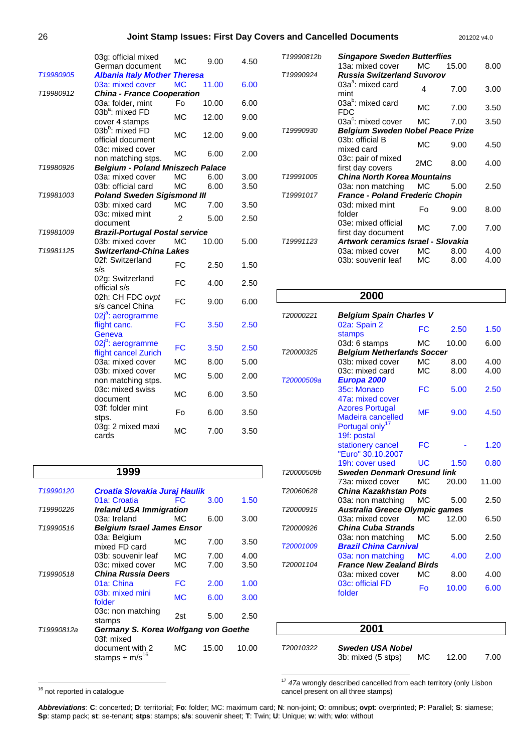#### 26 **Joint Stamp Issues: First Day Covers and Cancelled Documents** 201202 v4.0

|           | 03g: official mixed<br>German document                | MC             | 9.00  | 4.50 |  |  |
|-----------|-------------------------------------------------------|----------------|-------|------|--|--|
| T19980905 | <b>Albania Italy Mother Theresa</b>                   |                |       |      |  |  |
|           | 03a: mixed cover                                      | <b>MC</b>      | 11.00 | 6.00 |  |  |
| T19980912 | <b>China - France Cooperation</b>                     |                |       |      |  |  |
|           | 03a: folder, mint                                     | Fo             | 10.00 | 6.00 |  |  |
|           | 03b <sup>a</sup> : mixed FD                           |                |       |      |  |  |
|           | cover 4 stamps                                        | <b>MC</b>      | 12.00 | 9.00 |  |  |
|           | 03b <sup>b</sup> : mixed FD                           |                |       |      |  |  |
|           | official document                                     | МC             | 12.00 | 9.00 |  |  |
|           | 03c: mixed cover                                      |                |       |      |  |  |
|           | non matching stps.                                    | MC             | 6.00  | 2.00 |  |  |
| T19980926 | <b>Belgium - Poland Mniszech Palace</b>               |                |       |      |  |  |
|           | 03a: mixed cover                                      | MC             | 6.00  | 3.00 |  |  |
|           | 03b: official card                                    | MC             | 6.00  | 3.50 |  |  |
| T19981003 | <b>Poland Sweden Sigismond III</b>                    |                |       |      |  |  |
|           | 03b: mixed card                                       | MC             | 7.00  | 3.50 |  |  |
|           | 03c: mixed mint                                       | $\mathfrak{p}$ |       |      |  |  |
|           | document                                              |                | 5.00  | 2.50 |  |  |
| T19981009 | <b>Brazil-Portugal Postal service</b>                 |                |       |      |  |  |
|           | 03b: mixed cover                                      | <b>MC</b>      | 10.00 | 5.00 |  |  |
| T19981125 | <b>Switzerland-China Lakes</b>                        |                |       |      |  |  |
|           | 02f: Switzerland                                      | <b>FC</b>      | 2.50  | 1.50 |  |  |
|           | s/s                                                   |                |       |      |  |  |
|           | 02g: Switzerland                                      | FC             | 4.00  | 2.50 |  |  |
|           | official s/s                                          |                |       |      |  |  |
|           | 02h: CH FDC ovpt                                      | <b>FC</b>      | 9.00  | 6.00 |  |  |
|           | s/s cancel China                                      |                |       |      |  |  |
|           | 02j <sup>a</sup> : aerogramme                         |                |       |      |  |  |
|           | flight canc.                                          | FC             | 3.50  | 2.50 |  |  |
|           | Geneva                                                |                |       |      |  |  |
|           | 02j <sup>b</sup> : aerogramme<br>flight cancel Zurich | FC             | 3.50  | 2.50 |  |  |
|           | 03a: mixed cover                                      | MC             | 8.00  | 5.00 |  |  |
|           | 03b: mixed cover                                      |                |       |      |  |  |
|           | non matching stps.                                    | <b>MC</b>      | 5.00  | 2.00 |  |  |
|           | 03c: mixed swiss                                      |                |       |      |  |  |
|           | document                                              | MC             | 6.00  | 3.50 |  |  |
|           | 03f: folder mint                                      |                |       |      |  |  |
|           | stps.                                                 | Fo             | 6.00  | 3.50 |  |  |
|           | 03g: 2 mixed maxi                                     | MC             | 7.00  |      |  |  |
|           | cards                                                 |                |       | 3.50 |  |  |

|                       | 1999                                                 |     |       |       |
|-----------------------|------------------------------------------------------|-----|-------|-------|
| T <sub>19990120</sub> | Croatia Slovakia Juraj Haulik                        |     |       |       |
|                       | 01a: Croatia                                         | FC  | 3.00  | 1.50  |
| T19990226             | <b>Ireland USA Immigration</b>                       |     |       |       |
|                       | 03a: Ireland                                         | MC. | 6.00  | 3.00  |
| T <sub>19990516</sub> | <b>Belgium Israel James Ensor</b>                    |     |       |       |
|                       | 03a: Belgium<br>mixed FD card                        | МC  | 7.00  | 3.50  |
|                       | 03b: souvenir leaf                                   | МC  | 7.00  | 4.00  |
|                       | 03c: mixed cover                                     | МC  | 7.00  | 3.50  |
| T19990518             | <b>China Russia Deers</b>                            |     |       |       |
|                       | 01a: China                                           | FC  | 2.00  | 1.00  |
|                       | 03b: mixed mini<br>folder                            | MC. | 6.00  | 3.00  |
|                       | 03c: non matching<br>stamps                          | 2st | 5.00  | 2.50  |
| T19990812a            | Germany S. Korea Wolfgang von Goethe                 |     |       |       |
|                       | 03f: mixed<br>document with 2<br>stamps + $m/s^{16}$ | МC  | 15.00 | 10.00 |

| T19990812b            | <b>Singapore Sweden Butterflies</b>       |     |       |      |
|-----------------------|-------------------------------------------|-----|-------|------|
|                       | 13a: mixed cover                          | MC. | 15.00 | 8.00 |
| T19990924             | <b>Russia Switzerland Suvorov</b>         |     |       |      |
|                       | $03a^a$ : mixed card<br>mint              | 4   | 7.00  | 3.00 |
|                       | 03a <sup>b</sup> : mixed card<br>FDC      | МC  | 7.00  | 3.50 |
|                       | 03a <sup>c</sup> : mixed cover            | МC  | 7.00  | 3.50 |
| T19990930             | Belgium Sweden Nobel Peace Prize          |     |       |      |
|                       | 03b: official B<br>mixed card             | МC  | 9.00  | 4.50 |
|                       | 03c: pair of mixed<br>first day covers    | 2MC | 8.00  | 4.00 |
| T19991005             | <b>China North Korea Mountains</b>        |     |       |      |
|                       | 03a: non matching                         | МC  | 5.00  | 2.50 |
| T19991017             | <b>France - Poland Frederic Chopin</b>    |     |       |      |
|                       | 03d: mixed mint<br>folder                 | Fo  | 9.00  | 8.00 |
|                       | 03e: mixed official<br>first day document | МC  | 7.00  | 7.00 |
| T <sub>19991123</sub> | Artwork ceramics Israel - Slovakia        |     |       |      |
|                       | 03a: mixed cover                          | МC  | 8.00  | 4.00 |
|                       | 03b: souvenir leaf                        | МC  | 8.00  | 4.00 |
|                       |                                           |     |       |      |

### **2000**

| T20000221  | <b>Belgium Spain Charles V</b>     |           |       |       |  |
|------------|------------------------------------|-----------|-------|-------|--|
|            | 02a: Spain 2<br><b>stamps</b>      | FC        | 2.50  | 1.50  |  |
|            | 03d: 6 stamps                      | МC        | 10.00 | 6.00  |  |
| T20000325  | <b>Belgium Netherlands Soccer</b>  |           |       |       |  |
|            | 03b: mixed cover                   | МC        | 8.00  | 4.00  |  |
|            | 03c: mixed card                    | <b>MC</b> | 8.00  | 4.00  |  |
| T20000509a | Europa 2000                        |           |       |       |  |
|            | 35c: Monaco                        | FC        | 5.00  | 2.50  |  |
|            | 47a: mixed cover                   |           |       |       |  |
|            | <b>Azores Portugal</b>             |           |       |       |  |
|            | <b>Madeira cancelled</b>           | MF        | 9.00  | 4.50  |  |
|            | Portugal only <sup>17</sup>        |           |       |       |  |
|            | 19f: postal                        |           |       |       |  |
|            | stationery cancel                  | FC        |       | 1.20  |  |
|            | "Euro" 30.10.2007                  |           |       |       |  |
|            | 19h: cover used                    | UC        | 1.50  | 0.80  |  |
| T20000509b | <b>Sweden Denmark Oresund link</b> |           |       |       |  |
|            | 73a: mixed cover                   | МC        | 20.00 | 11.00 |  |
| T20060628  | China Kazakhstan Pots              |           |       |       |  |
|            | 03a: non matching                  | MC.       | 5.00  | 2.50  |  |
| T20000915  | Australia Greece Olympic games     |           |       |       |  |
|            | 03a: mixed cover                   | MC.       | 12.00 | 6.50  |  |
| T20000926  | <b>China Cuba Strands</b>          |           |       |       |  |
|            | 03a: non matching                  | МC        | 5.00  | 2.50  |  |
| T20001009  | <b>Brazil China Carnival</b>       |           |       |       |  |
|            | 03a: non matching                  | MC.       | 4.00  | 2.00  |  |
| T20001104  | <b>France New Zealand Birds</b>    |           |       |       |  |
|            | 03a: mixed cover                   | <b>MC</b> | 8.00  | 4.00  |  |
|            | 03c: official FD<br>folder         | Fo        | 10.00 | 6.00  |  |
|            |                                    |           |       |       |  |

|           | 2001                                   |     |       |      |
|-----------|----------------------------------------|-----|-------|------|
| T20010322 | Sweden USA Nobel<br>3b: mixed (5 stps) | MC. | 12.00 | 7.00 |

 $\overline{a}$ 

 $17$  47a wrongly described cancelled from each territory (only Lisbon cancel present on all three stamps)

**Abbreviations**: **C**: concerted; **D**: territorial; **Fo**: folder; MC: maximum card; **N**: non-joint; **O**: omnibus; **ovpt**: overprinted; **P**: Parallel; **S**: siamese; **Sp**: stamp pack; **st**: se-tenant; **stps**: stamps; **s/s**: souvenir sheet; **T**: Twin; **U**: Unique; **w**: with; **w/o**: without

 $\overline{a}$ 

<sup>&</sup>lt;sup>16</sup> not reported in catalogue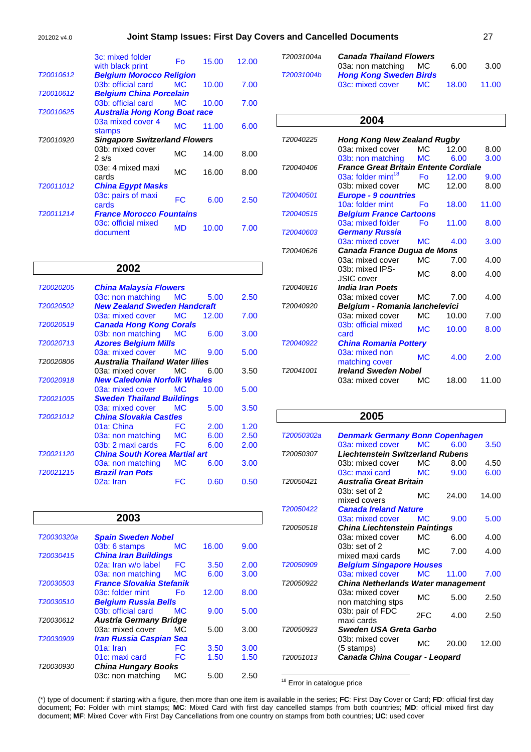#### 201202 v4.0 **Joint Stamp Issues: First Day Covers and Cancelled Documents** 27

|                                              | 3c: mixed folder<br>with black print | Fo              | 15.00 | 12.00 |
|----------------------------------------------|--------------------------------------|-----------------|-------|-------|
| T20010612                                    | <b>Belgium Morocco Religion</b>      |                 |       |       |
|                                              | 03b: official card                   | MC <sub>1</sub> | 10.00 | 7.00  |
| T20010612                                    | <b>Belgium China Porcelain</b>       |                 |       |       |
|                                              | 03b: official card                   | MC <sub>1</sub> | 10.00 | 7.00  |
| T20010625                                    | <b>Australia Hong Kong Boat race</b> |                 |       |       |
|                                              | 03a mixed cover 4<br>stamps          | <b>MC</b>       | 11.00 | 6.00  |
| T20010920                                    | <b>Singapore Switzerland Flowers</b> |                 |       |       |
|                                              | 03b: mixed cover<br>$2 \text{ s/s}$  | MC.             | 14.00 | 8.00  |
|                                              | 03e: 4 mixed maxi<br>cards           | МC              | 16.00 | 8.00  |
| T20011012                                    | <b>China Egypt Masks</b>             |                 |       |       |
|                                              | 03c: pairs of maxi<br>cards          | FC              | 6.00  | 2.50  |
| <b>France Morocco Fountains</b><br>T20011214 |                                      |                 |       |       |
|                                              | 03c: official mixed<br>document      | <b>MD</b>       | 10.00 | 7.00  |

### **2002**

| T20020205                                           | <b>China Malaysia Flowers</b>        |           |       |      |  |
|-----------------------------------------------------|--------------------------------------|-----------|-------|------|--|
|                                                     | 03c: non matching                    | <b>MC</b> | 5.00  | 2.50 |  |
| T20020502                                           | <b>New Zealand Sweden Handcraft</b>  |           |       |      |  |
|                                                     | 03a: mixed cover                     | <b>MC</b> | 12.00 | 7.00 |  |
| T20020519                                           | <b>Canada Hong Kong Corals</b>       |           |       |      |  |
|                                                     | 03b: non matching                    | <b>MC</b> | 6.00  | 3.00 |  |
| T20020713                                           | <b>Azores Belgium Mills</b>          |           |       |      |  |
|                                                     | 03a: mixed cover                     | <b>MC</b> | 9.00  | 5.00 |  |
| <b>Australia Thailand Water lilies</b><br>T20020806 |                                      |           |       |      |  |
|                                                     | 03a: mixed cover                     | MC.       | 6.00  | 3.50 |  |
| T20020918                                           | <b>New Caledonia Norfolk Whales</b>  |           |       |      |  |
|                                                     | 03a: mixed cover                     | <b>MC</b> | 10.00 | 5.00 |  |
| T20021005                                           | <b>Sweden Thailand Buildings</b>     |           |       |      |  |
|                                                     | 03a: mixed cover                     | <b>MC</b> | 5.00  | 3.50 |  |
| T20021012                                           | <b>China Slovakia Castles</b>        |           |       |      |  |
|                                                     | 01a: China                           | FC        | 2.00  | 1.20 |  |
|                                                     | 03a: non matching                    | <b>MC</b> | 6.00  | 2.50 |  |
|                                                     | 03b: 2 maxi cards                    | FC.       | 6.00  | 2.00 |  |
| T20021120                                           | <b>China South Korea Martial art</b> |           |       |      |  |
|                                                     | 03a: non matching                    | <b>MC</b> | 6.00  | 3.00 |  |
| T20021215                                           | <b>Brazil Iran Pots</b>              |           |       |      |  |
|                                                     | 02a: Iran                            | FC        | 0.60  | 0.50 |  |

**2003**

03b: 6 stamps MC 16.00 9.00

02a: Iran w/o label FC 3.50 2.00<br>03a: non matching MC 6.00 3.00 03a: non matching MC 6.00

03c: folder mint Fo 12.00 8.00

03b: official card MC 9.00 5.00

03a: mixed cover MC 5.00 3.00

01a: Iran FC 3.50 3.00<br>01c: maxi card FC 1.50 1.50

03c: non matching MC 5.00 2.50

01c: maxi card FC 1.50

T20030320a **Spain Sweden Nobel**

T20030415 **China Iran Buildings**

T20030503 **France Slovakia Stefanik** 

T20030612 **Austria Germany Bridge**

T20030909 **Iran Russia Caspian Sea**

T20030930 **China Hungary Books** 

T20030510 **Belgium Russia Bells** 

| T20031004a | <b>Canada Thailand Flowers</b> |           |       |       |
|------------|--------------------------------|-----------|-------|-------|
|            | 03a: non matching MC           |           | 6.00  | 3.00  |
| T20031004b | <b>Hong Kong Sweden Birds</b>  |           |       |       |
|            | 03c: mixed cover               | <b>MC</b> | 18.00 | 11.00 |

#### **2004**

| T20040225 | <b>Hong Kong New Zealand Rugby</b>           |                 |       |       |
|-----------|----------------------------------------------|-----------------|-------|-------|
|           | 03a: mixed cover                             | MC.             | 12.00 | 8.00  |
|           | 03b: non matching                            | <b>MC</b>       | 6.00  | 3.00  |
| T20040406 | <b>France Great Britain Entente Cordiale</b> |                 |       |       |
|           | 03a: folder mint <sup>18</sup>               | Fo              | 12.00 | 9.00  |
|           | 03b: mixed cover                             | MC.             | 12.00 | 8.00  |
| T20040501 | <b>Europe - 9 countries</b>                  |                 |       |       |
|           | 10a: folder mint                             | Fo              | 18.00 | 11.00 |
| T20040515 | <b>Belgium France Cartoons</b>               |                 |       |       |
|           | 03a: mixed folder                            | Fo              | 11.00 | 8.00  |
| T20040603 | <b>Germany Russia</b>                        |                 |       |       |
|           | 03a: mixed cover                             | MC <sub>1</sub> | 4.00  | 3.00  |
| T20040626 | Canada France Dugua de Mons                  |                 |       |       |
|           | 03a: mixed cover                             | <b>MC</b>       | 7.00  | 4.00  |
|           | 03b: mixed IPS-                              |                 |       |       |
|           | <b>JSIC</b> cover                            | MC.             | 8.00  | 4.00  |
| T20040816 | <b>India Iran Poets</b>                      |                 |       |       |
|           | 03a: mixed cover                             | MC.             | 7.00  | 4.00  |
| T20040920 | <b>Belgium - Romania lanchelevici</b>        |                 |       |       |
|           | 03a: mixed cover                             | M <sub>C</sub>  | 10.00 | 7.00  |
|           | 03b: official mixed                          |                 |       |       |
|           | card                                         | M <sub>C</sub>  | 10.00 | 8.00  |
| T20040922 | <b>China Romania Pottery</b>                 |                 |       |       |
|           | 03a: mixed non                               |                 |       |       |
|           | matching cover                               | <b>MC</b>       | 4.00  | 2.00  |
| T20041001 | <b>Ireland Sweden Nobel</b>                  |                 |       |       |
|           | 03a: mixed cover                             | МC              | 18.00 | 11.00 |
|           |                                              |                 |       |       |

#### **2005**

| T20050302a | <b>Denmark Germany Bonn Copenhagen</b>    |                |       |       |
|------------|-------------------------------------------|----------------|-------|-------|
|            | 03a: mixed cover                          | M <sub>C</sub> | 6.00  | 3.50  |
| T20050307  | <b>Liechtenstein Switzerland Rubens</b>   |                |       |       |
|            | 03b: mixed cover                          | MC.            | 8.00  | 4.50  |
|            | 03c: maxi card                            | <b>MC</b>      | 9.00  | 6.00  |
| T20050421  | <b>Australia Great Britain</b>            |                |       |       |
|            | $03b$ : set of $2$<br>mixed covers        | МC             | 24.00 | 14.00 |
| T20050422  | <b>Canada Ireland Nature</b>              |                |       |       |
|            | 03a: mixed cover                          | MC.            | 9.00  | 5.00  |
| T20050518  | <b>China Liechtenstein Paintings</b>      |                |       |       |
|            | 03a: mixed cover                          | MC.            | 6.00  | 4.00  |
|            | $03b$ : set of 2<br>mixed maxi cards      | МC             | 7.00  | 4.00  |
| T20050909  | <b>Belgium Singapore Houses</b>           |                |       |       |
|            | 03a: mixed cover                          | M <sub>C</sub> | 11.00 | 7.00  |
| T20050922  | <b>China Netherlands Water management</b> |                |       |       |
|            | 03a: mixed cover<br>non matching stps     | МC             | 5.00  | 2.50  |
|            | 03b: pair of FDC<br>maxi cards            | 2FC            | 4.00  | 2.50  |
| T20050923  | Sweden USA Greta Garbo                    |                |       |       |
|            | 03b: mixed cover<br>$(5 \text{ stamps})$  | MC.            | 20.00 | 12.00 |
| T20051013  | Canada China Cougar - Leopard             |                |       |       |

| <sup>18</sup> Error in catalogue price |  |
|----------------------------------------|--|

(\*) type of document: if starting with a figure, then more than one item is available in the series; **FC**: First Day Cover or Card; **FD**: official first day document; **Fo**: Folder with mint stamps; **MC**: Mixed Card with first day cancelled stamps from both countries; **MD**: official mixed first day document; **MF**: Mixed Cover with First Day Cancellations from one country on stamps from both countries; **UC**: used cover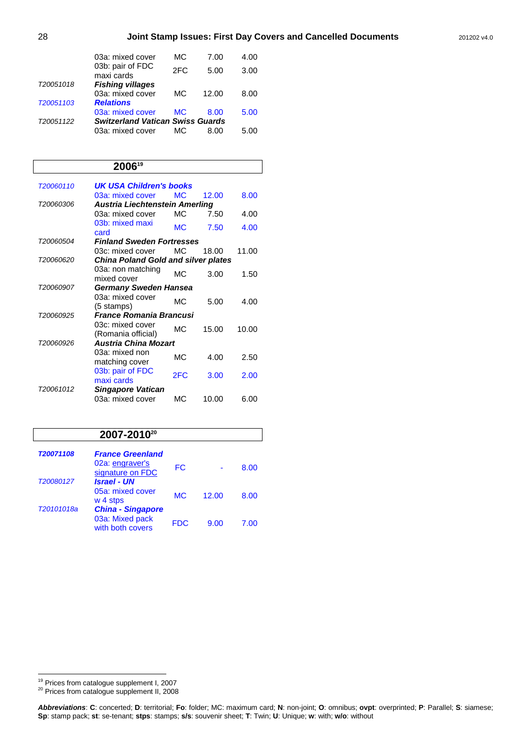|           | 03a: mixed cover                        | МC              | 7.00  | 4.00 |
|-----------|-----------------------------------------|-----------------|-------|------|
|           | 03b: pair of FDC<br>maxi cards          | 2FC             | 5.00  | 3.00 |
| T20051018 | <b>Fishing villages</b>                 |                 |       |      |
|           | 03a: mixed cover                        | <b>MC</b>       | 12.00 | 8.00 |
| T20051103 | <b>Relations</b>                        |                 |       |      |
|           | 03a: mixed cover                        | MC <sub>1</sub> | 8.00  | 5.00 |
| T20051122 | <b>Switzerland Vatican Swiss Guards</b> |                 |       |      |
|           | 03a: mixed cover                        | MC.             | 8.00  | 5 OO |

#### **2006<sup>19</sup>**

| T20060110        | UK USA Children's books                    |                 |       |       |
|------------------|--------------------------------------------|-----------------|-------|-------|
|                  | 03a: mixed cover                           | MC <sub>1</sub> | 12.00 | 8.00  |
| T20060306        | <b>Austria Liechtenstein Amerling</b>      |                 |       |       |
|                  | 03a: mixed cover                           | MC.             | 7.50  | 4.00  |
|                  | 03b: mixed maxi<br>card                    | <b>MC</b>       | 7.50  | 4.00  |
| <i>T20060504</i> | <b>Finland Sweden Fortresses</b>           |                 |       |       |
|                  | 03c: mixed cover                           | MC.             | 18.00 | 11.00 |
| T20060620        | <b>China Poland Gold and silver plates</b> |                 |       |       |
|                  | 03a: non matching<br>mixed cover           | M <sub>C</sub>  | 3.00  | 1.50  |
| T20060907        | Germany Sweden Hansea                      |                 |       |       |
|                  | 03a: mixed cover<br>(5 stamps)             | МC              | 5.00  | 4.00  |
| T20060925        | <b>France Romania Brancusi</b>             |                 |       |       |
|                  | 03c: mixed cover<br>(Romania official)     | МC              | 15.00 | 10.00 |
| T20060926        | <b>Austria China Mozart</b>                |                 |       |       |
|                  | 03a: mixed non<br>matching cover           | МC              | 4.00  | 2.50  |
|                  | 03b: pair of FDC<br>maxi cards             | 2FC             | 3.00  | 2.00  |
| T20061012        | <b>Singapore Vatican</b>                   |                 |       |       |
|                  | 03a: mixed cover                           | МC              | 10.00 | 6.00  |

### **2007-2010<sup>20</sup>**

| T20071108<br>T20080127 | <b>France Greenland</b><br>02a: engraver's<br>signature on FDC<br><b>Israel - UN</b> | FC             |       | 8.00 |
|------------------------|--------------------------------------------------------------------------------------|----------------|-------|------|
|                        | 05a: mixed cover<br>w 4 stps                                                         | M <sub>C</sub> | 12.00 | 8.00 |
| T20101018a             | <b>China - Singapore</b><br>03a: Mixed pack<br>with both covers                      | <b>FDC</b>     | 9.00  | 7.00 |

 $\overline{a}$ 

<sup>20</sup> Prices from catalogue supplement II, 2008

<sup>&</sup>lt;sup>19</sup> Prices from catalogue supplement I, 2007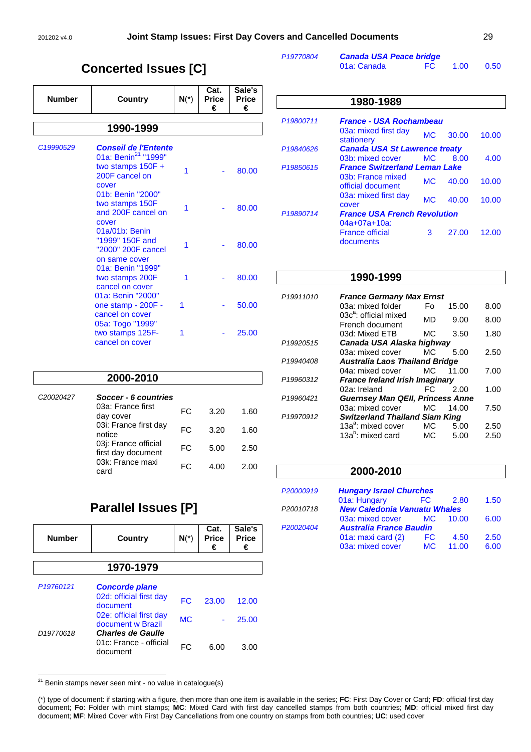# **Concerted Issues [C]**

| <b>Number</b> | Country                                                                                                          | $N(*)$ | Cat.<br><b>Price</b><br>€ | Sale's<br><b>Price</b><br>€ |
|---------------|------------------------------------------------------------------------------------------------------------------|--------|---------------------------|-----------------------------|
|               | 1990-1999                                                                                                        |        |                           |                             |
| C19990529     | <b>Conseil de l'Entente</b><br>01a: Benin <sup>21</sup> "1999"<br>two stamps $150F +$<br>200F cancel on<br>cover | 1      |                           | 80.00                       |
|               | 01b: Benin "2000"<br>two stamps 150F<br>and 200F cancel on<br>cover                                              | 1      |                           | 80.00                       |
|               | 01a/01b: Benin<br>"1999" 150F and<br>"2000" 200F cancel<br>on same cover                                         | 1      |                           | 80.00                       |
|               | 01a: Benin "1999"<br>two stamps 200F<br>cancel on cover                                                          | 1      |                           | 80.00                       |
|               | 01a: Benin "2000"<br>one stamp - 200F -<br>cancel on cover                                                       | 1      |                           | 50.00                       |
|               | 05a: Togo "1999"<br>two stamps 125F-<br>cancel on cover                                                          | 1      |                           | 25.00                       |

| P <sub>19770804</sub> | <b>Canada USA Peace bridge</b> |     |        |      |  |
|-----------------------|--------------------------------|-----|--------|------|--|
|                       | 01a: Canada                    | FC. | - 1.00 | 0.50 |  |

|                       | 1980-1989                                            |           |       |       |
|-----------------------|------------------------------------------------------|-----------|-------|-------|
| P19800711             | <b>France - USA Rochambeau</b>                       |           |       |       |
|                       | 03a: mixed first day<br>stationery                   | <b>MC</b> | 30.00 | 10.00 |
| P <sub>19840626</sub> | <b>Canada USA St Lawrence treaty</b>                 |           |       |       |
|                       | 03b: mixed cover                                     | MC.       | 8.00  | 4.00  |
| P <sub>19850615</sub> | <b>France Switzerland Leman Lake</b>                 |           |       |       |
|                       | 03b: France mixed<br>official document               | <b>MC</b> | 40.00 | 10.00 |
|                       | 03a: mixed first day<br>cover                        | <b>MC</b> | 40.00 | 10.00 |
| P19890714             | <b>France USA French Revolution</b>                  |           |       |       |
|                       | $04a+07a+10a$<br><b>France official</b><br>documents | 3         | 27.00 | 12.00 |

#### **1990-1999**

| P19911010 | <b>France Germany Max Ernst</b>                      |     |       |      |
|-----------|------------------------------------------------------|-----|-------|------|
|           | 03a: mixed folder                                    | F٥  | 15.00 | 8.00 |
|           | 03c <sup>a</sup> : official mixed<br>French document | MD  | 9.00  | 8.00 |
|           | 03d: Mixed ETB                                       | MС  | 3.50  | 1.80 |
| P19920515 | Canada USA Alaska highway                            |     |       |      |
|           | 03a: mixed cover                                     | MC. | 5.00  | 2.50 |
| P19940408 | <b>Australia Laos Thailand Bridge</b>                |     |       |      |
|           | 04a: mixed cover                                     | MC. | 11.00 | 7.00 |
| P19960312 | <b>France Ireland Irish Imaginary</b>                |     |       |      |
|           | 02a: Ireland                                         | FC  | 2.00  | 1.00 |
| P19960421 | <b>Guernsey Man QEII, Princess Anne</b>              |     |       |      |
|           | 03a: mixed cover                                     | MC  | 14.00 | 7.50 |
| P19970912 | <b>Switzerland Thailand Siam King</b>                |     |       |      |
|           | 13a <sup>a</sup> : mixed cover                       | МC  | 5.00  | 2.50 |
|           | 13a <sup>b</sup> : mixed card                        | МC  | 5.00  | 2.50 |

### **2000-2010**

| P20000919 | <b>Hungary Israel Churches</b>      |     |       |      |
|-----------|-------------------------------------|-----|-------|------|
|           | 01a: Hungary                        | FC. | 2.80  | 1.50 |
| P20010718 | <b>New Caledonia Vanuatu Whales</b> |     |       |      |
|           | 03a: mixed cover                    | MC. | 10.00 | 6.00 |
| P20020404 | <b>Australia France Baudin</b>      |     |       |      |
|           | 01a: maxi card (2)                  | FC  | 4.50  | 2.50 |
|           | 03a: mixed cover                    | MC. | 11.00 | 6.00 |

| 03i: France first day<br>notice            | FC. | 3.20 | 1.60 |
|--------------------------------------------|-----|------|------|
| 03j: France official<br>first day document | FC. | 5.00 | 2.50 |
| 03k: France maxi<br>card                   | FC. | 4.00 | 2.00 |
|                                            |     |      |      |

Usa: France first FC 3.20 1.60

**2000-2010**

03a: France first

C20020427 **Soccer - 6 countries**

# **Parallel Issues [P]**

| <b>Number</b>         | Country                                                        | $N(*)$    | Cat.<br><b>Price</b><br>€ | Sale's<br><b>Price</b><br>€ |
|-----------------------|----------------------------------------------------------------|-----------|---------------------------|-----------------------------|
|                       | 1970-1979                                                      |           |                           |                             |
| P <sub>19760121</sub> | <b>Concorde plane</b><br>02d: official first day               | FC.       | 23.00                     | 12.00                       |
|                       | document<br>02e: official first day<br>document w Brazil       | <b>MC</b> |                           | 25.00                       |
| D <sub>19770618</sub> | <b>Charles de Gaulle</b><br>01c: France - official<br>document | FC        | 6.00                      | 3.00                        |

<sup>21</sup> Benin stamps never seen mint - no value in catalogue(s)

 $\overline{a}$ 

(\*) type of document: if starting with a figure, then more than one item is available in the series; **FC**: First Day Cover or Card; **FD**: official first day document; **Fo**: Folder with mint stamps; **MC**: Mixed Card with first day cancelled stamps from both countries; **MD**: official mixed first day document; **MF**: Mixed Cover with First Day Cancellations from one country on stamps from both countries; **UC**: used cover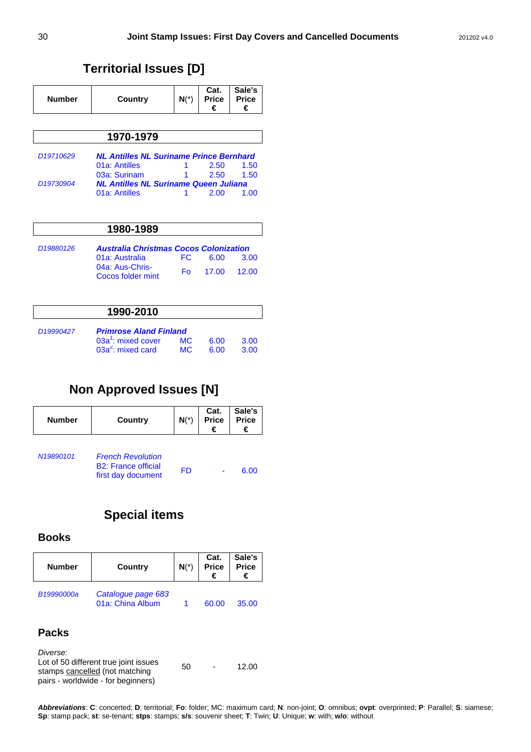# **Territorial Issues [D]**

| <b>Number</b>         | Country                                        | $N(*)$ | Cat.<br><b>Price</b><br>€ | Sale's<br><b>Price</b><br>€ |  |  |
|-----------------------|------------------------------------------------|--------|---------------------------|-----------------------------|--|--|
| 1970-1979             |                                                |        |                           |                             |  |  |
| D <sub>19710629</sub> | <b>NL Antilles NL Suriname Prince Bernhard</b> |        |                           |                             |  |  |
|                       | 01a: Antilles                                  |        | 2.50                      | 1.50                        |  |  |
|                       | 03a: Surinam                                   |        | 2.50                      | 1.50                        |  |  |
| D <sub>19730904</sub> | <b>NL Antilles NL Suriname Queen Juliana</b>   |        |                           |                             |  |  |
|                       | 01a: Antilles                                  |        | 2.00                      | 1.00                        |  |  |

| 1980-1989             |                                                                                                         |            |               |                      |
|-----------------------|---------------------------------------------------------------------------------------------------------|------------|---------------|----------------------|
| D <sub>19880126</sub> | <b>Australia Christmas Cocos Colonization</b><br>01a: Australia<br>04a: Aus-Chris-<br>Cocos folder mint | FC.<br>Fο. | 6.00<br>17.00 | 3.00<br><b>12.00</b> |

### **1990-2010**

| D19990427 | <b>Primrose Aland Finland</b> |     |       |        |
|-----------|-------------------------------|-----|-------|--------|
|           | 03a $^1$ : mixed cover        | MC  | -6.00 | - 3.00 |
|           | $03a^2$ : mixed card          | MC. | -6.00 | - 3.00 |

# **Non Approved Issues [N]**

| <b>Number</b> | Country                                                                      | $N(*)$ | Cat.<br><b>Price</b><br>€ | Sale's<br><b>Price</b><br>€ |
|---------------|------------------------------------------------------------------------------|--------|---------------------------|-----------------------------|
| N19890101     | <b>French Revolution</b><br><b>B2: France official</b><br>first day document | FD     |                           | 6.00                        |

# **Special items**

### **Books**

| <b>Number</b> | Country                                | $N(*)$ | Cat.<br>Price<br>€ | Sale's<br>Price |
|---------------|----------------------------------------|--------|--------------------|-----------------|
| B19990000a    | Catalogue page 683<br>01a: China Album |        | 60.00              | 35.00           |

# **Packs**

| Diverse:                                                                                                      |    |               |       |
|---------------------------------------------------------------------------------------------------------------|----|---------------|-------|
| Lot of 50 different true joint issues<br>stamps cancelled (not matching<br>pairs - worldwide - for beginners) | 50 | $\sim$ $\sim$ | 12.00 |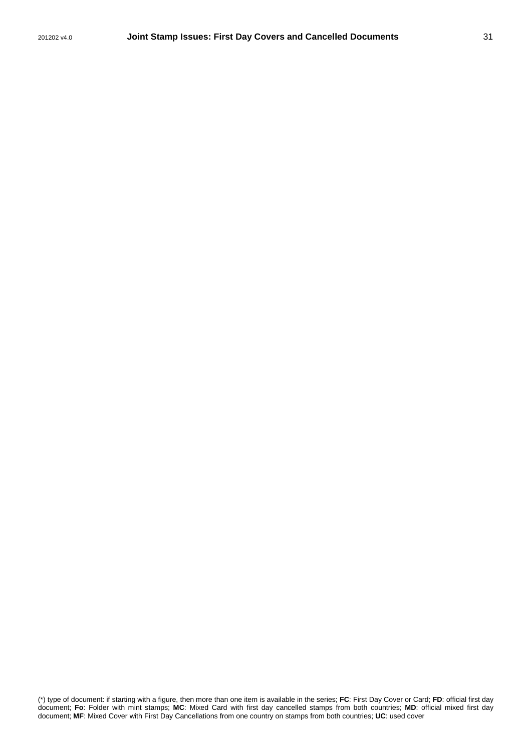(\*) type of document: if starting with a figure, then more than one item is available in the series; **FC**: First Day Cover or Card; **FD**: official first day document; **Fo**: Folder with mint stamps; **MC**: Mixed Card with first day cancelled stamps from both countries; **MD**: official mixed first day document; **MF**: Mixed Cover with First Day Cancellations from one country on stamps from both countries; **UC**: used cover